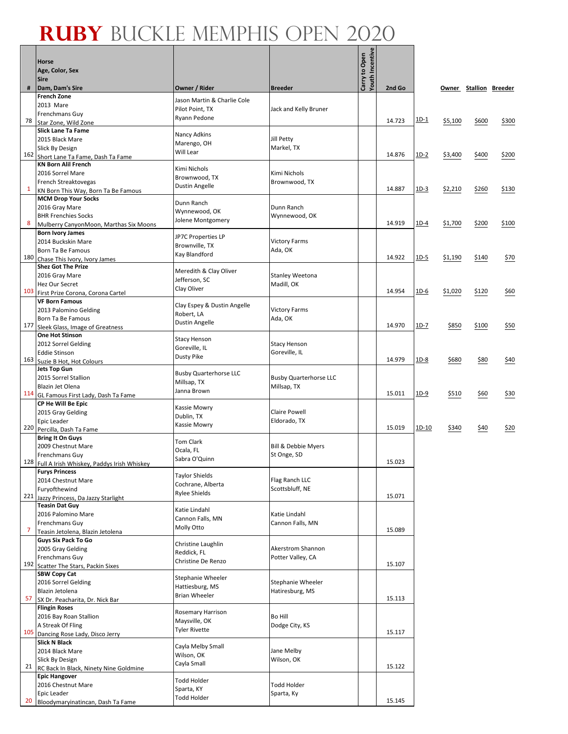┓

|     | <b>Horse</b><br>Age, Color, Sex                                         |                                                |                                              | <b>Youth Incentive</b><br>Carry to Open |        |             |         |                        |       |
|-----|-------------------------------------------------------------------------|------------------------------------------------|----------------------------------------------|-----------------------------------------|--------|-------------|---------|------------------------|-------|
|     | <b>Sire</b>                                                             |                                                |                                              |                                         |        |             |         |                        |       |
| #   | Dam, Dam's Sire<br><b>French Zone</b>                                   | Owner / Rider                                  | <b>Breeder</b>                               |                                         | 2nd Go |             |         | Owner Stallion Breeder |       |
|     | 2013 Mare                                                               | Jason Martin & Charlie Cole<br>Pilot Point, TX |                                              |                                         |        |             |         |                        |       |
|     | Frenchmans Guy                                                          | Ryann Pedone                                   | Jack and Kelly Bruner                        |                                         |        | $1D-1$      |         |                        |       |
| 78  | Star Zone, Wild Zone<br><b>Slick Lane Ta Fame</b>                       |                                                |                                              |                                         | 14.723 |             | \$5,100 | \$600                  | \$300 |
|     | 2015 Black Mare                                                         | Nancy Adkins                                   | Jill Petty                                   |                                         |        |             |         |                        |       |
|     | Slick By Design                                                         | Marengo, OH<br>Will Lear                       | Markel, TX                                   |                                         |        |             |         |                        |       |
| 162 | Short Lane Ta Fame, Dash Ta Fame<br><b>KN Born Alil French</b>          |                                                |                                              |                                         | 14.876 | <u>1D-2</u> | \$3,400 | \$400                  | \$200 |
|     | 2016 Sorrel Mare                                                        | Kimi Nichols                                   | Kimi Nichols                                 |                                         |        |             |         |                        |       |
|     | French Streaktovegas                                                    | Brownwood, TX                                  | Brownwood, TX                                |                                         |        |             |         |                        |       |
| 1   | KN Born This Way, Born Ta Be Famous                                     | Dustin Angelle                                 |                                              |                                         | 14.887 | $1D-3$      | \$2,210 | \$260                  | \$130 |
|     | <b>MCM Drop Your Socks</b><br>2016 Gray Mare                            | Dunn Ranch                                     | Dunn Ranch                                   |                                         |        |             |         |                        |       |
|     | <b>BHR Frenchies Socks</b>                                              | Wynnewood, OK                                  | Wynnewood, OK                                |                                         |        |             |         |                        |       |
| 8   | Mulberry CanyonMoon, Marthas Six Moons                                  | Jolene Montgomery                              |                                              |                                         | 14.919 | 1D-4        | \$1,700 | \$200                  | \$100 |
|     | <b>Born Ivory James</b>                                                 | JP7C Properties LP                             |                                              |                                         |        |             |         |                        |       |
|     | 2014 Buckskin Mare                                                      | Brownville, TX                                 | <b>Victory Farms</b>                         |                                         |        |             |         |                        |       |
| 180 | Born Ta Be Famous<br>Chase This Ivory, Ivory James                      | Kay Blandford                                  | Ada, OK                                      |                                         | 14.922 | <u>1D-5</u> | \$1,190 | \$140                  | \$70  |
|     | <b>Shez Got The Prize</b>                                               | Meredith & Clay Oliver                         |                                              |                                         |        |             |         |                        |       |
|     | 2016 Gray Mare                                                          | Jefferson, SC                                  | <b>Stanley Weetona</b>                       |                                         |        |             |         |                        |       |
|     | Hez Our Secret                                                          | Clay Oliver                                    | Madill, OK                                   |                                         | 14.954 | $1D-6$      | \$1,020 | \$120                  | \$60  |
|     | 103 First Prize Corona, Corona Cartel<br><b>VF Born Famous</b>          |                                                |                                              |                                         |        |             |         |                        |       |
|     | 2013 Palomino Gelding                                                   | Clay Espey & Dustin Angelle                    | <b>Victory Farms</b>                         |                                         |        |             |         |                        |       |
|     | Born Ta Be Famous                                                       | Robert, LA<br><b>Dustin Angelle</b>            | Ada, OK                                      |                                         |        |             |         |                        |       |
| 177 | Sleek Glass, Image of Greatness                                         |                                                |                                              |                                         | 14.970 | $1D-7$      | \$850   | \$100                  | \$50  |
|     | <b>One Hot Stinson</b><br>2012 Sorrel Gelding                           | <b>Stacy Henson</b>                            | <b>Stacy Henson</b>                          |                                         |        |             |         |                        |       |
|     | <b>Eddie Stinson</b>                                                    | Goreville, IL                                  | Goreville, IL                                |                                         |        |             |         |                        |       |
| 163 | Suzie B Hot, Hot Colours                                                | Dusty Pike                                     |                                              |                                         | 14.979 | 1D-8        | \$680   | \$80                   | \$40  |
|     | <b>Jets Top Gun</b>                                                     | <b>Busby Quarterhorse LLC</b>                  |                                              |                                         |        |             |         |                        |       |
|     | 2015 Sorrel Stallion<br>Blazin Jet Olena                                | Millsap, TX                                    | <b>Busby Quarterhorse LLC</b><br>Millsap, TX |                                         |        |             |         |                        |       |
|     | 114 GL Famous First Lady, Dash Ta Fame                                  | Janna Brown                                    |                                              |                                         | 15.011 | 1D-9        | \$510   | \$60                   | \$30  |
|     | CP He Will Be Epic                                                      | Kassie Mowry                                   |                                              |                                         |        |             |         |                        |       |
|     | 2015 Gray Gelding                                                       | Dublin, TX                                     | <b>Claire Powell</b>                         |                                         |        |             |         |                        |       |
| 220 | Epic Leader<br>Percilla, Dash Ta Fame                                   | Kassie Mowry                                   | Eldorado, TX                                 |                                         | 15.019 | 1D-10       | \$340   | \$40                   | \$20  |
|     | <b>Bring It On Guys</b>                                                 | <b>Tom Clark</b>                               |                                              |                                         |        |             |         |                        |       |
|     | 2009 Chestnut Mare                                                      | Ocala, FL                                      | <b>Bill &amp; Debbie Myers</b>               |                                         |        |             |         |                        |       |
|     | Frenchmans Guy                                                          | Sabra O'Quinn                                  | St Onge, SD                                  |                                         | 15.023 |             |         |                        |       |
|     | 128 Full A Irish Whiskey, Paddys Irish Whiskey<br><b>Furys Princess</b> |                                                |                                              |                                         |        |             |         |                        |       |
|     | 2014 Chestnut Mare                                                      | <b>Taylor Shields</b><br>Cochrane, Alberta     | Flag Ranch LLC                               |                                         |        |             |         |                        |       |
|     | Furyofthewind                                                           | <b>Rylee Shields</b>                           | Scottsbluff, NE                              |                                         |        |             |         |                        |       |
| 221 | Jazzy Princess, Da Jazzy Starlight<br><b>Teasin Dat Guy</b>             |                                                |                                              |                                         | 15.071 |             |         |                        |       |
|     | 2016 Palomino Mare                                                      | Katie Lindahl                                  | Katie Lindahl                                |                                         |        |             |         |                        |       |
|     | Frenchmans Guy                                                          | Cannon Falls, MN<br>Molly Otto                 | Cannon Falls, MN                             |                                         |        |             |         |                        |       |
| 7   | Teasin Jetolena, Blazin Jetolena                                        |                                                |                                              |                                         | 15.089 |             |         |                        |       |
|     | <b>Guys Six Pack To Go</b><br>2005 Gray Gelding                         | Christine Laughlin                             | Akerstrom Shannon                            |                                         |        |             |         |                        |       |
|     | Frenchmans Guy                                                          | Reddick, FL                                    | Potter Valley, CA                            |                                         |        |             |         |                        |       |
| 192 | Scatter The Stars, Packin Sixes                                         | Christine De Renzo                             |                                              |                                         | 15.107 |             |         |                        |       |
|     | <b>SBW Copy Cat</b>                                                     | Stephanie Wheeler                              |                                              |                                         |        |             |         |                        |       |
|     | 2016 Sorrel Gelding<br>Blazin Jetolena                                  | Hattiesburg, MS                                | <b>Stephanie Wheeler</b><br>Hatiresburg, MS  |                                         |        |             |         |                        |       |
| 57  | SX Dr. Peacharita, Dr. Nick Bar                                         | <b>Brian Wheeler</b>                           |                                              |                                         | 15.113 |             |         |                        |       |
|     | <b>Flingin Roses</b>                                                    | Rosemary Harrison                              |                                              |                                         |        |             |         |                        |       |
|     | 2016 Bay Roan Stallion                                                  | Maysville, OK                                  | Bo Hill                                      |                                         |        |             |         |                        |       |
| 105 | A Streak Of Fling<br>Dancing Rose Lady, Disco Jerry                     | <b>Tyler Rivette</b>                           | Dodge City, KS                               |                                         | 15.117 |             |         |                        |       |
|     | Slick N Black                                                           |                                                |                                              |                                         |        |             |         |                        |       |
|     | 2014 Black Mare                                                         | Cayla Melby Small<br>Wilson, OK                | Jane Melby                                   |                                         |        |             |         |                        |       |
| 21  | Slick By Design                                                         | Cayla Small                                    | Wilson, OK                                   |                                         | 15.122 |             |         |                        |       |
|     | RC Back In Black, Ninety Nine Goldmine<br><b>Epic Hangover</b>          |                                                |                                              |                                         |        |             |         |                        |       |
|     | 2016 Chestnut Mare                                                      | Todd Holder                                    | Todd Holder                                  |                                         |        |             |         |                        |       |
|     | Epic Leader                                                             | Sparta, KY<br><b>Todd Holder</b>               | Sparta, Ky                                   |                                         |        |             |         |                        |       |
| 20  | Bloodymaryinatincan, Dash Ta Fame                                       |                                                |                                              |                                         | 15.145 |             |         |                        |       |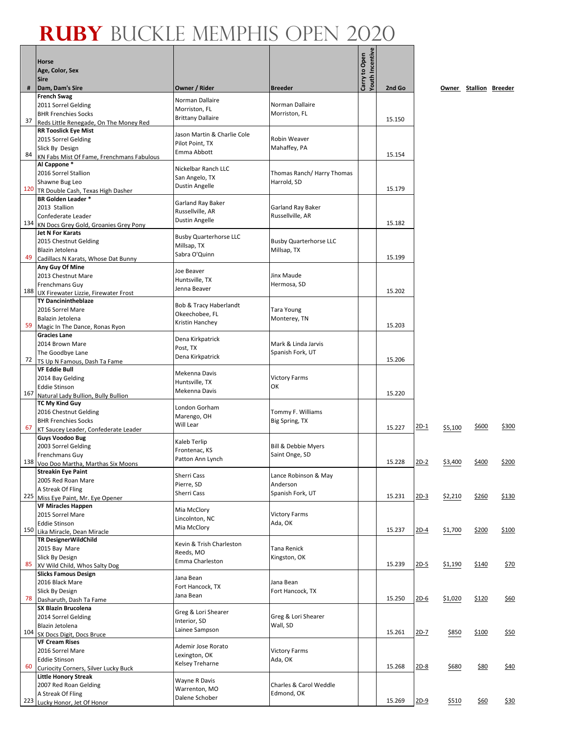|     | <b>Horse</b><br>Age, Color, Sex                                     |                                              |                                  | Youth Incentive<br>Carry to Open |        |        |         |                        |             |
|-----|---------------------------------------------------------------------|----------------------------------------------|----------------------------------|----------------------------------|--------|--------|---------|------------------------|-------------|
| #   | <b>Sire</b><br>Dam, Dam's Sire                                      | Owner / Rider                                | <b>Breeder</b>                   |                                  | 2nd Go |        |         | Owner Stallion Breeder |             |
|     | <b>French Swag</b>                                                  | Norman Dallaire                              |                                  |                                  |        |        |         |                        |             |
|     | 2011 Sorrel Gelding<br><b>BHR Frenchies Socks</b>                   | Morriston, FL                                | Norman Dallaire<br>Morriston, FL |                                  |        |        |         |                        |             |
| 37  | Reds Little Renegade, On The Money Red                              | <b>Brittany Dallaire</b>                     |                                  |                                  | 15.150 |        |         |                        |             |
|     | <b>RR Tooslick Eye Mist</b>                                         | Jason Martin & Charlie Cole                  |                                  |                                  |        |        |         |                        |             |
|     | 2015 Sorrel Gelding                                                 | Pilot Point, TX                              | <b>Robin Weaver</b>              |                                  |        |        |         |                        |             |
| 84  | Slick By Design<br>KN Fabs Mist Of Fame, Frenchmans Fabulous        | Emma Abbott                                  | Mahaffey, PA                     |                                  | 15.154 |        |         |                        |             |
|     | Al Cappone*                                                         | Nickelbar Ranch LLC                          |                                  |                                  |        |        |         |                        |             |
|     | 2016 Sorrel Stallion                                                | San Angelo, TX                               | Thomas Ranch/ Harry Thomas       |                                  |        |        |         |                        |             |
| 120 | Shawne Bug Leo<br>TR Double Cash, Texas High Dasher                 | <b>Dustin Angelle</b>                        | Harrold, SD                      |                                  | 15.179 |        |         |                        |             |
|     | <b>BR Golden Leader *</b>                                           | Garland Ray Baker                            |                                  |                                  |        |        |         |                        |             |
|     | 2013 Stallion                                                       | Russellville, AR                             | Garland Ray Baker                |                                  |        |        |         |                        |             |
| 134 | Confederate Leader<br>KN Docs Grey Gold, Groanies Grey Pony         | <b>Dustin Angelle</b>                        | Russellville, AR                 |                                  | 15.182 |        |         |                        |             |
|     | <b>Jet N For Karats</b>                                             |                                              |                                  |                                  |        |        |         |                        |             |
|     | 2015 Chestnut Gelding                                               | <b>Busby Quarterhorse LLC</b><br>Millsap, TX | <b>Busby Quarterhorse LLC</b>    |                                  |        |        |         |                        |             |
| 49  | Blazin Jetolena<br>Cadillacs N Karats, Whose Dat Bunny              | Sabra O'Quinn                                | Millsap, TX                      |                                  | 15.199 |        |         |                        |             |
|     | Any Guy Of Mine                                                     |                                              |                                  |                                  |        |        |         |                        |             |
|     | 2013 Chestnut Mare                                                  | Joe Beaver<br>Huntsville, TX                 | Jinx Maude                       |                                  |        |        |         |                        |             |
| 188 | Frenchmans Guy                                                      | Jenna Beaver                                 | Hermosa, SD                      |                                  | 15.202 |        |         |                        |             |
|     | UX Firewater Lizzie, Firewater Frost<br><b>TY Dancinintheblaze</b>  |                                              |                                  |                                  |        |        |         |                        |             |
|     | 2016 Sorrel Mare                                                    | Bob & Tracy Haberlandt<br>Okeechobee, FL     | Tara Young                       |                                  |        |        |         |                        |             |
| 59  | Balazin Jetolena                                                    | Kristin Hanchey                              | Monterey, TN                     |                                  | 15.203 |        |         |                        |             |
|     | Magic In The Dance, Ronas Ryon<br><b>Gracies Lane</b>               |                                              |                                  |                                  |        |        |         |                        |             |
|     | 2014 Brown Mare                                                     | Dena Kirkpatrick<br>Post, TX                 | Mark & Linda Jarvis              |                                  |        |        |         |                        |             |
| 72  | The Goodbye Lane                                                    | Dena Kirkpatrick                             | Spanish Fork, UT                 |                                  | 15.206 |        |         |                        |             |
|     | TS Up N Famous, Dash Ta Fame<br><b>VF Eddie Bull</b>                |                                              |                                  |                                  |        |        |         |                        |             |
|     | 2014 Bay Gelding                                                    | Mekenna Davis<br>Huntsville, TX              | <b>Victory Farms</b>             |                                  |        |        |         |                        |             |
|     | <b>Eddie Stinson</b>                                                | Mekenna Davis                                | ΟК                               |                                  | 15.220 |        |         |                        |             |
| 167 | Natural Lady Bullion, Bully Bullion<br><b>TC My Kind Guy</b>        |                                              |                                  |                                  |        |        |         |                        |             |
|     | 2016 Chestnut Gelding                                               | London Gorham                                | Tommy F. Williams                |                                  |        |        |         |                        |             |
|     | <b>BHR Frenchies Socks</b>                                          | Marengo, OH<br>Will Lear                     | Big Spring, TX                   |                                  |        | $2D-1$ |         | \$600                  | \$300       |
| 67  | KT Saucey Leader, Confederate Leader<br><b>Guys Voodoo Bug</b>      |                                              |                                  |                                  | 15.227 |        | \$5,100 |                        |             |
|     | 2003 Sorrel Gelding                                                 | Kaleb Terlip<br>Frontenac, KS                | <b>Bill &amp; Debbie Myers</b>   |                                  |        |        |         |                        |             |
|     | Frenchmans Guy                                                      | Patton Ann Lynch                             | Saint Onge, SD                   |                                  |        |        |         |                        |             |
|     | 138 Voo Doo Martha, Marthas Six Moons<br><b>Streakin Eye Paint</b>  |                                              |                                  |                                  | 15.228 | $2D-2$ | \$3,400 | \$400                  | \$200       |
|     | 2005 Red Roan Mare                                                  | Sherri Cass<br>Pierre, SD                    | Lance Robinson & May<br>Anderson |                                  |        |        |         |                        |             |
|     | A Streak Of Fling                                                   | Sherri Cass                                  | Spanish Fork, UT                 |                                  |        |        |         |                        |             |
| 225 | Miss Eye Paint, Mr. Eye Opener<br><b>VF Miracles Happen</b>         |                                              |                                  |                                  | 15.231 | $2D-3$ | \$2,210 | \$260                  | \$130       |
|     | 2015 Sorrel Mare                                                    | Mia McClory                                  | <b>Victory Farms</b>             |                                  |        |        |         |                        |             |
|     | <b>Eddie Stinson</b>                                                | Lincolnton, NC<br>Mia McClory                | Ada, OK                          |                                  | 15.237 |        |         |                        |             |
| 150 | Lika Miracle, Dean Miracle<br><b>TR DesignerWildChild</b>           |                                              |                                  |                                  |        | $2D-4$ | \$1,700 | \$200                  | \$100       |
|     | 2015 Bay Mare                                                       | Kevin & Trish Charleston                     | Tana Renick                      |                                  |        |        |         |                        |             |
|     | Slick By Design                                                     | Reeds, MO<br>Emma Charleston                 | Kingston, OK                     |                                  |        |        |         |                        |             |
| 85  | XV Wild Child, Whos Salty Dog<br><b>Slicks Famous Design</b>        |                                              |                                  |                                  | 15.239 | $2D-5$ | \$1,190 | \$140                  | \$70        |
|     | 2016 Black Mare                                                     | Jana Bean                                    | Jana Bean                        |                                  |        |        |         |                        |             |
|     | Slick By Design                                                     | Fort Hancock, TX<br>Jana Bean                | Fort Hancock, TX                 |                                  |        |        |         |                        |             |
| 78  | Dasharuth, Dash Ta Fame<br><b>SX Blazin Brucolena</b>               |                                              |                                  |                                  | 15.250 | $2D-6$ | \$1,020 | \$120                  | \$60        |
|     | 2014 Sorrel Gelding                                                 | Greg & Lori Shearer                          | Greg & Lori Shearer              |                                  |        |        |         |                        |             |
|     | Blazin Jetolena                                                     | Interior, SD<br>Lainee Sampson               | Wall, SD                         |                                  |        |        |         |                        |             |
| 104 | SX Docs Digit, Docs Bruce<br><b>VF Cream Rises</b>                  |                                              |                                  |                                  | 15.261 | $2D-7$ | \$850   | \$100                  | <u>\$50</u> |
|     | 2016 Sorrel Mare                                                    | Ademir Jose Rorato                           | <b>Victory Farms</b>             |                                  |        |        |         |                        |             |
|     | <b>Eddie Stinson</b>                                                | Lexington, OK<br>Kelsey Treharne             | Ada, OK                          |                                  |        |        |         |                        |             |
| 60  | Curiocity Corners, Silver Lucky Buck<br><b>Little Honory Streak</b> |                                              |                                  |                                  | 15.268 | $2D-8$ | \$680   | <u>\$80</u>            | \$40        |
|     | 2007 Red Roan Gelding                                               | Wayne R Davis                                | Charles & Carol Weddle           |                                  |        |        |         |                        |             |
|     | A Streak Of Fling                                                   | Warrenton, MO<br>Dalene Schober              | Edmond, OK                       |                                  |        |        |         |                        |             |
| 223 | Lucky Honor, Jet Of Honor                                           |                                              |                                  |                                  | 15.269 | $2D-9$ | \$510   | \$60                   | \$30        |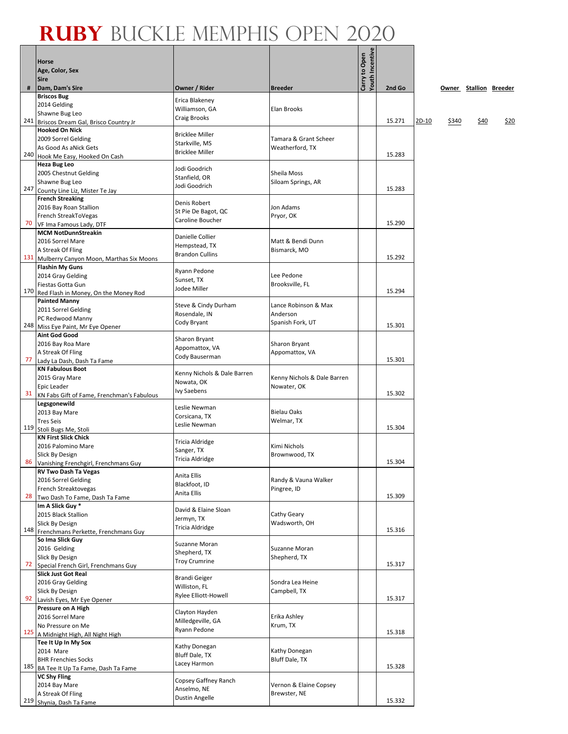ī

|     | Horse<br>Age, Color, Sex<br><b>Sire</b>                               |                                           |                               | Youth Incentive<br>Carry to Open |        |         |       |                        |      |
|-----|-----------------------------------------------------------------------|-------------------------------------------|-------------------------------|----------------------------------|--------|---------|-------|------------------------|------|
| #   | Dam, Dam's Sire                                                       | Owner / Rider                             | <b>Breeder</b>                |                                  | 2nd Go |         |       | Owner Stallion Breeder |      |
|     | <b>Briscos Bug</b>                                                    | Erica Blakeney                            |                               |                                  |        |         |       |                        |      |
|     | 2014 Gelding                                                          | Williamson, GA                            | Elan Brooks                   |                                  |        |         |       |                        |      |
|     | Shawne Bug Leo<br>241 Briscos Dream Gal, Brisco Country Jr            | Craig Brooks                              |                               |                                  | 15.271 | $2D-10$ | \$340 | \$40                   | \$20 |
|     | <b>Hooked On Nick</b>                                                 |                                           |                               |                                  |        |         |       |                        |      |
|     | 2009 Sorrel Gelding                                                   | <b>Bricklee Miller</b>                    | Tamara & Grant Scheer         |                                  |        |         |       |                        |      |
|     | As Good As aNick Gets                                                 | Starkville, MS<br><b>Bricklee Miller</b>  | Weatherford, TX               |                                  |        |         |       |                        |      |
| 240 | Hook Me Easy, Hooked On Cash                                          |                                           |                               |                                  | 15.283 |         |       |                        |      |
|     | <b>Heza Bug Leo</b><br>2005 Chestnut Gelding                          | Jodi Goodrich                             | Sheila Moss                   |                                  |        |         |       |                        |      |
|     | Shawne Bug Leo                                                        | Stanfield, OR                             | Siloam Springs, AR            |                                  |        |         |       |                        |      |
| 247 | County Line Liz, Mister Te Jay                                        | Jodi Goodrich                             |                               |                                  | 15.283 |         |       |                        |      |
|     | <b>French Streaking</b>                                               | Denis Robert                              |                               |                                  |        |         |       |                        |      |
|     | 2016 Bay Roan Stallion                                                | St Pie De Bagot, QC                       | Jon Adams                     |                                  |        |         |       |                        |      |
| 70  | French StreakToVegas<br>VF Ima Famous Lady, DTF                       | Caroline Boucher                          | Pryor, OK                     |                                  | 15.290 |         |       |                        |      |
|     | <b>MCM NotDunnStreakin</b>                                            |                                           |                               |                                  |        |         |       |                        |      |
|     | 2016 Sorrel Mare                                                      | Danielle Collier<br>Hempstead, TX         | Matt & Bendi Dunn             |                                  |        |         |       |                        |      |
|     | A Streak Of Fling                                                     | <b>Brandon Cullins</b>                    | Bismarck, MO                  |                                  | 15.292 |         |       |                        |      |
|     | 131 Mulberry Canyon Moon, Marthas Six Moons<br><b>Flashin My Guns</b> |                                           |                               |                                  |        |         |       |                        |      |
|     | 2014 Gray Gelding                                                     | Ryann Pedone                              | Lee Pedone                    |                                  |        |         |       |                        |      |
|     | Fiestas Gotta Gun                                                     | Sunset, TX<br>Jodee Miller                | Brooksville, FL               |                                  |        |         |       |                        |      |
|     | 170 Red Flash in Money, On the Money Rod                              |                                           |                               |                                  | 15.294 |         |       |                        |      |
|     | <b>Painted Manny</b>                                                  | Steve & Cindy Durham                      | Lance Robinson & Max          |                                  |        |         |       |                        |      |
|     | 2011 Sorrel Gelding<br>PC Redwood Manny                               | Rosendale, IN                             | Anderson                      |                                  |        |         |       |                        |      |
|     | 248 Miss Eye Paint, Mr Eye Opener                                     | Cody Bryant                               | Spanish Fork, UT              |                                  | 15.301 |         |       |                        |      |
|     | <b>Aint God Good</b>                                                  | Sharon Bryant                             |                               |                                  |        |         |       |                        |      |
|     | 2016 Bay Roa Mare                                                     | Appomattox, VA                            | Sharon Bryant                 |                                  |        |         |       |                        |      |
| 77  | A Streak Of Fling<br>Lady La Dash, Dash Ta Fame                       | Cody Bauserman                            | Appomattox, VA                |                                  | 15.301 |         |       |                        |      |
|     | <b>KN Fabulous Boot</b>                                               |                                           |                               |                                  |        |         |       |                        |      |
|     | 2015 Gray Mare                                                        | Kenny Nichols & Dale Barren<br>Nowata, OK | Kenny Nichols & Dale Barren   |                                  |        |         |       |                        |      |
|     | <b>Epic Leader</b>                                                    | Ivy Saebens                               | Nowater, OK                   |                                  |        |         |       |                        |      |
| 31  | KN Fabs Gift of Fame, Frenchman's Fabulous                            |                                           |                               |                                  | 15.302 |         |       |                        |      |
|     | Legsgonewild<br>2013 Bay Mare                                         | Leslie Newman                             | <b>Bielau Oaks</b>            |                                  |        |         |       |                        |      |
|     | <b>Tres Seis</b>                                                      | Corsicana, TX                             | Welmar, TX                    |                                  |        |         |       |                        |      |
| 119 | Stoli Bugs Me, Stoli                                                  | Leslie Newman                             |                               |                                  | 15.304 |         |       |                        |      |
|     | <b>KN First Slick Chick</b>                                           | Tricia Aldridge                           |                               |                                  |        |         |       |                        |      |
|     | 2016 Palomino Mare<br>Slick By Design                                 | Sanger, TX                                | Kimi Nichols<br>Brownwood, TX |                                  |        |         |       |                        |      |
|     | 86 Vanishing Frenchgirl, Frenchmans Guy                               | Tricia Aldridge                           |                               |                                  | 15.304 |         |       |                        |      |
|     | <b>RV Two Dash Ta Vegas</b>                                           | Anita Ellis                               |                               |                                  |        |         |       |                        |      |
|     | 2016 Sorrel Gelding                                                   | Blackfoot, ID                             | Randy & Vauna Walker          |                                  |        |         |       |                        |      |
| 28  | French Streaktovegas<br>Two Dash To Fame, Dash Ta Fame                | Anita Ellis                               | Pingree, ID                   |                                  | 15.309 |         |       |                        |      |
|     | Im A Slick Guy *                                                      |                                           |                               |                                  |        |         |       |                        |      |
|     | 2015 Black Stallion                                                   | David & Elaine Sloan<br>Jermyn, TX        | Cathy Geary                   |                                  |        |         |       |                        |      |
|     | Slick By Design                                                       | Tricia Aldridge                           | Wadsworth, OH                 |                                  | 15.316 |         |       |                        |      |
|     | 148 Frenchmans Perkette, Frenchmans Guy<br>So Ima Slick Guy           |                                           |                               |                                  |        |         |       |                        |      |
|     | 2016 Gelding                                                          | Suzanne Moran                             | Suzanne Moran                 |                                  |        |         |       |                        |      |
|     | Slick By Design                                                       | Shepherd, TX<br><b>Troy Crumrine</b>      | Shepherd, TX                  |                                  |        |         |       |                        |      |
| 72  | Special French Girl, Frenchmans Guy                                   |                                           |                               |                                  | 15.317 |         |       |                        |      |
|     | <b>Slick Just Got Real</b>                                            | <b>Brandi Geiger</b>                      | Sondra Lea Heine              |                                  |        |         |       |                        |      |
|     | 2016 Gray Gelding<br>Slick By Design                                  | Williston, FL                             | Campbell, TX                  |                                  |        |         |       |                        |      |
| 92  | Lavish Eyes, Mr Eye Opener                                            | Rylee Elliott-Howell                      |                               |                                  | 15.317 |         |       |                        |      |
|     | Pressure on A High                                                    | Clayton Hayden                            |                               |                                  |        |         |       |                        |      |
|     | 2016 Sorrel Mare                                                      | Milledgeville, GA                         | Erika Ashley                  |                                  |        |         |       |                        |      |
|     | No Pressure on Me<br>125 A Midnight High, All Night High              | Ryann Pedone                              | Krum, TX                      |                                  | 15.318 |         |       |                        |      |
|     | Tee It Up In My Sox                                                   |                                           |                               |                                  |        |         |       |                        |      |
|     | 2014 Mare                                                             | Kathy Donegan<br>Bluff Dale, TX           | Kathy Donegan                 |                                  |        |         |       |                        |      |
|     | <b>BHR Frenchies Socks</b>                                            | Lacey Harmon                              | <b>Bluff Dale, TX</b>         |                                  |        |         |       |                        |      |
|     | 185 BA Tee It Up Ta Fame, Dash Ta Fame                                |                                           |                               |                                  | 15.328 |         |       |                        |      |
|     | <b>VC Shy Fling</b><br>2014 Bay Mare                                  | Copsey Gaffney Ranch                      | Vernon & Elaine Copsey        |                                  |        |         |       |                        |      |
|     | A Streak Of Fling                                                     | Anselmo, NE                               | Brewster, NE                  |                                  |        |         |       |                        |      |
| 219 | Shynia, Dash Ta Fame                                                  | <b>Dustin Angelle</b>                     |                               |                                  | 15.332 |         |       |                        |      |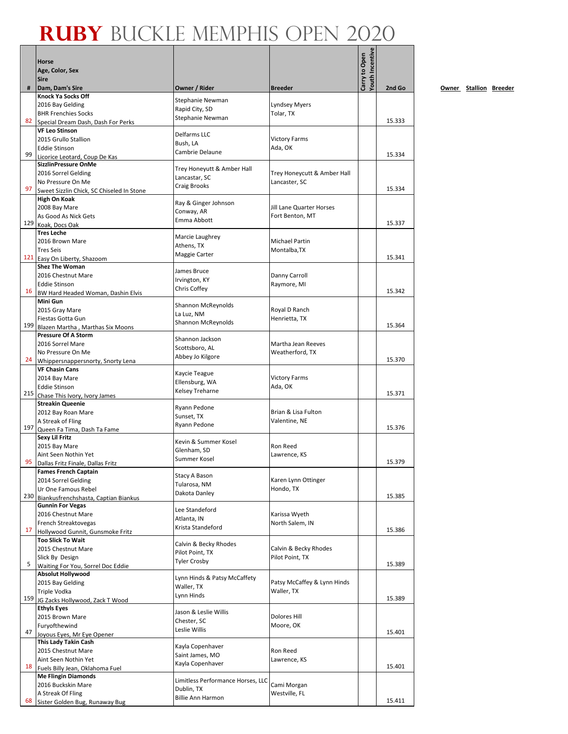|     | <b>Horse</b>                                                |                                         |                             |                                  |        |
|-----|-------------------------------------------------------------|-----------------------------------------|-----------------------------|----------------------------------|--------|
|     | Age, Color, Sex<br><b>Sire</b>                              |                                         |                             | Youth Incentive<br>Carry to Open |        |
| #   | Dam, Dam's Sire                                             | Owner / Rider                           | <b>Breeder</b>              |                                  | 2nd Go |
|     | Knock Ya Socks Off                                          |                                         |                             |                                  |        |
|     | 2016 Bay Gelding                                            | Stephanie Newman<br>Rapid City, SD      | Lyndsey Myers               |                                  |        |
| 82  | <b>BHR Frenchies Socks</b>                                  | Stephanie Newman                        | Tolar, TX                   |                                  | 15.333 |
|     | Special Dream Dash, Dash For Perks<br><b>VF Leo Stinson</b> |                                         |                             |                                  |        |
|     | 2015 Grullo Stallion                                        | Delfarms LLC                            | <b>Victory Farms</b>        |                                  |        |
|     | <b>Eddie Stinson</b>                                        | Bush, LA                                | Ada, OK                     |                                  |        |
| 99  | Licorice Leotard, Coup De Kas                               | Cambrie Delaune                         |                             |                                  | 15.334 |
|     | <b>SizzlinPressure OnMe</b>                                 | Trey Honeyutt & Amber Hall              |                             |                                  |        |
|     | 2016 Sorrel Gelding<br>No Pressure On Me                    | Lancastar, SC                           | Trey Honeycutt & Amber Hall |                                  |        |
| 97  | Sweet Sizzlin Chick, SC Chiseled In Stone                   | <b>Craig Brooks</b>                     | Lancaster, SC               |                                  | 15.334 |
|     | <b>High On Koak</b>                                         |                                         |                             |                                  |        |
|     | 2008 Bay Mare                                               | Ray & Ginger Johnson<br>Conway, AR      | Jill Lane Quarter Horses    |                                  |        |
|     | As Good As Nick Gets                                        | Emma Abbott                             | Fort Benton, MT             |                                  | 15.337 |
| 129 | Koak, Docs Oak<br><b>Tres Leche</b>                         |                                         |                             |                                  |        |
|     | 2016 Brown Mare                                             | Marcie Laughrey                         | Michael Partin              |                                  |        |
|     | <b>Tres Seis</b>                                            | Athens, TX                              | Montalba, TX                |                                  |        |
|     | 121 Easy On Liberty, Shazoom                                | Maggie Carter                           |                             |                                  | 15.341 |
|     | <b>Shez The Woman</b>                                       | James Bruce                             |                             |                                  |        |
|     | 2016 Chestnut Mare<br><b>Eddie Stinson</b>                  | Irvington, KY                           | Danny Carroll               |                                  |        |
| 16  | BW Hard Headed Woman, Dashin Elvis                          | Chris Coffey                            | Raymore, MI                 |                                  | 15.342 |
|     | Mini Gun                                                    |                                         |                             |                                  |        |
|     | 2015 Gray Mare                                              | <b>Shannon McReynolds</b><br>La Luz, NM | Royal D Ranch               |                                  |        |
|     | Fiestas Gotta Gun                                           | Shannon McReynolds                      | Henrietta, TX               |                                  |        |
| 199 | Blazen Martha, Marthas Six Moons                            |                                         |                             |                                  | 15.364 |
|     | <b>Pressure Of A Storm</b><br>2016 Sorrel Mare              | Shannon Jackson                         | Martha Jean Reeves          |                                  |        |
|     | No Pressure On Me                                           | Scottsboro, AL                          | Weatherford, TX             |                                  |        |
| 24  | Whippersnappersnorty, Snorty Lena                           | Abbey Jo Kilgore                        |                             |                                  | 15.370 |
|     | <b>VF Chasin Cans</b>                                       | Kaycie Teague                           |                             |                                  |        |
|     | 2014 Bay Mare                                               | Ellensburg, WA                          | <b>Victory Farms</b>        |                                  |        |
|     | <b>Eddie Stinson</b><br>215 Chase This Ivory, Ivory James   | Kelsey Treharne                         | Ada, OK                     |                                  | 15.371 |
|     | <b>Streakin Queenie</b>                                     |                                         |                             |                                  |        |
|     | 2012 Bay Roan Mare                                          | Ryann Pedone<br>Sunset, TX              | Brian & Lisa Fulton         |                                  |        |
|     | A Streak of Fling                                           | Ryann Pedone                            | Valentine, NE               |                                  |        |
| 197 | Queen Fa Tima, Dash Ta Fame                                 |                                         |                             |                                  | 15.376 |
|     | Sexy Lil Fritz<br>2015 Bay Mare                             | Kevin & Summer Kosel                    | Ron Reed                    |                                  |        |
|     | Aint Seen Nothin Yet                                        | Glenham, SD                             | Lawrence, KS                |                                  |        |
| 95  | Dallas Fritz Finale, Dallas Fritz                           | Summer Kosel                            |                             |                                  | 15.379 |
|     | <b>Fames French Captain</b>                                 | Stacy A Bason                           |                             |                                  |        |
|     | 2014 Sorrel Gelding                                         | Tularosa, NM                            | Karen Lynn Ottinger         |                                  |        |
| 230 | Ur One Famous Rebel<br>Biankusfrenchshasta, Captian Biankus | Dakota Danley                           | Hondo, TX                   |                                  | 15.385 |
|     | <b>Gunnin For Vegas</b>                                     |                                         |                             |                                  |        |
|     | 2016 Chestnut Mare                                          | Lee Standeford<br>Atlanta, IN           | Karissa Wyeth               |                                  |        |
|     | French Streaktovegas                                        | Krista Standeford                       | North Salem, IN             |                                  |        |
| 17  | Hollywood Gunnit, Gunsmoke Fritz                            |                                         |                             |                                  | 15.386 |
|     | <b>Too Slick To Wait</b><br>2015 Chestnut Mare              | Calvin & Becky Rhodes                   | Calvin & Becky Rhodes       |                                  |        |
|     | Slick By Design                                             | Pilot Point, TX                         | Pilot Point, TX             |                                  |        |
| 5   | Waiting For You, Sorrel Doc Eddie                           | <b>Tyler Crosby</b>                     |                             |                                  | 15.389 |
|     | <b>Absolut Hollywood</b>                                    | Lynn Hinds & Patsy McCaffety            |                             |                                  |        |
|     | 2015 Bay Gelding                                            | Waller, TX                              | Patsy McCaffey & Lynn Hinds |                                  |        |
| 159 | Triple Vodka<br>JG Zacks Hollywood, Zack T Wood             | Lynn Hinds                              | Waller, TX                  |                                  | 15.389 |
|     | <b>Ethyls Eyes</b>                                          |                                         |                             |                                  |        |
|     | 2015 Brown Mare                                             | Jason & Leslie Willis<br>Chester, SC    | Dolores Hill                |                                  |        |
|     | Furyofthewind                                               | Leslie Willis                           | Moore, OK                   |                                  |        |
| 47  | Joyous Eyes, Mr Eye Opener                                  |                                         |                             |                                  | 15.401 |
|     | This Lady Takin Cash<br>2015 Chestnut Mare                  | Kayla Copenhaver                        | Ron Reed                    |                                  |        |
|     | Aint Seen Nothin Yet                                        | Saint James, MO                         | Lawrence, KS                |                                  |        |
| 18  | Fuels Billy Jean, Oklahoma Fuel                             | Kayla Copenhaver                        |                             |                                  | 15.401 |
|     | <b>Me Flingin Diamonds</b>                                  | Limitless Performance Horses, LLC       |                             |                                  |        |
|     | 2016 Buckskin Mare                                          | Dublin, TX                              | Cami Morgan                 |                                  |        |
| 68  | A Streak Of Fling<br>Sister Golden Bug, Runaway Bug         | <b>Billie Ann Harmon</b>                | Westville, FL               |                                  | 15.411 |
|     |                                                             |                                         |                             |                                  |        |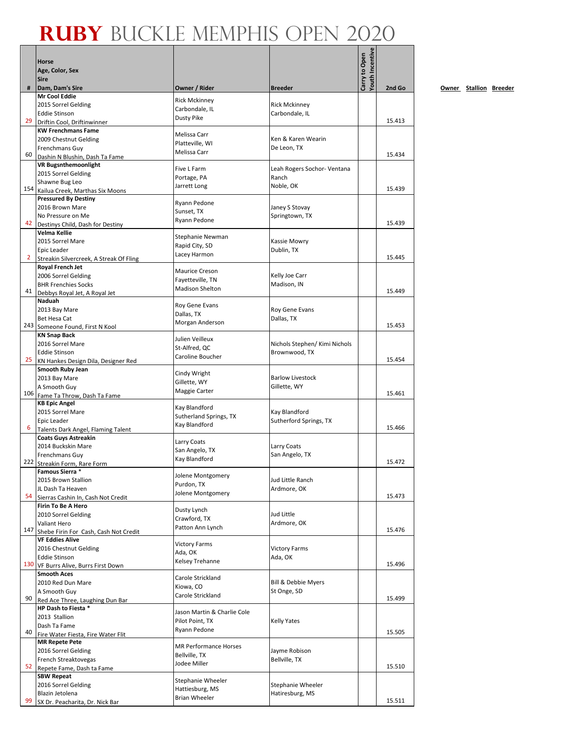|                | <b>Horse</b>                                                    |                                   |                                               | <b>Touth Incentive</b><br>Carry to Open |        |
|----------------|-----------------------------------------------------------------|-----------------------------------|-----------------------------------------------|-----------------------------------------|--------|
|                | Age, Color, Sex<br><b>Sire</b>                                  |                                   |                                               |                                         |        |
| #              | Dam, Dam's Sire                                                 | Owner / Rider                     | <b>Breeder</b>                                |                                         | 2nd Go |
|                | Mr Cool Eddie                                                   | <b>Rick Mckinney</b>              |                                               |                                         |        |
|                | 2015 Sorrel Gelding<br><b>Eddie Stinson</b>                     | Carbondale, IL                    | <b>Rick Mckinney</b><br>Carbondale, IL        |                                         |        |
| 29             | Driftin Cool, Driftinwinner                                     | <b>Dusty Pike</b>                 |                                               |                                         | 15.413 |
|                | <b>KW Frenchmans Fame</b>                                       | Melissa Carr                      |                                               |                                         |        |
|                | 2009 Chestnut Gelding                                           | Platteville, WI                   | Ken & Karen Wearin                            |                                         |        |
| 60             | Frenchmans Guy                                                  | Melissa Carr                      | De Leon, TX                                   |                                         | 15.434 |
|                | Dashin N Blushin, Dash Ta Fame<br><b>VR Bugsnthemoonlight</b>   |                                   |                                               |                                         |        |
|                | 2015 Sorrel Gelding                                             | Five L Farm                       | Leah Rogers Sochor- Ventana                   |                                         |        |
|                | Shawne Bug Leo                                                  | Portage, PA<br>Jarrett Long       | Ranch<br>Noble, OK                            |                                         |        |
| 154            | Kailua Creek, Marthas Six Moons                                 |                                   |                                               |                                         | 15.439 |
|                | <b>Pressured By Destiny</b><br>2016 Brown Mare                  | Ryann Pedone                      | Janey S Stovay                                |                                         |        |
|                | No Pressure on Me                                               | Sunset, TX                        | Springtown, TX                                |                                         |        |
| 42             | Destinys Child, Dash for Destiny                                | Ryann Pedone                      |                                               |                                         | 15.439 |
|                | Velma Kellie                                                    | Stephanie Newman                  |                                               |                                         |        |
|                | 2015 Sorrel Mare<br>Epic Leader                                 | Rapid City, SD                    | Kassie Mowry<br>Dublin, TX                    |                                         |        |
| $\overline{2}$ | Streakin Silvercreek, A Streak Of Fling                         | Lacey Harmon                      |                                               |                                         | 15.445 |
|                | Royal French Jet                                                | <b>Maurice Creson</b>             |                                               |                                         |        |
|                | 2006 Sorrel Gelding                                             | Fayetteville, TN                  | Kelly Joe Carr                                |                                         |        |
| 41             | <b>BHR Frenchies Socks</b><br>Debbys Royal Jet, A Royal Jet     | <b>Madison Shelton</b>            | Madison, IN                                   |                                         | 15.449 |
|                | Naduah                                                          |                                   |                                               |                                         |        |
|                | 2013 Bay Mare                                                   | Roy Gene Evans<br>Dallas, TX      | Roy Gene Evans                                |                                         |        |
|                | Bet Hesa Cat                                                    | Morgan Anderson                   | Dallas, TX                                    |                                         | 15.453 |
|                | 243 Someone Found, First N Kool<br><b>KN Snap Back</b>          |                                   |                                               |                                         |        |
|                | 2016 Sorrel Mare                                                | Julien Veilleux                   | Nichols Stephen/ Kimi Nichols                 |                                         |        |
|                | <b>Eddie Stinson</b>                                            | St-Alfred, QC<br>Caroline Boucher | Brownwood, TX                                 |                                         |        |
| 25             | KN Hankes Design Dila, Designer Red                             |                                   |                                               |                                         | 15.454 |
|                | Smooth Ruby Jean                                                | Cindy Wright                      | <b>Barlow Livestock</b>                       |                                         |        |
|                | 2013 Bay Mare<br>A Smooth Guy                                   | Gillette, WY                      | Gillette, WY                                  |                                         |        |
|                | 106 Fame Ta Throw, Dash Ta Fame                                 | Maggie Carter                     |                                               |                                         | 15.461 |
|                | <b>KB Epic Angel</b>                                            | Kay Blandford                     |                                               |                                         |        |
|                | 2015 Sorrel Mare                                                | Sutherland Springs, TX            | Kay Blandford                                 |                                         |        |
| 6              | Epic Leader<br>Talents Dark Angel, Flaming Talent               | Kay Blandford                     | Sutherford Springs, TX                        |                                         | 15.466 |
|                | <b>Coats Guys Astreakin</b>                                     | Larry Coats                       |                                               |                                         |        |
|                | 2014 Buckskin Mare                                              | San Angelo, TX                    | Larry Coats                                   |                                         |        |
|                | Frenchmans Guy<br>222 Streakin Form, Rare Form                  | Kay Blandford                     | San Angelo, TX                                |                                         | 15.472 |
|                | Famous Sierra *                                                 |                                   |                                               |                                         |        |
|                | 2015 Brown Stallion                                             | Jolene Montgomery<br>Purdon, TX   | Jud Little Ranch                              |                                         |        |
| 54             | JL Dash Ta Heaven                                               | Jolene Montgomery                 | Ardmore, OK                                   |                                         | 15.473 |
|                | Sierras Cashin In, Cash Not Credit<br><b>Firin To Be A Hero</b> |                                   |                                               |                                         |        |
|                | 2010 Sorrel Gelding                                             | Dusty Lynch                       | Jud Little                                    |                                         |        |
|                | Valiant Hero                                                    | Crawford, TX<br>Patton Ann Lynch  | Ardmore, OK                                   |                                         |        |
| 147            | Shebe Firin For Cash, Cash Not Credit                           |                                   |                                               |                                         | 15.476 |
|                | <b>VF Eddies Alive</b><br>2016 Chestnut Gelding                 | <b>Victory Farms</b>              | <b>Victory Farms</b>                          |                                         |        |
|                | <b>Eddie Stinson</b>                                            | Ada, OK                           | Ada, OK                                       |                                         |        |
| 130            | VF Burrs Alive, Burrs First Down                                | Kelsey Trehanne                   |                                               |                                         | 15.496 |
|                | <b>Smooth Aces</b>                                              | Carole Strickland                 |                                               |                                         |        |
|                | 2010 Red Dun Mare                                               | Kiowa, CO                         | <b>Bill &amp; Debbie Myers</b><br>St Onge, SD |                                         |        |
| 90             | A Smooth Guy<br>Red Ace Three, Laughing Dun Bar                 | Carole Strickland                 |                                               |                                         | 15.499 |
|                | HP Dash to Fiesta *                                             | Jason Martin & Charlie Cole       |                                               |                                         |        |
|                | 2013 Stallion                                                   | Pilot Point, TX                   | <b>Kelly Yates</b>                            |                                         |        |
| 40             | Dash Ta Fame                                                    | Ryann Pedone                      |                                               |                                         | 15.505 |
|                | Fire Water Fiesta, Fire Water Flit<br><b>MR Repete Pete</b>     |                                   |                                               |                                         |        |
|                | 2016 Sorrel Gelding                                             | <b>MR Performance Horses</b>      | Jayme Robison                                 |                                         |        |
|                | French Streaktovegas                                            | Bellville, TX<br>Jodee Miller     | Bellville, TX                                 |                                         |        |
| 52             | Repete Fame, Dash ta Fame                                       |                                   |                                               |                                         | 15.510 |
|                | <b>SBW Repeat</b><br>2016 Sorrel Gelding                        | Stephanie Wheeler                 | Stephanie Wheeler                             |                                         |        |
|                | Blazin Jetolena                                                 | Hattiesburg, MS                   | Hatiresburg, MS                               |                                         |        |
| 99             | SX Dr. Peacharita, Dr. Nick Bar                                 | <b>Brian Wheeler</b>              |                                               |                                         | 15.511 |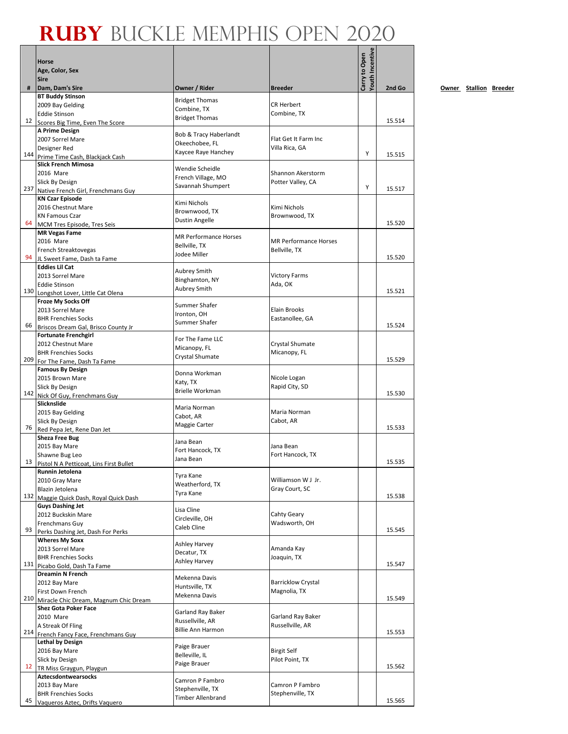|     |                                                                      |                                               |                                        | <b>Youth Incentive</b> |        |
|-----|----------------------------------------------------------------------|-----------------------------------------------|----------------------------------------|------------------------|--------|
|     | <b>Horse</b><br>Age, Color, Sex                                      |                                               |                                        |                        |        |
|     | <b>Sire</b>                                                          |                                               |                                        | Carry to Open          |        |
| #   | Dam, Dam's Sire                                                      | Owner / Rider                                 | <b>Breeder</b>                         |                        | 2nd Go |
|     | <b>BT Buddy Stinson</b><br>2009 Bay Gelding                          | <b>Bridget Thomas</b>                         | <b>CR Herbert</b>                      |                        |        |
|     | <b>Eddie Stinson</b>                                                 | Combine, TX<br><b>Bridget Thomas</b>          | Combine, TX                            |                        |        |
| 12  | Scores Big Time, Even The Score                                      |                                               |                                        |                        | 15.514 |
|     | A Prime Design<br>2007 Sorrel Mare                                   | Bob & Tracy Haberlandt                        | Flat Get It Farm Inc                   |                        |        |
|     | Designer Red                                                         | Okeechobee, FL                                | Villa Rica, GA                         |                        |        |
|     | 144 Prime Time Cash, Blackjack Cash                                  | Kaycee Raye Hanchey                           |                                        | Y                      | 15.515 |
|     | <b>Slick French Mimosa</b>                                           | Wendie Scheidle                               |                                        |                        |        |
|     | 2016 Mare<br>Slick By Design                                         | French Village, MO                            | Shannon Akerstorm<br>Potter Valley, CA |                        |        |
|     | 237 Native French Girl, Frenchmans Guy                               | Savannah Shumpert                             |                                        | Y                      | 15.517 |
|     | <b>KN Czar Episode</b>                                               | Kimi Nichols                                  |                                        |                        |        |
|     | 2016 Chestnut Mare                                                   | Brownwood, TX                                 | Kimi Nichols                           |                        |        |
| 64  | <b>KN Famous Czar</b><br>MCM Tres Episode, Tres Seis                 | Dustin Angelle                                | Brownwood, TX                          |                        | 15.520 |
|     | <b>MR Vegas Fame</b>                                                 |                                               |                                        |                        |        |
|     | 2016 Mare                                                            | <b>MR Performance Horses</b><br>Bellville, TX | <b>MR Performance Horses</b>           |                        |        |
|     | French Streaktovegas                                                 | Jodee Miller                                  | Bellville, TX                          |                        | 15.520 |
| 94  | JL Sweet Fame, Dash ta Fame<br><b>Eddies Lil Cat</b>                 |                                               |                                        |                        |        |
|     | 2013 Sorrel Mare                                                     | <b>Aubrey Smith</b>                           | <b>Victory Farms</b>                   |                        |        |
|     | <b>Eddie Stinson</b>                                                 | Binghamton, NY<br><b>Aubrey Smith</b>         | Ada, OK                                |                        |        |
|     | 130 Longshot Lover, Little Cat Olena                                 |                                               |                                        |                        | 15.521 |
|     | Froze My Socks Off<br>2013 Sorrel Mare                               | Summer Shafer                                 | Elain Brooks                           |                        |        |
|     | <b>BHR Frenchies Socks</b>                                           | Ironton, OH                                   | Eastanollee, GA                        |                        |        |
| 66  | Briscos Dream Gal, Brisco County Jr                                  | Summer Shafer                                 |                                        |                        | 15.524 |
|     | <b>Fortunate Frenchgirl</b>                                          | For The Fame LLC                              |                                        |                        |        |
|     | 2012 Chestnut Mare                                                   | Micanopy, FL                                  | Crystal Shumate                        |                        |        |
| 209 | <b>BHR Frenchies Socks</b><br>For The Fame, Dash Ta Fame             | Crystal Shumate                               | Micanopy, FL                           |                        | 15.529 |
|     | <b>Famous By Design</b>                                              | Donna Workman                                 |                                        |                        |        |
|     | 2015 Brown Mare                                                      | Katy, TX                                      | Nicole Logan                           |                        |        |
|     | Slick By Design                                                      | <b>Brielle Workman</b>                        | Rapid City, SD                         |                        | 15.530 |
|     | 142 Nick Of Guy, Frenchmans Guy<br>Slicknslide                       |                                               |                                        |                        |        |
|     | 2015 Bay Gelding                                                     | Maria Norman<br>Cabot, AR                     | Maria Norman                           |                        |        |
|     | Slick By Design                                                      | Maggie Carter                                 | Cabot, AR                              |                        |        |
| 76  | Red Pepa Jet, Rene Dan Jet<br><b>Sheza Free Bug</b>                  |                                               |                                        |                        | 15.533 |
|     | 2015 Bay Mare                                                        | Jana Bean                                     | Jana Bean                              |                        |        |
|     | Shawne Bug Leo                                                       | Fort Hancock, TX<br>Jana Bean                 | Fort Hancock, TX                       |                        |        |
| 13  | Pistol N A Petticoat. Lins First Bullet                              |                                               |                                        |                        | 15.535 |
|     | Runnin Jetolena<br>2010 Gray Mare                                    | Tyra Kane                                     | Williamson W J Jr.                     |                        |        |
|     | Blazin Jetolena                                                      | Weatherford, TX                               | Gray Court, SC                         |                        |        |
| 132 | Maggie Quick Dash, Royal Quick Dash                                  | Tyra Kane                                     |                                        |                        | 15.538 |
|     | <b>Guys Dashing Jet</b>                                              | Lisa Cline                                    |                                        |                        |        |
|     | 2012 Buckskin Mare<br>Frenchmans Guy                                 | Circleville, OH                               | Cahty Geary<br>Wadsworth, OH           |                        |        |
| 93  | Perks Dashing Jet, Dash For Perks                                    | Caleb Cline                                   |                                        |                        | 15.545 |
|     | <b>Wheres My Soxx</b>                                                | Ashley Harvey                                 |                                        |                        |        |
|     | 2013 Sorrel Mare                                                     | Decatur, TX                                   | Amanda Kay                             |                        |        |
| 131 | <b>BHR Frenchies Socks</b><br>Picabo Gold, Dash Ta Fame              | Ashley Harvey                                 | Joaquin, TX                            |                        | 15.547 |
|     | Dreamin N French                                                     |                                               |                                        |                        |        |
|     | 2012 Bay Mare                                                        | Mekenna Davis<br>Huntsville, TX               | <b>Barricklow Crystal</b>              |                        |        |
| 210 | First Down French                                                    | Mekenna Davis                                 | Magnolia, TX                           |                        | 15.549 |
|     | Miracle Chic Dream, Magnum Chic Dream<br><b>Shez Gota Poker Face</b> |                                               |                                        |                        |        |
|     | 2010 Mare                                                            | Garland Ray Baker                             | Garland Ray Baker                      |                        |        |
|     | A Streak Of Fling                                                    | Russellville, AR<br><b>Billie Ann Harmon</b>  | Russellville, AR                       |                        |        |
|     | 214 French Fancy Face, Frenchmans Guy                                |                                               |                                        |                        | 15.553 |
|     | <b>Lethal by Design</b><br>2016 Bay Mare                             | Paige Brauer                                  | <b>Birgit Self</b>                     |                        |        |
|     | Slick by Design                                                      | Belleville, IL                                | Pilot Point, TX                        |                        |        |
| 12  | TR Miss Graygun, Playgun                                             | Paige Brauer                                  |                                        |                        | 15.562 |
|     | <b>Aztecsdontwearsocks</b>                                           | Camron P Fambro                               |                                        |                        |        |
|     | 2013 Bay Mare<br><b>BHR Frenchies Socks</b>                          | Stephenville, TX                              | Camron P Fambro<br>Stephenville, TX    |                        |        |
| 45  | Vaqueros Aztec, Drifts Vaquero                                       | <b>Timber Allenbrand</b>                      |                                        |                        | 15.565 |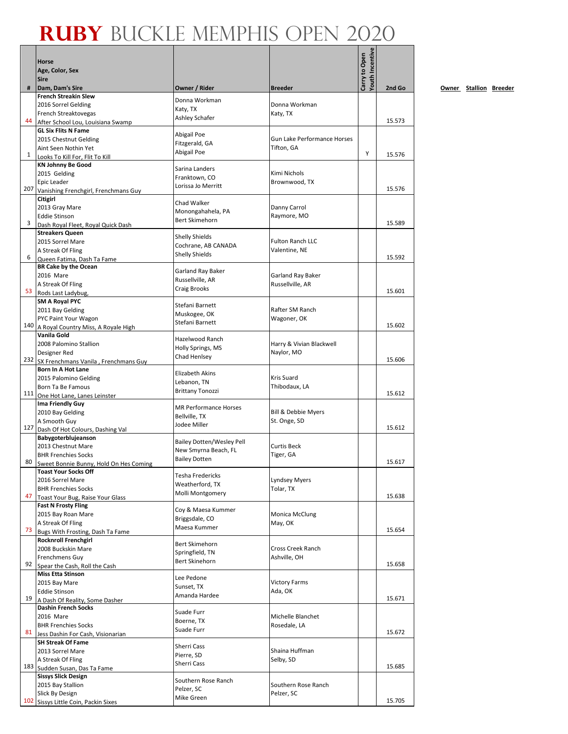|              | Horse<br>Age, Color, Sex                                             |                                      |                                | Youth Incentive<br>Carry to Open |        |
|--------------|----------------------------------------------------------------------|--------------------------------------|--------------------------------|----------------------------------|--------|
| #            | <b>Sire</b><br>Dam, Dam's Sire                                       | Owner / Rider                        | <b>Breeder</b>                 |                                  | 2nd Go |
|              | <b>French Streakin Slew</b>                                          |                                      |                                |                                  |        |
|              | 2016 Sorrel Gelding                                                  | Donna Workman                        | Donna Workman                  |                                  |        |
|              | French Streaktovegas                                                 | Katy, TX<br>Ashley Schafer           | Katy, TX                       |                                  |        |
| 44           | After School Lou, Louisiana Swamp                                    |                                      |                                |                                  | 15.573 |
|              | <b>GL Six Flits N Fame</b>                                           | Abigail Poe                          |                                |                                  |        |
|              | 2015 Chestnut Gelding                                                | Fitzgerald, GA                       | Gun Lake Performance Horses    |                                  |        |
| $\mathbf{1}$ | Aint Seen Nothin Yet                                                 | Abigail Poe                          | Tifton, GA                     | Y                                | 15.576 |
|              | Looks To Kill For, Flit To Kill<br><b>KN Johnny Be Good</b>          |                                      |                                |                                  |        |
|              | 2015 Gelding                                                         | Sarina Landers                       | Kimi Nichols                   |                                  |        |
|              | Epic Leader                                                          | Franktown. CO                        | Brownwood, TX                  |                                  |        |
| 207          | Vanishing Frenchgirl, Frenchmans Guy                                 | Lorissa Jo Merritt                   |                                |                                  | 15.576 |
|              | Citigirl                                                             | Chad Walker                          |                                |                                  |        |
|              | 2013 Gray Mare                                                       | Monongahahela, PA                    | Danny Carrol                   |                                  |        |
| 3            | <b>Eddie Stinson</b>                                                 | <b>Bert Skimehorn</b>                | Raymore, MO                    |                                  | 15.589 |
|              | Dash Royal Fleet, Royal Quick Dash<br><b>Streakers Queen</b>         |                                      |                                |                                  |        |
|              | 2015 Sorrel Mare                                                     | <b>Shelly Shields</b>                | <b>Fulton Ranch LLC</b>        |                                  |        |
|              | A Streak Of Fling                                                    | Cochrane, AB CANADA                  | Valentine, NE                  |                                  |        |
| 6            | Queen Fatima, Dash Ta Fame                                           | <b>Shelly Shields</b>                |                                |                                  | 15.592 |
|              | <b>BR Cake by the Ocean</b>                                          | <b>Garland Ray Baker</b>             |                                |                                  |        |
|              | 2016 Mare                                                            | Russellville, AR                     | Garland Ray Baker              |                                  |        |
|              | A Streak Of Fling                                                    | Craig Brooks                         | Russellville, AR               |                                  | 15.601 |
| 53           | Rods Last Ladybug,                                                   |                                      |                                |                                  |        |
|              | <b>SM A Royal PYC</b><br>2011 Bay Gelding                            | Stefani Barnett                      | Rafter SM Ranch                |                                  |        |
|              | PYC Paint Your Wagon                                                 | Muskogee, OK                         | Wagoner, OK                    |                                  |        |
| 140          | A Royal Country Miss, A Royale High                                  | Stefani Barnett                      |                                |                                  | 15.602 |
|              | Vanila Gold                                                          |                                      |                                |                                  |        |
|              | 2008 Palomino Stallion                                               | Hazelwood Ranch<br>Holly Springs, MS | Harry & Vivian Blackwell       |                                  |        |
|              | Designer Red                                                         | Chad Henlsey                         | Naylor, MO                     |                                  |        |
|              | 232 SX Frenchmans Vanila, Frenchmans Guy                             |                                      |                                |                                  | 15.606 |
|              | Born In A Hot Lane                                                   | Elizabeth Akins                      |                                |                                  |        |
|              | 2015 Palomino Gelding                                                | Lebanon, TN                          | Kris Suard                     |                                  |        |
|              | Born Ta Be Famous<br>111 One Hot Lane, Lanes Leinster                | <b>Brittany Tonozzi</b>              | Thibodaux, LA                  |                                  | 15.612 |
|              | Ima Friendly Guy                                                     |                                      |                                |                                  |        |
|              | 2010 Bay Gelding                                                     | <b>MR Performance Horses</b>         | <b>Bill &amp; Debbie Myers</b> |                                  |        |
|              | A Smooth Guy                                                         | Bellville, TX<br>Jodee Miller        | St. Onge, SD                   |                                  |        |
| 127          | Dash Of Hot Colours, Dashing Val                                     |                                      |                                |                                  | 15.612 |
|              | Babygoterblujeanson                                                  | <b>Bailey Dotten/Wesley Pell</b>     |                                |                                  |        |
|              | 2013 Chestnut Mare                                                   | New Smyrna Beach, FL                 | <b>Curtis Beck</b>             |                                  |        |
| 80           | <b>BHR Frenchies Socks</b><br>Sweet Bonnie Bunny, Hold On Hes Coming | <b>Bailey Dotten</b>                 | Tiger, GA                      |                                  | 15.617 |
|              | <b>Toast Your Socks Off</b>                                          |                                      |                                |                                  |        |
|              | 2016 Sorrel Mare                                                     | Tesha Fredericks                     | <b>Lyndsey Myers</b>           |                                  |        |
|              | <b>BHR Frenchies Socks</b>                                           | Weatherford, TX<br>Molli Montgomery  | Tolar, TX                      |                                  |        |
| 47           | Toast Your Bug, Raise Your Glass                                     |                                      |                                |                                  | 15.638 |
|              | <b>Fast N Frosty Fling</b>                                           | Coy & Maesa Kummer                   |                                |                                  |        |
|              | 2015 Bay Roan Mare                                                   | Briggsdale, CO                       | Monica McClung                 |                                  |        |
| 73           | A Streak Of Fling<br>Bugs With Frosting, Dash Ta Fame                | Maesa Kummer                         | May, OK                        |                                  | 15.654 |
|              | <b>Rocknroll Frenchgirl</b>                                          |                                      |                                |                                  |        |
|              | 2008 Buckskin Mare                                                   | Bert Skimehorn                       | Cross Creek Ranch              |                                  |        |
|              | Frenchmens Guy                                                       | Springfield, TN                      | Ashville, OH                   |                                  |        |
| 92           | Spear the Cash, Roll the Cash                                        | <b>Bert Skinehorn</b>                |                                |                                  | 15.658 |
|              | <b>Miss Etta Stinson</b>                                             | Lee Pedone                           |                                |                                  |        |
|              | 2015 Bay Mare                                                        | Sunset, TX                           | <b>Victory Farms</b>           |                                  |        |
| 19           | <b>Eddie Stinson</b>                                                 | Amanda Hardee                        | Ada, OK                        |                                  | 15.671 |
|              | A Dash Of Reality, Some Dasher<br><b>Dashin French Socks</b>         |                                      |                                |                                  |        |
|              | 2016 Mare                                                            | Suade Furr                           | Michelle Blanchet              |                                  |        |
|              | <b>BHR Frenchies Socks</b>                                           | Boerne, TX                           | Rosedale, LA                   |                                  |        |
| 81           | Jess Dashin For Cash, Visionarian                                    | Suade Furr                           |                                |                                  | 15.672 |
|              | <b>SH Streak Of Fame</b>                                             | Sherri Cass                          |                                |                                  |        |
|              | 2013 Sorrel Mare                                                     | Pierre, SD                           | Shaina Huffman                 |                                  |        |
|              | A Streak Of Fling                                                    | Sherri Cass                          | Selby, SD                      |                                  |        |
|              | 183 Sudden Susan, Das Ta Fame                                        |                                      |                                |                                  | 15.685 |
|              | <b>Sissys Slick Design</b>                                           | Southern Rose Ranch                  | Southern Rose Ranch            |                                  |        |
|              | 2015 Bay Stallion<br>Slick By Design                                 | Pelzer, SC                           | Pelzer, SC                     |                                  |        |
| 102          | Sissys Little Coin, Packin Sixes                                     | Mike Green                           |                                |                                  | 15.705 |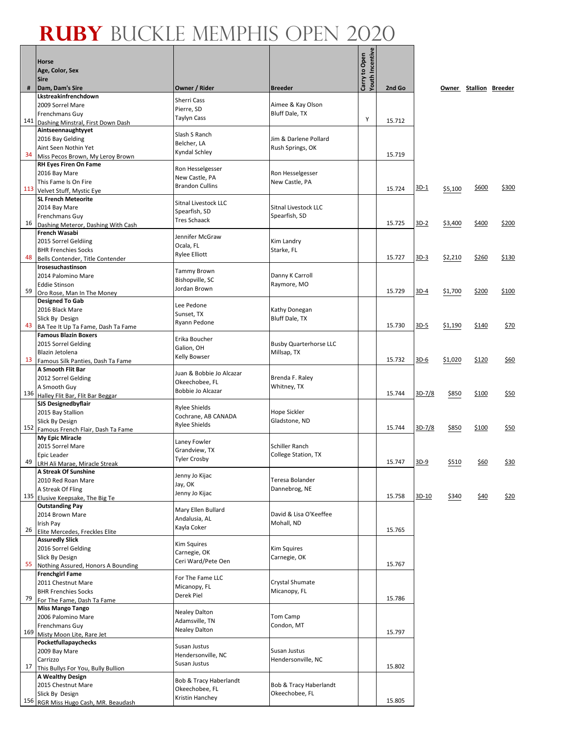|     | Horse<br>Age, Color, Sex<br><b>Sire</b>                           |                                    |                                     | Youth Incentive<br>Carry to Open |        |             |         |                        |       |
|-----|-------------------------------------------------------------------|------------------------------------|-------------------------------------|----------------------------------|--------|-------------|---------|------------------------|-------|
| #   | Dam, Dam's Sire                                                   | Owner / Rider                      | <b>Breeder</b>                      |                                  | 2nd Go |             |         | Owner Stallion Breeder |       |
|     | Lkstreakinfrenchdown                                              | <b>Sherri Cass</b>                 |                                     |                                  |        |             |         |                        |       |
|     | 2009 Sorrel Mare<br>Frenchmans Guy                                | Pierre, SD                         | Aimee & Kay Olson<br>Bluff Dale, TX |                                  |        |             |         |                        |       |
| 141 | Dashing Minstral, First Down Dash                                 | <b>Taylyn Cass</b>                 |                                     | Υ                                | 15.712 |             |         |                        |       |
|     | Aintseennaughtyyet                                                | Slash S Ranch                      |                                     |                                  |        |             |         |                        |       |
|     | 2016 Bay Gelding                                                  | Belcher, LA                        | Jim & Darlene Pollard               |                                  |        |             |         |                        |       |
| 34  | Aint Seen Nothin Yet<br>Miss Pecos Brown, My Leroy Brown          | Kyndal Schley                      | Rush Springs, OK                    |                                  | 15.719 |             |         |                        |       |
|     | RH Eyes Firen On Fame                                             |                                    |                                     |                                  |        |             |         |                        |       |
|     | 2016 Bay Mare                                                     | Ron Hesselgesser<br>New Castle, PA | Ron Hesselgesser                    |                                  |        |             |         |                        |       |
|     | This Fame Is On Fire                                              | <b>Brandon Cullins</b>             | New Castle, PA                      |                                  |        | <u>3D-1</u> |         | \$600                  | \$300 |
|     | 113 Velvet Stuff, Mystic Eye                                      |                                    |                                     |                                  | 15.724 |             | \$5,100 |                        |       |
|     | <b>SL French Meteorite</b><br>2014 Bay Mare                       | Sitnal Livestock LLC               | Sitnal Livestock LLC                |                                  |        |             |         |                        |       |
|     | Frenchmans Guy                                                    | Spearfish, SD                      | Spearfish, SD                       |                                  |        |             |         |                        |       |
| 16  | Dashing Meteror, Dashing With Cash                                | <b>Tres Schaack</b>                |                                     |                                  | 15.725 | 3D-2        | \$3,400 | \$400                  | \$200 |
|     | <b>French Wasabi</b>                                              | Jennifer McGraw                    |                                     |                                  |        |             |         |                        |       |
|     | 2015 Sorrel Geldiing<br><b>BHR Frenchies Socks</b>                | Ocala, FL                          | Kim Landry<br>Starke, FL            |                                  |        |             |         |                        |       |
| 48  | Bells Contender, Title Contender                                  | <b>Rylee Elliott</b>               |                                     |                                  | 15.727 | $3D-3$      | \$2,210 | \$260                  | \$130 |
|     | Irosesuchastinson                                                 | <b>Tammy Brown</b>                 |                                     |                                  |        |             |         |                        |       |
|     | 2014 Palomino Mare                                                | Bishopville, SC                    | Danny K Carroll                     |                                  |        |             |         |                        |       |
| 59  | <b>Eddie Stinson</b><br>Oro Rose, Man In The Money                | Jordan Brown                       | Raymore, MO                         |                                  | 15.729 | $3D-4$      | \$1,700 | \$200                  | \$100 |
|     | <b>Designed To Gab</b>                                            |                                    |                                     |                                  |        |             |         |                        |       |
|     | 2016 Black Mare                                                   | Lee Pedone<br>Sunset, TX           | Kathy Donegan                       |                                  |        |             |         |                        |       |
|     | Slick By Design                                                   | Ryann Pedone                       | Bluff Dale, TX                      |                                  |        |             |         |                        |       |
| 43  | BA Tee It Up Ta Fame, Dash Ta Fame<br><b>Famous Blazin Boxers</b> |                                    |                                     |                                  | 15.730 | 3D-5        | \$1,190 | \$140                  | \$70  |
|     | 2015 Sorrel Gelding                                               | Erika Boucher                      | <b>Busby Quarterhorse LLC</b>       |                                  |        |             |         |                        |       |
|     | Blazin Jetolena                                                   | Galion, OH<br><b>Kelly Bowser</b>  | Millsap, TX                         |                                  |        |             |         |                        |       |
| 13  | Famous Silk Panties, Dash Ta Fame                                 |                                    |                                     |                                  | 15.732 | 3D-6        | \$1,020 | \$120                  | \$60  |
|     | A Smooth Flit Bar<br>2012 Sorrel Gelding                          | Juan & Bobbie Jo Alcazar           | Brenda F. Raley                     |                                  |        |             |         |                        |       |
|     | A Smooth Guy                                                      | Okeechobee, FL                     | Whitney, TX                         |                                  |        |             |         |                        |       |
|     | 136 Halley Flit Bar, Flit Bar Beggar                              | Bobbie Jo Alcazar                  |                                     |                                  | 15.744 | 3D-7/8      | \$850   | \$100                  | \$50  |
|     | <b>SJS Designedbyflair</b>                                        | <b>Rylee Shields</b>               |                                     |                                  |        |             |         |                        |       |
|     | 2015 Bay Stallion                                                 | Cochrane, AB CANADA                | Hope Sickler<br>Gladstone, ND       |                                  |        |             |         |                        |       |
| 152 | Slick By Design<br>Famous French Flair, Dash Ta Fame              | <b>Rylee Shields</b>               |                                     |                                  | 15.744 | 3D-7/8      | \$850   | \$100                  | \$50  |
|     | My Epic Miracle                                                   | Laney Fowler                       |                                     |                                  |        |             |         |                        |       |
|     | 2015 Sorrel Mare                                                  | Grandview, TX                      | <b>Schiller Ranch</b>               |                                  |        |             |         |                        |       |
| 49  | Epic Leader<br>LRH Ali Marae, Miracle Streak                      | <b>Tyler Crosby</b>                | College Station, TX                 |                                  | 15.747 | $3D-9$      | \$510   | <u>\$60</u>            | \$30  |
|     | A Streak Of Sunshine                                              |                                    |                                     |                                  |        |             |         |                        |       |
|     | 2010 Red Roan Mare                                                | Jenny Jo Kijac<br>Jay, OK          | Teresa Bolander                     |                                  |        |             |         |                        |       |
|     | A Streak Of Fling                                                 | Jenny Jo Kijac                     | Dannebrog, NE                       |                                  | 15.758 | 3D-10       |         |                        |       |
|     | 135 Elusive Keepsake, The Big Te<br><b>Outstanding Pay</b>        |                                    |                                     |                                  |        |             | \$340   | \$40                   | \$20  |
|     | 2014 Brown Mare                                                   | Mary Ellen Bullard                 | David & Lisa O'Keeffee              |                                  |        |             |         |                        |       |
|     | Irish Pay                                                         | Andalusia, AL<br>Kayla Coker       | Mohall, ND                          |                                  |        |             |         |                        |       |
| 26  | Elite Mercedes, Freckles Elite<br><b>Assuredly Slick</b>          |                                    |                                     |                                  | 15.765 |             |         |                        |       |
|     | 2016 Sorrel Gelding                                               | <b>Kim Squires</b>                 | <b>Kim Squires</b>                  |                                  |        |             |         |                        |       |
|     | Slick By Design                                                   | Carnegie, OK                       | Carnegie, OK                        |                                  |        |             |         |                        |       |
| 55  | Nothing Assured, Honors A Bounding                                | Ceri Ward/Pete Oen                 |                                     |                                  | 15.767 |             |         |                        |       |
|     | <b>Frenchgirl Fame</b>                                            | For The Fame LLC                   |                                     |                                  |        |             |         |                        |       |
|     | 2011 Chestnut Mare<br><b>BHR Frenchies Socks</b>                  | Micanopy, FL                       | Crystal Shumate<br>Micanopy, FL     |                                  |        |             |         |                        |       |
| 79  | For The Fame, Dash Ta Fame                                        | Derek Piel                         |                                     |                                  | 15.786 |             |         |                        |       |
|     | <b>Miss Mango Tango</b>                                           | <b>Nealey Dalton</b>               |                                     |                                  |        |             |         |                        |       |
|     | 2006 Palomino Mare                                                | Adamsville, TN                     | Tom Camp                            |                                  |        |             |         |                        |       |
| 169 | Frenchmans Guy<br>Misty Moon Lite, Rare Jet                       | <b>Nealey Dalton</b>               | Condon, MT                          |                                  | 15.797 |             |         |                        |       |
|     | Pocketfullapaychecks                                              |                                    |                                     |                                  |        |             |         |                        |       |
|     | 2009 Bay Mare                                                     | Susan Justus<br>Hendersonville, NC | Susan Justus                        |                                  |        |             |         |                        |       |
| 17  | Carrizzo                                                          | Susan Justus                       | Hendersonville, NC                  |                                  | 15.802 |             |         |                        |       |
|     | This Bullys For You, Bully Bullion<br>A Wealthy Design            |                                    |                                     |                                  |        |             |         |                        |       |
|     | 2015 Chestnut Mare                                                | Bob & Tracy Haberlandt             | Bob & Tracy Haberlandt              |                                  |        |             |         |                        |       |
|     | Slick By Design                                                   | Okeechobee, FL<br>Kristin Hanchey  | Okeechobee, FL                      |                                  |        |             |         |                        |       |
|     | 156 RGR Miss Hugo Cash, MR. Beaudash                              |                                    |                                     |                                  | 15.805 |             |         |                        |       |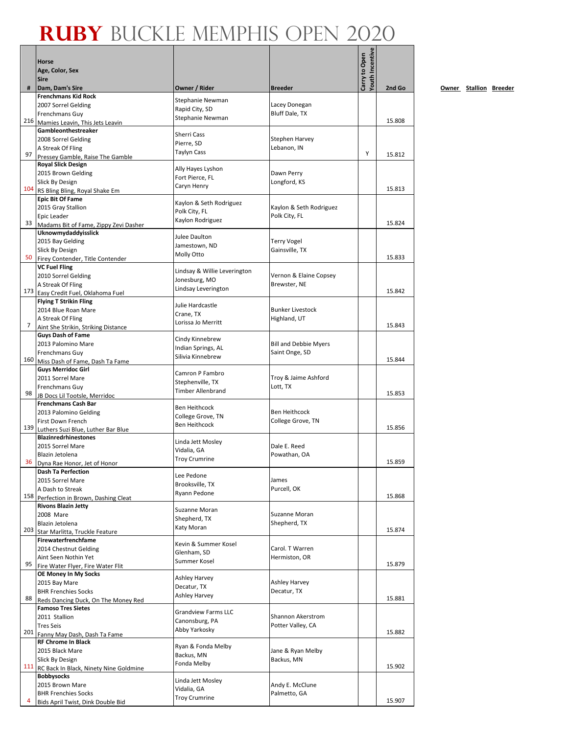|    | <b>Horse</b>                                                          |                                   |                              |                                  |        |
|----|-----------------------------------------------------------------------|-----------------------------------|------------------------------|----------------------------------|--------|
|    | Age, Color, Sex                                                       |                                   |                              | Youth Incentive<br>Carry to Open |        |
|    | <b>Sire</b>                                                           |                                   |                              |                                  |        |
| #  | Dam, Dam's Sire<br><b>Frenchmans Kid Rock</b>                         | Owner / Rider                     | <b>Breeder</b>               |                                  | 2nd Go |
|    | 2007 Sorrel Gelding                                                   | Stephanie Newman                  | Lacey Donegan                |                                  |        |
|    | Frenchmans Guy                                                        | Rapid City, SD                    | Bluff Dale, TX               |                                  |        |
|    | 216 Mamies Leavin, This Jets Leavin                                   | Stephanie Newman                  |                              |                                  | 15.808 |
|    | Gambleonthestreaker                                                   | Sherri Cass                       |                              |                                  |        |
|    | 2008 Sorrel Gelding                                                   | Pierre, SD                        | Stephen Harvey               |                                  |        |
|    | A Streak Of Fling                                                     | <b>Taylyn Cass</b>                | Lebanon, IN                  | Υ                                |        |
| 97 | Pressey Gamble, Raise The Gamble                                      |                                   |                              |                                  | 15.812 |
|    | <b>Royal Slick Design</b>                                             | Ally Hayes Lyshon                 |                              |                                  |        |
|    | 2015 Brown Gelding<br>Slick By Design                                 | Fort Pierce, FL                   | Dawn Perry<br>Longford, KS   |                                  |        |
|    | 104 RS Bling Bling, Royal Shake Em                                    | Caryn Henry                       |                              |                                  | 15.813 |
|    | <b>Epic Bit Of Fame</b>                                               |                                   |                              |                                  |        |
|    | 2015 Gray Stallion                                                    | Kaylon & Seth Rodriguez           | Kaylon & Seth Rodriguez      |                                  |        |
|    | Epic Leader                                                           | Polk City, FL<br>Kaylon Rodriguez | Polk City, FL                |                                  |        |
| 33 | Madams Bit of Fame, Zippy Zevi Dasher                                 |                                   |                              |                                  | 15.824 |
|    | Uknowmydaddyisslick                                                   | Julee Daulton                     |                              |                                  |        |
|    | 2015 Bay Gelding                                                      | Jamestown, ND                     | <b>Terry Vogel</b>           |                                  |        |
| 50 | Slick By Design                                                       | Molly Otto                        | Gainsville, TX               |                                  | 15.833 |
|    | Firey Contender, Title Contender<br><b>VC Fuel Fling</b>              |                                   |                              |                                  |        |
|    | 2010 Sorrel Gelding                                                   | Lindsay & Willie Leverington      | Vernon & Elaine Copsey       |                                  |        |
|    | A Streak Of Fling                                                     | Jonesburg, MO                     | Brewster, NE                 |                                  |        |
|    | 173 Easy Credit Fuel, Oklahoma Fuel                                   | Lindsay Leverington               |                              |                                  | 15.842 |
|    | <b>Flying T Strikin Fling</b>                                         | Julie Hardcastle                  |                              |                                  |        |
|    | 2014 Blue Roan Mare                                                   | Crane, TX                         | <b>Bunker Livestock</b>      |                                  |        |
|    | A Streak Of Fling                                                     | Lorissa Jo Merritt                | Highland, UT                 |                                  |        |
| 7  | Aint She Strikin, Striking Distance                                   |                                   |                              |                                  | 15.843 |
|    | <b>Guys Dash of Fame</b>                                              | Cindy Kinnebrew                   |                              |                                  |        |
|    | 2013 Palomino Mare                                                    | Indian Springs, AL                | <b>Bill and Debbie Myers</b> |                                  |        |
|    | Frenchmans Guy<br>160 Miss Dash of Fame, Dash Ta Fame                 | Silivia Kinnebrew                 | Saint Onge, SD               |                                  | 15.844 |
|    | <b>Guys Merridoc Girl</b>                                             |                                   |                              |                                  |        |
|    | 2011 Sorrel Mare                                                      | Camron P Fambro                   | Troy & Jaime Ashford         |                                  |        |
|    | Frenchmans Guy                                                        | Stephenville, TX                  | Lott, TX                     |                                  |        |
|    | 98 JB Docs Lil Tootsle, Merridoc                                      | <b>Timber Allenbrand</b>          |                              |                                  | 15.853 |
|    | <b>Frenchmans Cash Bar</b>                                            | <b>Ben Heithcock</b>              |                              |                                  |        |
|    | 2013 Palomino Gelding                                                 | College Grove, TN                 | <b>Ben Heithcock</b>         |                                  |        |
|    | First Down French                                                     | <b>Ben Heithcock</b>              | College Grove, TN            |                                  | 15.856 |
|    | 139 Luthers Suzi Blue, Luther Bar Blue<br><b>Blazinredrhinestones</b> |                                   |                              |                                  |        |
|    | 2015 Sorrel Mare                                                      | Linda Jett Mosley                 | Dale E. Reed                 |                                  |        |
|    | Blazin Jetolena                                                       | Vidalia, GA                       | Powathan, OA                 |                                  |        |
|    | 36 Dyna Rae Honor, Jet of Honor                                       | <b>Troy Crumrine</b>              |                              |                                  | 15.859 |
|    | <b>Dash Ta Perfection</b>                                             | Lee Pedone                        |                              |                                  |        |
|    | 2015 Sorrel Mare                                                      | Brooksville, TX                   | James                        |                                  |        |
|    | A Dash to Streak                                                      | Ryann Pedone                      | Purcell, OK                  |                                  | 15.868 |
|    | 158 Perfection in Brown, Dashing Cleat<br><b>Rivons Blazin Jetty</b>  |                                   |                              |                                  |        |
|    | 2008 Mare                                                             | Suzanne Moran                     | Suzanne Moran                |                                  |        |
|    | Blazin Jetolena                                                       | Shepherd, TX                      | Shepherd, TX                 |                                  |        |
|    | 203 Star Marlitta, Truckle Feature                                    | Katy Moran                        |                              |                                  | 15.874 |
|    | Firewaterfrenchfame                                                   | Kevin & Summer Kosel              |                              |                                  |        |
|    | 2014 Chestnut Gelding                                                 | Glenham, SD                       | Carol. T Warren              |                                  |        |
|    | Aint Seen Nothin Yet                                                  | Summer Kosel                      | Hermiston, OR                |                                  |        |
| 95 | Fire Water Flyer, Fire Water Flit                                     |                                   |                              |                                  | 15.879 |
|    | OE Money In My Socks                                                  | Ashley Harvey                     |                              |                                  |        |
|    | 2015 Bay Mare<br><b>BHR Frenchies Socks</b>                           | Decatur, TX                       | Ashley Harvey<br>Decatur, TX |                                  |        |
| 88 | Reds Dancing Duck, On The Money Red                                   | Ashley Harvey                     |                              |                                  | 15.881 |
|    | <b>Famoso Tres Sietes</b>                                             |                                   |                              |                                  |        |
|    | 2011 Stallion                                                         | <b>Grandview Farms LLC</b>        | <b>Shannon Akerstrom</b>     |                                  |        |
|    | <b>Tres Seis</b>                                                      | Canonsburg, PA<br>Abby Yarkosky   | Potter Valley, CA            |                                  |        |
|    | 201 Fanny May Dash, Dash Ta Fame                                      |                                   |                              |                                  | 15.882 |
|    | <b>RF Chrome In Black</b>                                             | Ryan & Fonda Melby                |                              |                                  |        |
|    | 2015 Black Mare                                                       | Backus, MN                        | Jane & Ryan Melby            |                                  |        |
|    | Slick By Design                                                       | Fonda Melby                       | Backus, MN                   |                                  | 15.902 |
|    | 111 RC Back In Black, Ninety Nine Goldmine<br><b>Bobbysocks</b>       |                                   |                              |                                  |        |
|    | 2015 Brown Mare                                                       | Linda Jett Mosley                 | Andy E. McClune              |                                  |        |
|    | <b>BHR Frenchies Socks</b>                                            | Vidalia, GA                       | Palmetto, GA                 |                                  |        |
| 4  | Bids April Twist, Dink Double Bid                                     | <b>Troy Crumrine</b>              |                              |                                  | 15.907 |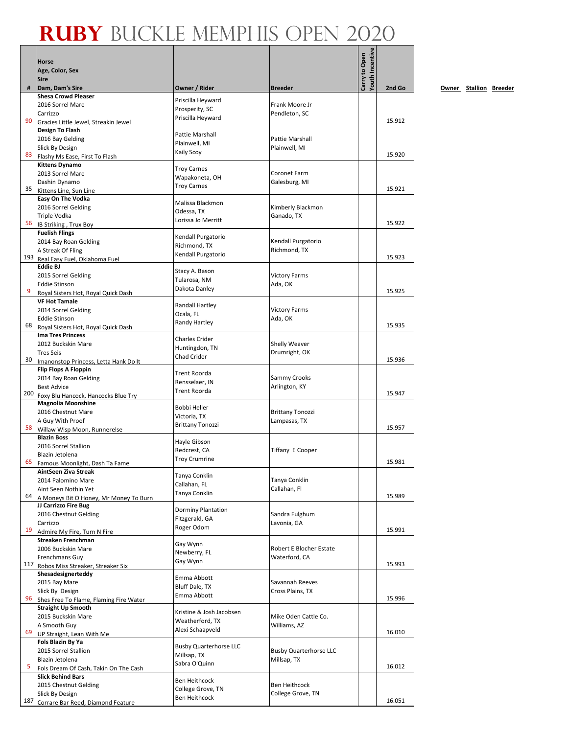|     | <b>Horse</b>                                                         |                                             |                                 | <b>Youth Incentive</b><br>Carry to Open |        |
|-----|----------------------------------------------------------------------|---------------------------------------------|---------------------------------|-----------------------------------------|--------|
|     | Age, Color, Sex<br><b>Sire</b>                                       |                                             |                                 |                                         |        |
| #   | Dam, Dam's Sire                                                      | Owner / Rider                               | <b>Breeder</b>                  |                                         | 2nd Go |
|     | <b>Shesa Crowd Pleaser</b>                                           | Priscilla Heyward                           |                                 |                                         |        |
|     | 2016 Sorrel Mare<br>Carrizzo                                         | Prosperity, SC                              | Frank Moore Jr                  |                                         |        |
| 90  | Gracies Little Jewel, Streakin Jewel                                 | Priscilla Heyward                           | Pendleton, SC                   |                                         | 15.912 |
|     | <b>Design To Flash</b>                                               | Pattie Marshall                             |                                 |                                         |        |
|     | 2016 Bay Gelding                                                     | Plainwell, MI                               | Pattie Marshall                 |                                         |        |
| 83  | Slick By Design<br>Flashy Ms Ease, First To Flash                    | <b>Kaily Scoy</b>                           | Plainwell, MI                   |                                         | 15.920 |
|     | <b>Kittens Dynamo</b>                                                |                                             |                                 |                                         |        |
|     | 2013 Sorrel Mare                                                     | <b>Troy Carnes</b><br>Wapakoneta, OH        | Coronet Farm                    |                                         |        |
| 35  | Dashin Dynamo                                                        | <b>Troy Carnes</b>                          | Galesburg, MI                   |                                         | 15.921 |
|     | Kittens Line, Sun Line<br>Easy On The Vodka                          |                                             |                                 |                                         |        |
|     | 2016 Sorrel Gelding                                                  | Malissa Blackmon                            | Kimberly Blackmon               |                                         |        |
|     | Triple Vodka                                                         | Odessa, TX<br>Lorissa Jo Merritt            | Ganado, TX                      |                                         |        |
| 56  | IB Striking, Trux Boy                                                |                                             |                                 |                                         | 15.922 |
|     | <b>Fuelish Flings</b><br>2014 Bay Roan Gelding                       | Kendall Purgatorio                          | Kendall Purgatorio              |                                         |        |
|     | A Streak Of Fling                                                    | Richmond, TX                                | Richmond, TX                    |                                         |        |
| 193 | Real Easy Fuel, Oklahoma Fuel                                        | Kendall Purgatorio                          |                                 |                                         | 15.923 |
|     | <b>Eddie BJ</b>                                                      | Stacy A. Bason                              |                                 |                                         |        |
|     | 2015 Sorrel Gelding<br><b>Eddie Stinson</b>                          | Tularosa, NM                                | <b>Victory Farms</b><br>Ada, OK |                                         |        |
| 9   | Royal Sisters Hot, Royal Quick Dash                                  | Dakota Danley                               |                                 |                                         | 15.925 |
|     | <b>VF Hot Tamale</b>                                                 | <b>Randall Hartley</b>                      |                                 |                                         |        |
|     | 2014 Sorrel Gelding                                                  | Ocala, FL                                   | <b>Victory Farms</b>            |                                         |        |
| 68  | <b>Eddie Stinson</b><br>Royal Sisters Hot, Royal Quick Dash          | Randy Hartley                               | Ada, OK                         |                                         | 15.935 |
|     | Ima Tres Princess                                                    | <b>Charles Crider</b>                       |                                 |                                         |        |
|     | 2012 Buckskin Mare                                                   | Huntingdon, TN                              | Shelly Weaver                   |                                         |        |
| 30  | <b>Tres Seis</b>                                                     | <b>Chad Crider</b>                          | Drumright, OK                   |                                         | 15.936 |
|     | Imanonstop Princess, Letta Hank Do It<br><b>Flip Flops A Floppin</b> |                                             |                                 |                                         |        |
|     | 2014 Bay Roan Gelding                                                | <b>Trent Roorda</b><br>Rensselaer, IN       | Sammy Crooks                    |                                         |        |
|     | <b>Best Advice</b>                                                   | <b>Trent Roorda</b>                         | Arlington, KY                   |                                         |        |
|     | 200 Foxy Blu Hancock, Hancocks Blue Try<br><b>Magnolia Moonshine</b> |                                             |                                 |                                         | 15.947 |
|     | 2016 Chestnut Mare                                                   | <b>Bobbi Heller</b>                         | <b>Brittany Tonozzi</b>         |                                         |        |
|     | A Guy With Proof                                                     | Victoria, TX<br><b>Brittany Tonozzi</b>     | Lampasas, TX                    |                                         |        |
| 58  | Willaw Wisp Moon, Runnerelse                                         |                                             |                                 |                                         | 15.957 |
|     | <b>Blazin Boss</b><br>2016 Sorrel Stallion                           | Hayle Gibson                                |                                 |                                         |        |
|     | Blazin Jetolena                                                      | Redcrest, CA                                | Tiffany E Cooper                |                                         |        |
| 65  | Famous Moonlight, Dash Ta Fame                                       | <b>Troy Crumrine</b>                        |                                 |                                         | 15.981 |
|     | AintSeen Ziva Streak<br>2014 Palomino Mare                           | Tanya Conklin                               | Tanya Conklin                   |                                         |        |
|     | Aint Seen Nothin Yet                                                 | Callahan, FL                                | Callahan, Fl                    |                                         |        |
| 64  | A Moneys Bit O Honey, Mr Money To Burn                               | Tanya Conklin                               |                                 |                                         | 15.989 |
|     | JJ Carrizzo Fire Bug                                                 | <b>Dorminy Plantation</b>                   |                                 |                                         |        |
|     | 2016 Chestnut Gelding<br>Carrizzo                                    | Fitzgerald, GA                              | Sandra Fulghum<br>Lavonia, GA   |                                         |        |
| 19  | Admire My Fire, Turn N Fire                                          | Roger Odom                                  |                                 |                                         | 15.991 |
|     | Streaken Frenchman                                                   | Gay Wynn                                    |                                 |                                         |        |
|     | 2006 Buckskin Mare                                                   | Newberry, FL                                | <b>Robert E Blocher Estate</b>  |                                         |        |
| 117 | Frenchmans Guy<br>Robos Miss Streaker, Streaker Six                  | Gay Wynn                                    | Waterford, CA                   |                                         | 15.993 |
|     | Shesadesignerteddy                                                   | Emma Abbott                                 |                                 |                                         |        |
|     | 2015 Bay Mare                                                        | Bluff Dale, TX                              | Savannah Reeves                 |                                         |        |
| 96  | Slick By Design                                                      | Emma Abbott                                 | Cross Plains, TX                |                                         | 15.996 |
|     | Shes Free To Flame, Flaming Fire Water<br><b>Straight Up Smooth</b>  |                                             |                                 |                                         |        |
|     | 2015 Buckskin Mare                                                   | Kristine & Josh Jacobsen<br>Weatherford, TX | Mike Oden Cattle Co.            |                                         |        |
| 69  | A Smooth Guy                                                         | Alexi Schaapveld                            | Williams, AZ                    |                                         | 16.010 |
|     | UP Straight, Lean With Me<br>Fols Blazin By Ya                       |                                             |                                 |                                         |        |
|     | 2015 Sorrel Stallion                                                 | <b>Busby Quarterhorse LLC</b>               | <b>Busby Quarterhorse LLC</b>   |                                         |        |
|     | Blazin Jetolena                                                      | Millsap, TX<br>Sabra O'Quinn                | Millsap, TX                     |                                         |        |
| 5   | Fols Dream Of Cash, Takin On The Cash                                |                                             |                                 |                                         | 16.012 |
|     | <b>Slick Behind Bars</b><br>2015 Chestnut Gelding                    | <b>Ben Heithcock</b>                        | Ben Heithcock                   |                                         |        |
|     | Slick By Design                                                      | College Grove, TN                           | College Grove, TN               |                                         |        |
| 187 | Corrare Bar Reed, Diamond Feature                                    | <b>Ben Heithcock</b>                        |                                 |                                         | 16.051 |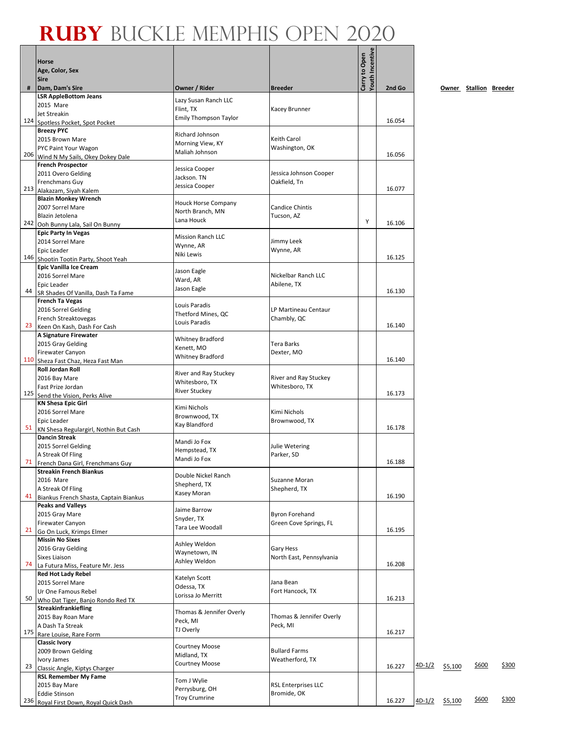Г

|     | <b>Horse</b><br>Age, Color, Sex                              |                                           |                               | <b>Touth Incentive</b><br>Carry to Open |        |               |         |                        |       |
|-----|--------------------------------------------------------------|-------------------------------------------|-------------------------------|-----------------------------------------|--------|---------------|---------|------------------------|-------|
| #   | <b>Sire</b><br>Dam, Dam's Sire                               | Owner / Rider                             | <b>Breeder</b>                |                                         | 2nd Go |               |         | Owner Stallion Breeder |       |
|     | <b>LSR AppleBottom Jeans</b>                                 |                                           |                               |                                         |        |               |         |                        |       |
|     | 2015 Mare                                                    | Lazy Susan Ranch LLC                      |                               |                                         |        |               |         |                        |       |
|     | Jet Streakin                                                 | Flint, TX<br><b>Emily Thompson Taylor</b> | Kacey Brunner                 |                                         |        |               |         |                        |       |
|     | 124 Spotless Pocket, Spot Pocket                             |                                           |                               |                                         | 16.054 |               |         |                        |       |
|     | <b>Breezy PYC</b>                                            | Richard Johnson                           |                               |                                         |        |               |         |                        |       |
|     | 2015 Brown Mare                                              | Morning View, KY                          | Keith Carol                   |                                         |        |               |         |                        |       |
| 206 | PYC Paint Your Wagon<br>Wind N My Sails, Okey Dokey Dale     | Maliah Johnson                            | Washington, OK                |                                         | 16.056 |               |         |                        |       |
|     | <b>French Prospector</b>                                     |                                           |                               |                                         |        |               |         |                        |       |
|     | 2011 Overo Gelding                                           | Jessica Cooper                            | Jessica Johnson Cooper        |                                         |        |               |         |                        |       |
|     | Frenchmans Guy                                               | Jackson. TN                               | Oakfield, Tn                  |                                         |        |               |         |                        |       |
|     | 213 Alakazam, Siyah Kalem                                    | Jessica Cooper                            |                               |                                         | 16.077 |               |         |                        |       |
|     | <b>Blazin Monkey Wrench</b>                                  | <b>Houck Horse Company</b>                |                               |                                         |        |               |         |                        |       |
|     | 2007 Sorrel Mare                                             | North Branch, MN                          | <b>Candice Chintis</b>        |                                         |        |               |         |                        |       |
|     | Blazin Jetolena<br>242 Ooh Bunny Lala, Sail On Bunny         | Lana Houck                                | Tucson, AZ                    | Υ                                       | 16.106 |               |         |                        |       |
|     | <b>Epic Party In Vegas</b>                                   |                                           |                               |                                         |        |               |         |                        |       |
|     | 2014 Sorrel Mare                                             | <b>Mission Ranch LLC</b>                  | Jimmy Leek                    |                                         |        |               |         |                        |       |
|     | Epic Leader                                                  | Wynne, AR                                 | Wynne, AR                     |                                         |        |               |         |                        |       |
|     | 146 Shootin Tootin Party, Shoot Yeah                         | Niki Lewis                                |                               |                                         | 16.125 |               |         |                        |       |
|     | <b>Epic Vanilla Ice Cream</b>                                | Jason Eagle                               |                               |                                         |        |               |         |                        |       |
|     | 2016 Sorrel Mare                                             | Ward, AR                                  | Nickelbar Ranch LLC           |                                         |        |               |         |                        |       |
| 44  | Epic Leader                                                  | Jason Eagle                               | Abilene, TX                   |                                         | 16.130 |               |         |                        |       |
|     | SR Shades Of Vanilla, Dash Ta Fame<br><b>French Ta Vegas</b> |                                           |                               |                                         |        |               |         |                        |       |
|     | 2016 Sorrel Gelding                                          | Louis Paradis                             | LP Martineau Centaur          |                                         |        |               |         |                        |       |
|     | French Streaktovegas                                         | Thetford Mines, QC                        | Chambly, QC                   |                                         |        |               |         |                        |       |
| 23  | Keen On Kash, Dash For Cash                                  | Louis Paradis                             |                               |                                         | 16.140 |               |         |                        |       |
|     | A Signature Firewater                                        | <b>Whitney Bradford</b>                   |                               |                                         |        |               |         |                        |       |
|     | 2015 Gray Gelding                                            | Kenett, MO                                | Tera Barks                    |                                         |        |               |         |                        |       |
|     | Firewater Canyon                                             | <b>Whitney Bradford</b>                   | Dexter, MO                    |                                         |        |               |         |                        |       |
|     | 110 Sheza Fast Chaz, Heza Fast Man                           |                                           |                               |                                         | 16.140 |               |         |                        |       |
|     | <b>Roll Jordan Roll</b><br>2016 Bay Mare                     | River and Ray Stuckey                     | River and Ray Stuckey         |                                         |        |               |         |                        |       |
|     | Fast Prize Jordan                                            | Whitesboro, TX                            | Whitesboro, TX                |                                         |        |               |         |                        |       |
|     | 125 Send the Vision, Perks Alive                             | <b>River Stuckey</b>                      |                               |                                         | 16.173 |               |         |                        |       |
|     | <b>KN Shesa Epic Girl</b>                                    | Kimi Nichols                              |                               |                                         |        |               |         |                        |       |
|     | 2016 Sorrel Mare                                             | Brownwood, TX                             | Kimi Nichols                  |                                         |        |               |         |                        |       |
|     | Epic Leader                                                  | Kay Blandford                             | Brownwood, TX                 |                                         |        |               |         |                        |       |
| 51  | KN Shesa Regulargirl, Nothin But Cash                        |                                           |                               |                                         | 16.178 |               |         |                        |       |
|     | <b>Dancin Streak</b><br>2015 Sorrel Gelding                  | Mandi Jo Fox                              | Julie Wetering                |                                         |        |               |         |                        |       |
|     | A Streak Of Fling                                            | Hempstead, TX                             | Parker, SD                    |                                         |        |               |         |                        |       |
|     | 71 French Dana Girl, Frenchmans Guy                          | Mandi Jo Fox                              |                               |                                         | 16.188 |               |         |                        |       |
|     | <b>Streakin French Biankus</b>                               | Double Nickel Ranch                       |                               |                                         |        |               |         |                        |       |
|     | 2016 Mare                                                    | Shepherd, TX                              | Suzanne Moran                 |                                         |        |               |         |                        |       |
|     | A Streak Of Fling                                            | Kasey Moran                               | Shepherd, TX                  |                                         |        |               |         |                        |       |
| 41  | Biankus French Shasta, Captain Biankus                       |                                           |                               |                                         | 16.190 |               |         |                        |       |
|     | <b>Peaks and Valleys</b><br>2015 Gray Mare                   | Jaime Barrow                              | <b>Byron Forehand</b>         |                                         |        |               |         |                        |       |
|     | Firewater Canyon                                             | Snyder, TX                                | Green Cove Springs, FL        |                                         |        |               |         |                        |       |
|     | 21 Go On Luck, Krimps Elmer                                  | Tara Lee Woodall                          |                               |                                         | 16.195 |               |         |                        |       |
|     | <b>Missin No Sixes</b>                                       |                                           |                               |                                         |        |               |         |                        |       |
|     | 2016 Gray Gelding                                            | Ashley Weldon<br>Waynetown, IN            | Gary Hess                     |                                         |        |               |         |                        |       |
|     | Sixes Liaison                                                | Ashley Weldon                             | North East, Pennsylvania      |                                         |        |               |         |                        |       |
| 74  | La Futura Miss, Feature Mr. Jess                             |                                           |                               |                                         | 16.208 |               |         |                        |       |
|     | <b>Red Hot Lady Rebel</b>                                    | Katelyn Scott                             |                               |                                         |        |               |         |                        |       |
|     | 2015 Sorrel Mare<br>Ur One Famous Rebel                      | Odessa, TX                                | Jana Bean<br>Fort Hancock, TX |                                         |        |               |         |                        |       |
| 50  | Who Dat Tiger, Banjo Rondo Red TX                            | Lorissa Jo Merritt                        |                               |                                         | 16.213 |               |         |                        |       |
|     | Streakinfrankiefling                                         |                                           |                               |                                         |        |               |         |                        |       |
|     | 2015 Bay Roan Mare                                           | Thomas & Jennifer Overly<br>Peck, MI      | Thomas & Jennifer Overly      |                                         |        |               |         |                        |       |
|     | A Dash Ta Streak                                             | TJ Overly                                 | Peck, MI                      |                                         |        |               |         |                        |       |
|     | 175 Rare Louise, Rare Form                                   |                                           |                               |                                         | 16.217 |               |         |                        |       |
|     | <b>Classic Ivory</b>                                         | <b>Courtney Moose</b>                     |                               |                                         |        |               |         |                        |       |
|     | 2009 Brown Gelding                                           | Midland, TX                               | <b>Bullard Farms</b>          |                                         |        |               |         |                        |       |
| 23  | Ivory James<br>Classic Angle, Kiptys Charger                 | <b>Courtney Moose</b>                     | Weatherford, TX               |                                         | 16.227 | <u>4D-1/2</u> | \$5,100 | \$600                  | \$300 |
|     | <b>RSL Remember My Fame</b>                                  |                                           |                               |                                         |        |               |         |                        |       |
|     | 2015 Bay Mare                                                | Tom J Wylie                               | <b>RSL Enterprises LLC</b>    |                                         |        |               |         |                        |       |
|     | <b>Eddie Stinson</b>                                         | Perrysburg, OH<br><b>Troy Crumrine</b>    | Bromide, OK                   |                                         |        |               |         |                        |       |
|     | 236 Royal First Down, Royal Quick Dash                       |                                           |                               |                                         | 16.227 | $4D-1/2$      | \$5,100 | \$600                  | \$300 |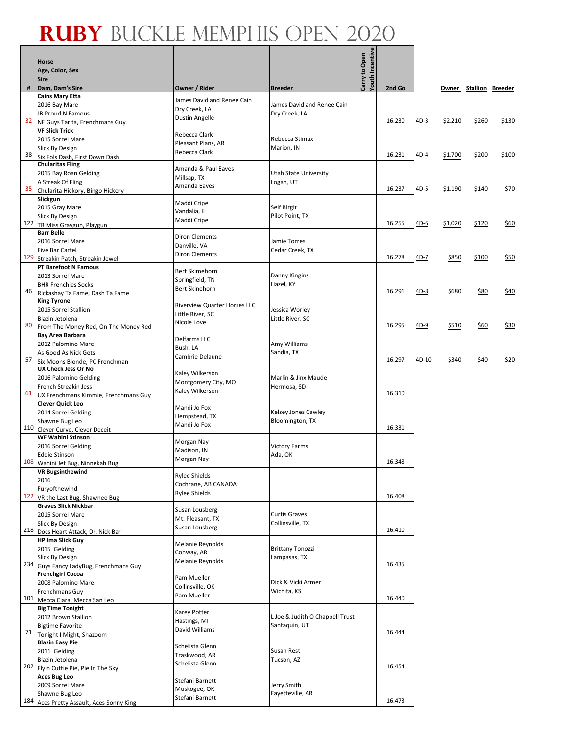#### **Ruby** Buckle Memphis Open 2020 ┱

Г

 $\overline{\phantom{0}}$ 

|     | <b>Horse</b><br>Age, Color, Sex<br><b>Sire</b>               |                                     |                                          | <b>Youth Incentive</b><br>Carry to Open |        |             |         |                        |              |
|-----|--------------------------------------------------------------|-------------------------------------|------------------------------------------|-----------------------------------------|--------|-------------|---------|------------------------|--------------|
| #   | Dam, Dam's Sire                                              | Owner / Rider                       | <b>Breeder</b>                           |                                         | 2nd Go |             |         | Owner Stallion Breeder |              |
|     | <b>Cains Mary Etta</b>                                       | James David and Renee Cain          |                                          |                                         |        |             |         |                        |              |
|     | 2016 Bay Mare                                                | Dry Creek, LA                       | James David and Renee Cain               |                                         |        |             |         |                        |              |
| 32  | <b>JB Proud N Famous</b><br>NF Guys Tarita, Frenchmans Guy   | <b>Dustin Angelle</b>               | Dry Creek, LA                            |                                         | 16.230 | 4D-3        | \$2,210 | \$260                  | <u>\$130</u> |
|     | <b>VF Slick Trick</b>                                        |                                     |                                          |                                         |        |             |         |                        |              |
|     | 2015 Sorrel Mare                                             | Rebecca Clark<br>Pleasant Plans, AR | Rebecca Stimax                           |                                         |        |             |         |                        |              |
|     | Slick By Design                                              | Rebecca Clark                       | Marion, IN                               |                                         |        |             |         |                        |              |
| 38  | Six Fols Dash, First Down Dash<br><b>Chularitas Fling</b>    |                                     |                                          |                                         | 16.231 | <u>4D-4</u> | \$1,700 | \$200                  | \$100        |
|     | 2015 Bay Roan Gelding                                        | Amanda & Paul Eaves                 | Utah State University                    |                                         |        |             |         |                        |              |
|     | A Streak Of Fling                                            | Millsap, TX<br>Amanda Eaves         | Logan, UT                                |                                         |        |             |         |                        |              |
| 35  | Chularita Hickory, Bingo Hickory                             |                                     |                                          |                                         | 16.237 | $4D-5$      | \$1,190 | \$140                  | \$70         |
|     | Slickgun                                                     | Maddi Cripe                         | Self Birgit                              |                                         |        |             |         |                        |              |
|     | 2015 Gray Mare<br>Slick By Design                            | Vandalia, IL                        | Pilot Point, TX                          |                                         |        |             |         |                        |              |
| 122 | TR Miss Graygun, Playgun                                     | Maddi Cripe                         |                                          |                                         | 16.255 | 4D-6        | \$1,020 | \$120                  | \$60         |
|     | <b>Barr Belle</b>                                            | <b>Diron Clements</b>               |                                          |                                         |        |             |         |                        |              |
|     | 2016 Sorrel Mare                                             | Danville, VA                        | Jamie Torres                             |                                         |        |             |         |                        |              |
| 129 | <b>Five Bar Cartel</b><br>Streakin Patch, Streakin Jewel     | <b>Diron Clements</b>               | Cedar Creek, TX                          |                                         | 16.278 | 4D-7        | \$850   | \$100                  | \$50         |
|     | PT Barefoot N Famous                                         |                                     |                                          |                                         |        |             |         |                        |              |
|     | 2013 Sorrel Mare                                             | Bert Skimehorn<br>Springfield, TN   | Danny Kingins                            |                                         |        |             |         |                        |              |
|     | <b>BHR Frenchies Socks</b>                                   | Bert Skinehorn                      | Hazel, KY                                |                                         |        |             |         |                        |              |
| 46  | Rickashay Ta Fame, Dash Ta Fame<br><b>King Tyrone</b>        |                                     |                                          |                                         | 16.291 | 4D-8        | \$680   | \$80                   | \$40         |
|     | 2015 Sorrel Stallion                                         | <b>Riverview Quarter Horses LLC</b> | Jessica Worley                           |                                         |        |             |         |                        |              |
|     | Blazin Jetolena                                              | Little River, SC                    | Little River, SC                         |                                         |        |             |         |                        |              |
| 80  | From The Money Red, On The Money Red                         | Nicole Love                         |                                          |                                         | 16.295 | $4D-9$      | \$510   | \$60                   | \$30         |
|     | Bay Area Barbara                                             | Delfarms LLC                        |                                          |                                         |        |             |         |                        |              |
|     | 2012 Palomino Mare<br>As Good As Nick Gets                   | Bush, LA                            | Amy Williams<br>Sandia, TX               |                                         |        |             |         |                        |              |
| 57  | Six Moons Blonde, PC Frenchman                               | Cambrie Delaune                     |                                          |                                         | 16.297 | 4D-10       | \$340   | \$40                   | \$20         |
|     | <b>UX Check Jess Or No</b>                                   | Kaley Wilkerson                     |                                          |                                         |        |             |         |                        |              |
|     | 2016 Palomino Gelding                                        | Montgomery City, MO                 | Marlin & Jinx Maude                      |                                         |        |             |         |                        |              |
| 61  | French Streakin Jess<br>UX Frenchmans Kimmie, Frenchmans Guy | Kaley Wilkerson                     | Hermosa, SD                              |                                         | 16.310 |             |         |                        |              |
|     | <b>Clever Quick Leo</b>                                      |                                     |                                          |                                         |        |             |         |                        |              |
|     | 2014 Sorrel Gelding                                          | Mandi Jo Fox<br>Hempstead, TX       | Kelsey Jones Cawley                      |                                         |        |             |         |                        |              |
|     | Shawne Bug Leo                                               | Mandi Jo Fox                        | Bloomington, TX                          |                                         |        |             |         |                        |              |
|     | 110 Clever Curve, Clever Deceit<br><b>WF Wahini Stinson</b>  |                                     |                                          |                                         | 16.331 |             |         |                        |              |
|     | 2016 Sorrel Gelding                                          | Morgan Nay                          | <b>Victory Farms</b>                     |                                         |        |             |         |                        |              |
|     | <b>Eddie Stinson</b>                                         | Madison, IN<br>Morgan Nay           | Ada, OK                                  |                                         |        |             |         |                        |              |
|     | 108 Wahini Jet Bug, Ninnekah Bug                             |                                     |                                          |                                         | 16.348 |             |         |                        |              |
|     | <b>VR Bugsinthewind</b><br>2016                              | <b>Rylee Shields</b>                |                                          |                                         |        |             |         |                        |              |
|     | Furyofthewind                                                | Cochrane, AB CANADA                 |                                          |                                         |        |             |         |                        |              |
| 122 | VR the Last Bug, Shawnee Bug                                 | <b>Rylee Shields</b>                |                                          |                                         | 16.408 |             |         |                        |              |
|     | <b>Graves Slick Nickbar</b>                                  | Susan Lousberg                      |                                          |                                         |        |             |         |                        |              |
|     | 2015 Sorrel Mare<br>Slick By Design                          | Mt. Pleasant, TX                    | <b>Curtis Graves</b><br>Collinsville, TX |                                         |        |             |         |                        |              |
|     | 218 Docs Heart Attack, Dr. Nick Bar                          | Susan Lousberg                      |                                          |                                         | 16.410 |             |         |                        |              |
|     | <b>HP Ima Slick Guy</b>                                      | Melanie Reynolds                    |                                          |                                         |        |             |         |                        |              |
|     | 2015 Gelding                                                 | Conway, AR                          | <b>Brittany Tonozzi</b>                  |                                         |        |             |         |                        |              |
| 234 | Slick By Design<br>Guys Fancy LadyBug, Frenchmans Guy        | Melanie Reynolds                    | Lampasas, TX                             |                                         | 16.435 |             |         |                        |              |
|     | <b>Frenchgirl Cocoa</b>                                      |                                     |                                          |                                         |        |             |         |                        |              |
|     | 2008 Palomino Mare                                           | Pam Mueller<br>Collinsville, OK     | Dick & Vicki Armer                       |                                         |        |             |         |                        |              |
|     | Frenchmans Guy                                               | Pam Mueller                         | Wichita, KS                              |                                         |        |             |         |                        |              |
| 101 | Mecca Ciara, Mecca San Leo                                   |                                     |                                          |                                         | 16.440 |             |         |                        |              |
|     | <b>Big Time Tonight</b><br>2012 Brown Stallion               | Karey Potter                        | L Joe & Judith O Chappell Trust          |                                         |        |             |         |                        |              |
|     | <b>Bigtime Favorite</b>                                      | Hastings, MI<br>David Williams      | Santaquin, UT                            |                                         |        |             |         |                        |              |
| 71  | Tonight I Might, Shazoom                                     |                                     |                                          |                                         | 16.444 |             |         |                        |              |
|     | <b>Blazin Easy Pie</b>                                       | Schelista Glenn                     | Susan Rest                               |                                         |        |             |         |                        |              |
|     | 2011 Gelding<br>Blazin Jetolena                              | Traskwood, AR                       | Tucson, AZ                               |                                         |        |             |         |                        |              |
| 202 | Flyin Cuttie Pie, Pie In The Sky                             | Schelista Glenn                     |                                          |                                         | 16.454 |             |         |                        |              |
|     | Aces Bug Leo                                                 | Stefani Barnett                     |                                          |                                         |        |             |         |                        |              |
|     | 2009 Sorrel Mare                                             | Muskogee, OK                        | Jerry Smith                              |                                         |        |             |         |                        |              |
| 184 | Shawne Bug Leo<br>Aces Pretty Assault, Aces Sonny King       | Stefani Barnett                     | Fayetteville, AR                         |                                         | 16.473 |             |         |                        |              |
|     |                                                              |                                     |                                          |                                         |        |             |         |                        |              |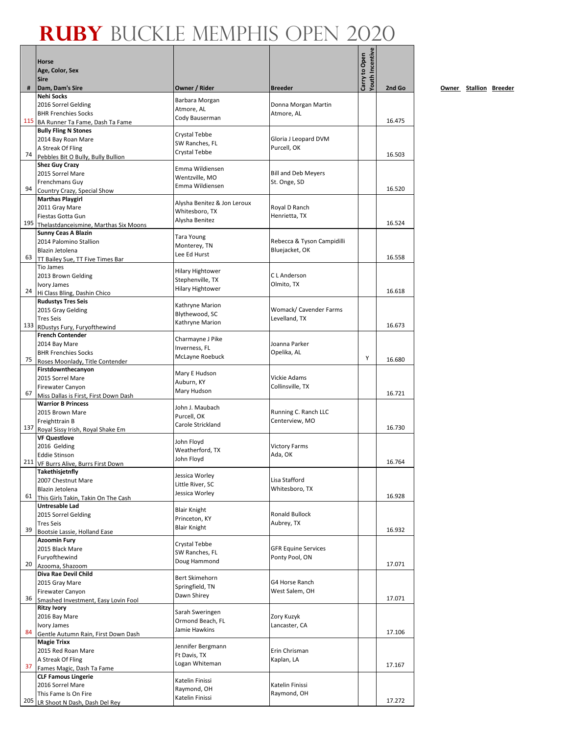Г ┱

| <b>Youth Incentive</b><br>Carry to Open<br>Age, Color, Sex<br><b>Sire</b><br>Owner / Rider<br>2nd Go<br>#<br>Dam, Dam's Sire<br><b>Breeder</b><br><b>Nehi Socks</b><br>Barbara Morgan<br>2016 Sorrel Gelding<br>Donna Morgan Martin<br>Atmore, AL<br><b>BHR Frenchies Socks</b><br>Atmore, AL<br>Cody Bauserman<br>115<br>16.475<br>BA Runner Ta Fame, Dash Ta Fame<br><b>Bully Fling N Stones</b><br>Crystal Tebbe<br>Gloria J Leopard DVM<br>2014 Bay Roan Mare<br>SW Ranches, FL<br>A Streak Of Fling<br>Purcell, OK<br>Crystal Tebbe<br>74<br>16.503<br>Pebbles Bit O Bully, Bully Bullion<br><b>Shez Guy Crazy</b><br>Emma Wildiensen<br>2015 Sorrel Mare<br><b>Bill and Deb Meyers</b><br>Wentzville, MO<br>Frenchmans Guy<br>St. Onge, SD<br>Emma Wildiensen<br>94<br>16.520<br>Country Crazy, Special Show<br><b>Marthas Playgirl</b><br>Alysha Benitez & Jon Leroux<br>Royal D Ranch<br>2011 Gray Mare<br>Whitesboro, TX<br>Fiestas Gotta Gun<br>Henrietta, TX<br>Alysha Benitez<br>195<br>16.524<br>Thelastdanceismine, Marthas Six Moons<br>Sunny Ceas A Blazin<br><b>Tara Young</b><br>2014 Palomino Stallion<br>Rebecca & Tyson Campidilli<br>Monterey, TN<br>Bluejacket, OK<br>Blazin Jetolena<br>Lee Ed Hurst<br>63<br>16.558<br>TT Bailey Sue, TT Five Times Bar<br>Tio James<br><b>Hilary Hightower</b><br>C L Anderson<br>2013 Brown Gelding<br>Stephenville, TX<br>Olmito, TX<br>Ivory James<br><b>Hilary Hightower</b><br>24<br>16.618<br>Hi Class Bling, Dashin Chico<br><b>Rudustys Tres Seis</b><br>Kathryne Marion<br>Womack/ Cavender Farms<br>2015 Gray Gelding<br>Blythewood, SC<br>Levelland, TX<br><b>Tres Seis</b><br>Kathryne Marion<br>133 RDustys Fury, Furyofthewind<br>16.673<br><b>French Contender</b><br>Charmayne J Pike<br>Joanna Parker<br>2014 Bay Mare<br>Inverness, FL<br>Opelika, AL<br><b>BHR Frenchies Socks</b><br>McLayne Roebuck<br>Υ<br>16.680<br>75<br>Roses Moonlady, Title Contender<br>Firstdownthecanyon<br>Mary E Hudson<br>Vickie Adams<br>2015 Sorrel Mare<br>Auburn, KY<br>Collinsville, TX<br><b>Firewater Canyon</b><br>Mary Hudson<br>16.721<br>67<br>Miss Dallas is First, First Down Dash<br><b>Warrior B Princess</b><br>John J. Maubach<br>Running C. Ranch LLC<br>2015 Brown Mare<br>Purcell, OK<br>Freighttrain B<br>Centerview, MO<br>Carole Strickland<br>16.730<br>137 Royal Sissy Irish, Royal Shake Em<br><b>VF Questlove</b><br>John Floyd<br><b>Victory Farms</b><br>2016 Gelding<br>Weatherford, TX<br>Ada, OK<br><b>Eddie Stinson</b><br>John Floyd<br>16.764<br>211 VF Burrs Alive, Burrs First Down<br>Takethisjetnfly<br>Jessica Worley<br>Lisa Stafford<br>2007 Chestnut Mare<br>Little River, SC<br>Blazin Jetolena<br>Whitesboro, TX<br>Jessica Worley<br>61<br>16.928<br>This Girls Takin, Takin On The Cash<br>Untresable Lad<br><b>Blair Knight</b><br><b>Ronald Bullock</b><br>2015 Sorrel Gelding<br>Princeton, KY<br><b>Tres Seis</b><br>Aubrey, TX<br><b>Blair Knight</b><br>39<br>16.932<br>Bootsie Lassie, Holland Ease<br><b>Azoomin Fury</b><br>Crystal Tebbe<br><b>GFR Equine Services</b><br>2015 Black Mare<br>SW Ranches, FL<br>Ponty Pool, ON<br>Furyofthewind<br>Doug Hammond<br>20<br>17.071<br>Azooma, Shazoom<br>Diva Rae Devil Child<br>Bert Skimehorn<br>G4 Horse Ranch<br>2015 Gray Mare<br>Springfield, TN<br>Firewater Canyon<br>West Salem, OH<br>Dawn Shirey<br>36<br>17.071<br>Smashed Investment, Easy Lovin Fool<br><b>Ritzy Ivory</b><br>Sarah Sweringen<br>2016 Bay Mare<br>Zory Kuzyk<br>Ormond Beach, FL<br>Ivory James<br>Lancaster, CA<br>Jamie Hawkins<br>84<br>17.106<br>Gentle Autumn Rain, First Down Dash<br><b>Magie Trixx</b><br>Jennifer Bergmann<br>2015 Red Roan Mare<br>Erin Chrisman<br>Ft Davis, TX<br>A Streak Of Fling<br>Kaplan, LA<br>Logan Whiteman<br>17.167<br>37<br>Fames Magic, Dash Ta Fame<br><b>CLF Famous Lingerie</b><br>Katelin Finissi<br>Katelin Finissi<br>2016 Sorrel Mare<br>Raymond, OH<br>Raymond, OH<br>This Fame Is On Fire<br>Katelin Finissi<br>205<br>17.272 | <b>Horse</b>                  |  |  |
|------------------------------------------------------------------------------------------------------------------------------------------------------------------------------------------------------------------------------------------------------------------------------------------------------------------------------------------------------------------------------------------------------------------------------------------------------------------------------------------------------------------------------------------------------------------------------------------------------------------------------------------------------------------------------------------------------------------------------------------------------------------------------------------------------------------------------------------------------------------------------------------------------------------------------------------------------------------------------------------------------------------------------------------------------------------------------------------------------------------------------------------------------------------------------------------------------------------------------------------------------------------------------------------------------------------------------------------------------------------------------------------------------------------------------------------------------------------------------------------------------------------------------------------------------------------------------------------------------------------------------------------------------------------------------------------------------------------------------------------------------------------------------------------------------------------------------------------------------------------------------------------------------------------------------------------------------------------------------------------------------------------------------------------------------------------------------------------------------------------------------------------------------------------------------------------------------------------------------------------------------------------------------------------------------------------------------------------------------------------------------------------------------------------------------------------------------------------------------------------------------------------------------------------------------------------------------------------------------------------------------------------------------------------------------------------------------------------------------------------------------------------------------------------------------------------------------------------------------------------------------------------------------------------------------------------------------------------------------------------------------------------------------------------------------------------------------------------------------------------------------------------------------------------------------------------------------------------------------------------------------------------------------------------------------------------------------------------------------------------------------------------------------------------------------------------------------------------------------------------------------------------------------------------------------------------------------------------------------------------------------------------------------------------------------------------------------------------------------------------------------------------------------------------------------------------------------------------------------------------------------------------------------------------------------------------------------------------------------------------------------------------------------|-------------------------------|--|--|
|                                                                                                                                                                                                                                                                                                                                                                                                                                                                                                                                                                                                                                                                                                                                                                                                                                                                                                                                                                                                                                                                                                                                                                                                                                                                                                                                                                                                                                                                                                                                                                                                                                                                                                                                                                                                                                                                                                                                                                                                                                                                                                                                                                                                                                                                                                                                                                                                                                                                                                                                                                                                                                                                                                                                                                                                                                                                                                                                                                                                                                                                                                                                                                                                                                                                                                                                                                                                                                                                                                                                                                                                                                                                                                                                                                                                                                                                                                                                                                                                                              |                               |  |  |
|                                                                                                                                                                                                                                                                                                                                                                                                                                                                                                                                                                                                                                                                                                                                                                                                                                                                                                                                                                                                                                                                                                                                                                                                                                                                                                                                                                                                                                                                                                                                                                                                                                                                                                                                                                                                                                                                                                                                                                                                                                                                                                                                                                                                                                                                                                                                                                                                                                                                                                                                                                                                                                                                                                                                                                                                                                                                                                                                                                                                                                                                                                                                                                                                                                                                                                                                                                                                                                                                                                                                                                                                                                                                                                                                                                                                                                                                                                                                                                                                                              |                               |  |  |
|                                                                                                                                                                                                                                                                                                                                                                                                                                                                                                                                                                                                                                                                                                                                                                                                                                                                                                                                                                                                                                                                                                                                                                                                                                                                                                                                                                                                                                                                                                                                                                                                                                                                                                                                                                                                                                                                                                                                                                                                                                                                                                                                                                                                                                                                                                                                                                                                                                                                                                                                                                                                                                                                                                                                                                                                                                                                                                                                                                                                                                                                                                                                                                                                                                                                                                                                                                                                                                                                                                                                                                                                                                                                                                                                                                                                                                                                                                                                                                                                                              |                               |  |  |
|                                                                                                                                                                                                                                                                                                                                                                                                                                                                                                                                                                                                                                                                                                                                                                                                                                                                                                                                                                                                                                                                                                                                                                                                                                                                                                                                                                                                                                                                                                                                                                                                                                                                                                                                                                                                                                                                                                                                                                                                                                                                                                                                                                                                                                                                                                                                                                                                                                                                                                                                                                                                                                                                                                                                                                                                                                                                                                                                                                                                                                                                                                                                                                                                                                                                                                                                                                                                                                                                                                                                                                                                                                                                                                                                                                                                                                                                                                                                                                                                                              |                               |  |  |
|                                                                                                                                                                                                                                                                                                                                                                                                                                                                                                                                                                                                                                                                                                                                                                                                                                                                                                                                                                                                                                                                                                                                                                                                                                                                                                                                                                                                                                                                                                                                                                                                                                                                                                                                                                                                                                                                                                                                                                                                                                                                                                                                                                                                                                                                                                                                                                                                                                                                                                                                                                                                                                                                                                                                                                                                                                                                                                                                                                                                                                                                                                                                                                                                                                                                                                                                                                                                                                                                                                                                                                                                                                                                                                                                                                                                                                                                                                                                                                                                                              |                               |  |  |
|                                                                                                                                                                                                                                                                                                                                                                                                                                                                                                                                                                                                                                                                                                                                                                                                                                                                                                                                                                                                                                                                                                                                                                                                                                                                                                                                                                                                                                                                                                                                                                                                                                                                                                                                                                                                                                                                                                                                                                                                                                                                                                                                                                                                                                                                                                                                                                                                                                                                                                                                                                                                                                                                                                                                                                                                                                                                                                                                                                                                                                                                                                                                                                                                                                                                                                                                                                                                                                                                                                                                                                                                                                                                                                                                                                                                                                                                                                                                                                                                                              |                               |  |  |
|                                                                                                                                                                                                                                                                                                                                                                                                                                                                                                                                                                                                                                                                                                                                                                                                                                                                                                                                                                                                                                                                                                                                                                                                                                                                                                                                                                                                                                                                                                                                                                                                                                                                                                                                                                                                                                                                                                                                                                                                                                                                                                                                                                                                                                                                                                                                                                                                                                                                                                                                                                                                                                                                                                                                                                                                                                                                                                                                                                                                                                                                                                                                                                                                                                                                                                                                                                                                                                                                                                                                                                                                                                                                                                                                                                                                                                                                                                                                                                                                                              |                               |  |  |
|                                                                                                                                                                                                                                                                                                                                                                                                                                                                                                                                                                                                                                                                                                                                                                                                                                                                                                                                                                                                                                                                                                                                                                                                                                                                                                                                                                                                                                                                                                                                                                                                                                                                                                                                                                                                                                                                                                                                                                                                                                                                                                                                                                                                                                                                                                                                                                                                                                                                                                                                                                                                                                                                                                                                                                                                                                                                                                                                                                                                                                                                                                                                                                                                                                                                                                                                                                                                                                                                                                                                                                                                                                                                                                                                                                                                                                                                                                                                                                                                                              |                               |  |  |
|                                                                                                                                                                                                                                                                                                                                                                                                                                                                                                                                                                                                                                                                                                                                                                                                                                                                                                                                                                                                                                                                                                                                                                                                                                                                                                                                                                                                                                                                                                                                                                                                                                                                                                                                                                                                                                                                                                                                                                                                                                                                                                                                                                                                                                                                                                                                                                                                                                                                                                                                                                                                                                                                                                                                                                                                                                                                                                                                                                                                                                                                                                                                                                                                                                                                                                                                                                                                                                                                                                                                                                                                                                                                                                                                                                                                                                                                                                                                                                                                                              |                               |  |  |
|                                                                                                                                                                                                                                                                                                                                                                                                                                                                                                                                                                                                                                                                                                                                                                                                                                                                                                                                                                                                                                                                                                                                                                                                                                                                                                                                                                                                                                                                                                                                                                                                                                                                                                                                                                                                                                                                                                                                                                                                                                                                                                                                                                                                                                                                                                                                                                                                                                                                                                                                                                                                                                                                                                                                                                                                                                                                                                                                                                                                                                                                                                                                                                                                                                                                                                                                                                                                                                                                                                                                                                                                                                                                                                                                                                                                                                                                                                                                                                                                                              |                               |  |  |
|                                                                                                                                                                                                                                                                                                                                                                                                                                                                                                                                                                                                                                                                                                                                                                                                                                                                                                                                                                                                                                                                                                                                                                                                                                                                                                                                                                                                                                                                                                                                                                                                                                                                                                                                                                                                                                                                                                                                                                                                                                                                                                                                                                                                                                                                                                                                                                                                                                                                                                                                                                                                                                                                                                                                                                                                                                                                                                                                                                                                                                                                                                                                                                                                                                                                                                                                                                                                                                                                                                                                                                                                                                                                                                                                                                                                                                                                                                                                                                                                                              |                               |  |  |
|                                                                                                                                                                                                                                                                                                                                                                                                                                                                                                                                                                                                                                                                                                                                                                                                                                                                                                                                                                                                                                                                                                                                                                                                                                                                                                                                                                                                                                                                                                                                                                                                                                                                                                                                                                                                                                                                                                                                                                                                                                                                                                                                                                                                                                                                                                                                                                                                                                                                                                                                                                                                                                                                                                                                                                                                                                                                                                                                                                                                                                                                                                                                                                                                                                                                                                                                                                                                                                                                                                                                                                                                                                                                                                                                                                                                                                                                                                                                                                                                                              |                               |  |  |
|                                                                                                                                                                                                                                                                                                                                                                                                                                                                                                                                                                                                                                                                                                                                                                                                                                                                                                                                                                                                                                                                                                                                                                                                                                                                                                                                                                                                                                                                                                                                                                                                                                                                                                                                                                                                                                                                                                                                                                                                                                                                                                                                                                                                                                                                                                                                                                                                                                                                                                                                                                                                                                                                                                                                                                                                                                                                                                                                                                                                                                                                                                                                                                                                                                                                                                                                                                                                                                                                                                                                                                                                                                                                                                                                                                                                                                                                                                                                                                                                                              |                               |  |  |
|                                                                                                                                                                                                                                                                                                                                                                                                                                                                                                                                                                                                                                                                                                                                                                                                                                                                                                                                                                                                                                                                                                                                                                                                                                                                                                                                                                                                                                                                                                                                                                                                                                                                                                                                                                                                                                                                                                                                                                                                                                                                                                                                                                                                                                                                                                                                                                                                                                                                                                                                                                                                                                                                                                                                                                                                                                                                                                                                                                                                                                                                                                                                                                                                                                                                                                                                                                                                                                                                                                                                                                                                                                                                                                                                                                                                                                                                                                                                                                                                                              |                               |  |  |
|                                                                                                                                                                                                                                                                                                                                                                                                                                                                                                                                                                                                                                                                                                                                                                                                                                                                                                                                                                                                                                                                                                                                                                                                                                                                                                                                                                                                                                                                                                                                                                                                                                                                                                                                                                                                                                                                                                                                                                                                                                                                                                                                                                                                                                                                                                                                                                                                                                                                                                                                                                                                                                                                                                                                                                                                                                                                                                                                                                                                                                                                                                                                                                                                                                                                                                                                                                                                                                                                                                                                                                                                                                                                                                                                                                                                                                                                                                                                                                                                                              |                               |  |  |
|                                                                                                                                                                                                                                                                                                                                                                                                                                                                                                                                                                                                                                                                                                                                                                                                                                                                                                                                                                                                                                                                                                                                                                                                                                                                                                                                                                                                                                                                                                                                                                                                                                                                                                                                                                                                                                                                                                                                                                                                                                                                                                                                                                                                                                                                                                                                                                                                                                                                                                                                                                                                                                                                                                                                                                                                                                                                                                                                                                                                                                                                                                                                                                                                                                                                                                                                                                                                                                                                                                                                                                                                                                                                                                                                                                                                                                                                                                                                                                                                                              |                               |  |  |
|                                                                                                                                                                                                                                                                                                                                                                                                                                                                                                                                                                                                                                                                                                                                                                                                                                                                                                                                                                                                                                                                                                                                                                                                                                                                                                                                                                                                                                                                                                                                                                                                                                                                                                                                                                                                                                                                                                                                                                                                                                                                                                                                                                                                                                                                                                                                                                                                                                                                                                                                                                                                                                                                                                                                                                                                                                                                                                                                                                                                                                                                                                                                                                                                                                                                                                                                                                                                                                                                                                                                                                                                                                                                                                                                                                                                                                                                                                                                                                                                                              |                               |  |  |
|                                                                                                                                                                                                                                                                                                                                                                                                                                                                                                                                                                                                                                                                                                                                                                                                                                                                                                                                                                                                                                                                                                                                                                                                                                                                                                                                                                                                                                                                                                                                                                                                                                                                                                                                                                                                                                                                                                                                                                                                                                                                                                                                                                                                                                                                                                                                                                                                                                                                                                                                                                                                                                                                                                                                                                                                                                                                                                                                                                                                                                                                                                                                                                                                                                                                                                                                                                                                                                                                                                                                                                                                                                                                                                                                                                                                                                                                                                                                                                                                                              |                               |  |  |
|                                                                                                                                                                                                                                                                                                                                                                                                                                                                                                                                                                                                                                                                                                                                                                                                                                                                                                                                                                                                                                                                                                                                                                                                                                                                                                                                                                                                                                                                                                                                                                                                                                                                                                                                                                                                                                                                                                                                                                                                                                                                                                                                                                                                                                                                                                                                                                                                                                                                                                                                                                                                                                                                                                                                                                                                                                                                                                                                                                                                                                                                                                                                                                                                                                                                                                                                                                                                                                                                                                                                                                                                                                                                                                                                                                                                                                                                                                                                                                                                                              |                               |  |  |
|                                                                                                                                                                                                                                                                                                                                                                                                                                                                                                                                                                                                                                                                                                                                                                                                                                                                                                                                                                                                                                                                                                                                                                                                                                                                                                                                                                                                                                                                                                                                                                                                                                                                                                                                                                                                                                                                                                                                                                                                                                                                                                                                                                                                                                                                                                                                                                                                                                                                                                                                                                                                                                                                                                                                                                                                                                                                                                                                                                                                                                                                                                                                                                                                                                                                                                                                                                                                                                                                                                                                                                                                                                                                                                                                                                                                                                                                                                                                                                                                                              |                               |  |  |
|                                                                                                                                                                                                                                                                                                                                                                                                                                                                                                                                                                                                                                                                                                                                                                                                                                                                                                                                                                                                                                                                                                                                                                                                                                                                                                                                                                                                                                                                                                                                                                                                                                                                                                                                                                                                                                                                                                                                                                                                                                                                                                                                                                                                                                                                                                                                                                                                                                                                                                                                                                                                                                                                                                                                                                                                                                                                                                                                                                                                                                                                                                                                                                                                                                                                                                                                                                                                                                                                                                                                                                                                                                                                                                                                                                                                                                                                                                                                                                                                                              |                               |  |  |
|                                                                                                                                                                                                                                                                                                                                                                                                                                                                                                                                                                                                                                                                                                                                                                                                                                                                                                                                                                                                                                                                                                                                                                                                                                                                                                                                                                                                                                                                                                                                                                                                                                                                                                                                                                                                                                                                                                                                                                                                                                                                                                                                                                                                                                                                                                                                                                                                                                                                                                                                                                                                                                                                                                                                                                                                                                                                                                                                                                                                                                                                                                                                                                                                                                                                                                                                                                                                                                                                                                                                                                                                                                                                                                                                                                                                                                                                                                                                                                                                                              |                               |  |  |
|                                                                                                                                                                                                                                                                                                                                                                                                                                                                                                                                                                                                                                                                                                                                                                                                                                                                                                                                                                                                                                                                                                                                                                                                                                                                                                                                                                                                                                                                                                                                                                                                                                                                                                                                                                                                                                                                                                                                                                                                                                                                                                                                                                                                                                                                                                                                                                                                                                                                                                                                                                                                                                                                                                                                                                                                                                                                                                                                                                                                                                                                                                                                                                                                                                                                                                                                                                                                                                                                                                                                                                                                                                                                                                                                                                                                                                                                                                                                                                                                                              |                               |  |  |
|                                                                                                                                                                                                                                                                                                                                                                                                                                                                                                                                                                                                                                                                                                                                                                                                                                                                                                                                                                                                                                                                                                                                                                                                                                                                                                                                                                                                                                                                                                                                                                                                                                                                                                                                                                                                                                                                                                                                                                                                                                                                                                                                                                                                                                                                                                                                                                                                                                                                                                                                                                                                                                                                                                                                                                                                                                                                                                                                                                                                                                                                                                                                                                                                                                                                                                                                                                                                                                                                                                                                                                                                                                                                                                                                                                                                                                                                                                                                                                                                                              |                               |  |  |
|                                                                                                                                                                                                                                                                                                                                                                                                                                                                                                                                                                                                                                                                                                                                                                                                                                                                                                                                                                                                                                                                                                                                                                                                                                                                                                                                                                                                                                                                                                                                                                                                                                                                                                                                                                                                                                                                                                                                                                                                                                                                                                                                                                                                                                                                                                                                                                                                                                                                                                                                                                                                                                                                                                                                                                                                                                                                                                                                                                                                                                                                                                                                                                                                                                                                                                                                                                                                                                                                                                                                                                                                                                                                                                                                                                                                                                                                                                                                                                                                                              |                               |  |  |
|                                                                                                                                                                                                                                                                                                                                                                                                                                                                                                                                                                                                                                                                                                                                                                                                                                                                                                                                                                                                                                                                                                                                                                                                                                                                                                                                                                                                                                                                                                                                                                                                                                                                                                                                                                                                                                                                                                                                                                                                                                                                                                                                                                                                                                                                                                                                                                                                                                                                                                                                                                                                                                                                                                                                                                                                                                                                                                                                                                                                                                                                                                                                                                                                                                                                                                                                                                                                                                                                                                                                                                                                                                                                                                                                                                                                                                                                                                                                                                                                                              |                               |  |  |
|                                                                                                                                                                                                                                                                                                                                                                                                                                                                                                                                                                                                                                                                                                                                                                                                                                                                                                                                                                                                                                                                                                                                                                                                                                                                                                                                                                                                                                                                                                                                                                                                                                                                                                                                                                                                                                                                                                                                                                                                                                                                                                                                                                                                                                                                                                                                                                                                                                                                                                                                                                                                                                                                                                                                                                                                                                                                                                                                                                                                                                                                                                                                                                                                                                                                                                                                                                                                                                                                                                                                                                                                                                                                                                                                                                                                                                                                                                                                                                                                                              |                               |  |  |
|                                                                                                                                                                                                                                                                                                                                                                                                                                                                                                                                                                                                                                                                                                                                                                                                                                                                                                                                                                                                                                                                                                                                                                                                                                                                                                                                                                                                                                                                                                                                                                                                                                                                                                                                                                                                                                                                                                                                                                                                                                                                                                                                                                                                                                                                                                                                                                                                                                                                                                                                                                                                                                                                                                                                                                                                                                                                                                                                                                                                                                                                                                                                                                                                                                                                                                                                                                                                                                                                                                                                                                                                                                                                                                                                                                                                                                                                                                                                                                                                                              |                               |  |  |
|                                                                                                                                                                                                                                                                                                                                                                                                                                                                                                                                                                                                                                                                                                                                                                                                                                                                                                                                                                                                                                                                                                                                                                                                                                                                                                                                                                                                                                                                                                                                                                                                                                                                                                                                                                                                                                                                                                                                                                                                                                                                                                                                                                                                                                                                                                                                                                                                                                                                                                                                                                                                                                                                                                                                                                                                                                                                                                                                                                                                                                                                                                                                                                                                                                                                                                                                                                                                                                                                                                                                                                                                                                                                                                                                                                                                                                                                                                                                                                                                                              |                               |  |  |
|                                                                                                                                                                                                                                                                                                                                                                                                                                                                                                                                                                                                                                                                                                                                                                                                                                                                                                                                                                                                                                                                                                                                                                                                                                                                                                                                                                                                                                                                                                                                                                                                                                                                                                                                                                                                                                                                                                                                                                                                                                                                                                                                                                                                                                                                                                                                                                                                                                                                                                                                                                                                                                                                                                                                                                                                                                                                                                                                                                                                                                                                                                                                                                                                                                                                                                                                                                                                                                                                                                                                                                                                                                                                                                                                                                                                                                                                                                                                                                                                                              |                               |  |  |
|                                                                                                                                                                                                                                                                                                                                                                                                                                                                                                                                                                                                                                                                                                                                                                                                                                                                                                                                                                                                                                                                                                                                                                                                                                                                                                                                                                                                                                                                                                                                                                                                                                                                                                                                                                                                                                                                                                                                                                                                                                                                                                                                                                                                                                                                                                                                                                                                                                                                                                                                                                                                                                                                                                                                                                                                                                                                                                                                                                                                                                                                                                                                                                                                                                                                                                                                                                                                                                                                                                                                                                                                                                                                                                                                                                                                                                                                                                                                                                                                                              |                               |  |  |
|                                                                                                                                                                                                                                                                                                                                                                                                                                                                                                                                                                                                                                                                                                                                                                                                                                                                                                                                                                                                                                                                                                                                                                                                                                                                                                                                                                                                                                                                                                                                                                                                                                                                                                                                                                                                                                                                                                                                                                                                                                                                                                                                                                                                                                                                                                                                                                                                                                                                                                                                                                                                                                                                                                                                                                                                                                                                                                                                                                                                                                                                                                                                                                                                                                                                                                                                                                                                                                                                                                                                                                                                                                                                                                                                                                                                                                                                                                                                                                                                                              |                               |  |  |
|                                                                                                                                                                                                                                                                                                                                                                                                                                                                                                                                                                                                                                                                                                                                                                                                                                                                                                                                                                                                                                                                                                                                                                                                                                                                                                                                                                                                                                                                                                                                                                                                                                                                                                                                                                                                                                                                                                                                                                                                                                                                                                                                                                                                                                                                                                                                                                                                                                                                                                                                                                                                                                                                                                                                                                                                                                                                                                                                                                                                                                                                                                                                                                                                                                                                                                                                                                                                                                                                                                                                                                                                                                                                                                                                                                                                                                                                                                                                                                                                                              |                               |  |  |
|                                                                                                                                                                                                                                                                                                                                                                                                                                                                                                                                                                                                                                                                                                                                                                                                                                                                                                                                                                                                                                                                                                                                                                                                                                                                                                                                                                                                                                                                                                                                                                                                                                                                                                                                                                                                                                                                                                                                                                                                                                                                                                                                                                                                                                                                                                                                                                                                                                                                                                                                                                                                                                                                                                                                                                                                                                                                                                                                                                                                                                                                                                                                                                                                                                                                                                                                                                                                                                                                                                                                                                                                                                                                                                                                                                                                                                                                                                                                                                                                                              |                               |  |  |
|                                                                                                                                                                                                                                                                                                                                                                                                                                                                                                                                                                                                                                                                                                                                                                                                                                                                                                                                                                                                                                                                                                                                                                                                                                                                                                                                                                                                                                                                                                                                                                                                                                                                                                                                                                                                                                                                                                                                                                                                                                                                                                                                                                                                                                                                                                                                                                                                                                                                                                                                                                                                                                                                                                                                                                                                                                                                                                                                                                                                                                                                                                                                                                                                                                                                                                                                                                                                                                                                                                                                                                                                                                                                                                                                                                                                                                                                                                                                                                                                                              |                               |  |  |
|                                                                                                                                                                                                                                                                                                                                                                                                                                                                                                                                                                                                                                                                                                                                                                                                                                                                                                                                                                                                                                                                                                                                                                                                                                                                                                                                                                                                                                                                                                                                                                                                                                                                                                                                                                                                                                                                                                                                                                                                                                                                                                                                                                                                                                                                                                                                                                                                                                                                                                                                                                                                                                                                                                                                                                                                                                                                                                                                                                                                                                                                                                                                                                                                                                                                                                                                                                                                                                                                                                                                                                                                                                                                                                                                                                                                                                                                                                                                                                                                                              |                               |  |  |
|                                                                                                                                                                                                                                                                                                                                                                                                                                                                                                                                                                                                                                                                                                                                                                                                                                                                                                                                                                                                                                                                                                                                                                                                                                                                                                                                                                                                                                                                                                                                                                                                                                                                                                                                                                                                                                                                                                                                                                                                                                                                                                                                                                                                                                                                                                                                                                                                                                                                                                                                                                                                                                                                                                                                                                                                                                                                                                                                                                                                                                                                                                                                                                                                                                                                                                                                                                                                                                                                                                                                                                                                                                                                                                                                                                                                                                                                                                                                                                                                                              |                               |  |  |
|                                                                                                                                                                                                                                                                                                                                                                                                                                                                                                                                                                                                                                                                                                                                                                                                                                                                                                                                                                                                                                                                                                                                                                                                                                                                                                                                                                                                                                                                                                                                                                                                                                                                                                                                                                                                                                                                                                                                                                                                                                                                                                                                                                                                                                                                                                                                                                                                                                                                                                                                                                                                                                                                                                                                                                                                                                                                                                                                                                                                                                                                                                                                                                                                                                                                                                                                                                                                                                                                                                                                                                                                                                                                                                                                                                                                                                                                                                                                                                                                                              |                               |  |  |
|                                                                                                                                                                                                                                                                                                                                                                                                                                                                                                                                                                                                                                                                                                                                                                                                                                                                                                                                                                                                                                                                                                                                                                                                                                                                                                                                                                                                                                                                                                                                                                                                                                                                                                                                                                                                                                                                                                                                                                                                                                                                                                                                                                                                                                                                                                                                                                                                                                                                                                                                                                                                                                                                                                                                                                                                                                                                                                                                                                                                                                                                                                                                                                                                                                                                                                                                                                                                                                                                                                                                                                                                                                                                                                                                                                                                                                                                                                                                                                                                                              |                               |  |  |
|                                                                                                                                                                                                                                                                                                                                                                                                                                                                                                                                                                                                                                                                                                                                                                                                                                                                                                                                                                                                                                                                                                                                                                                                                                                                                                                                                                                                                                                                                                                                                                                                                                                                                                                                                                                                                                                                                                                                                                                                                                                                                                                                                                                                                                                                                                                                                                                                                                                                                                                                                                                                                                                                                                                                                                                                                                                                                                                                                                                                                                                                                                                                                                                                                                                                                                                                                                                                                                                                                                                                                                                                                                                                                                                                                                                                                                                                                                                                                                                                                              |                               |  |  |
|                                                                                                                                                                                                                                                                                                                                                                                                                                                                                                                                                                                                                                                                                                                                                                                                                                                                                                                                                                                                                                                                                                                                                                                                                                                                                                                                                                                                                                                                                                                                                                                                                                                                                                                                                                                                                                                                                                                                                                                                                                                                                                                                                                                                                                                                                                                                                                                                                                                                                                                                                                                                                                                                                                                                                                                                                                                                                                                                                                                                                                                                                                                                                                                                                                                                                                                                                                                                                                                                                                                                                                                                                                                                                                                                                                                                                                                                                                                                                                                                                              |                               |  |  |
|                                                                                                                                                                                                                                                                                                                                                                                                                                                                                                                                                                                                                                                                                                                                                                                                                                                                                                                                                                                                                                                                                                                                                                                                                                                                                                                                                                                                                                                                                                                                                                                                                                                                                                                                                                                                                                                                                                                                                                                                                                                                                                                                                                                                                                                                                                                                                                                                                                                                                                                                                                                                                                                                                                                                                                                                                                                                                                                                                                                                                                                                                                                                                                                                                                                                                                                                                                                                                                                                                                                                                                                                                                                                                                                                                                                                                                                                                                                                                                                                                              |                               |  |  |
|                                                                                                                                                                                                                                                                                                                                                                                                                                                                                                                                                                                                                                                                                                                                                                                                                                                                                                                                                                                                                                                                                                                                                                                                                                                                                                                                                                                                                                                                                                                                                                                                                                                                                                                                                                                                                                                                                                                                                                                                                                                                                                                                                                                                                                                                                                                                                                                                                                                                                                                                                                                                                                                                                                                                                                                                                                                                                                                                                                                                                                                                                                                                                                                                                                                                                                                                                                                                                                                                                                                                                                                                                                                                                                                                                                                                                                                                                                                                                                                                                              |                               |  |  |
|                                                                                                                                                                                                                                                                                                                                                                                                                                                                                                                                                                                                                                                                                                                                                                                                                                                                                                                                                                                                                                                                                                                                                                                                                                                                                                                                                                                                                                                                                                                                                                                                                                                                                                                                                                                                                                                                                                                                                                                                                                                                                                                                                                                                                                                                                                                                                                                                                                                                                                                                                                                                                                                                                                                                                                                                                                                                                                                                                                                                                                                                                                                                                                                                                                                                                                                                                                                                                                                                                                                                                                                                                                                                                                                                                                                                                                                                                                                                                                                                                              |                               |  |  |
|                                                                                                                                                                                                                                                                                                                                                                                                                                                                                                                                                                                                                                                                                                                                                                                                                                                                                                                                                                                                                                                                                                                                                                                                                                                                                                                                                                                                                                                                                                                                                                                                                                                                                                                                                                                                                                                                                                                                                                                                                                                                                                                                                                                                                                                                                                                                                                                                                                                                                                                                                                                                                                                                                                                                                                                                                                                                                                                                                                                                                                                                                                                                                                                                                                                                                                                                                                                                                                                                                                                                                                                                                                                                                                                                                                                                                                                                                                                                                                                                                              |                               |  |  |
|                                                                                                                                                                                                                                                                                                                                                                                                                                                                                                                                                                                                                                                                                                                                                                                                                                                                                                                                                                                                                                                                                                                                                                                                                                                                                                                                                                                                                                                                                                                                                                                                                                                                                                                                                                                                                                                                                                                                                                                                                                                                                                                                                                                                                                                                                                                                                                                                                                                                                                                                                                                                                                                                                                                                                                                                                                                                                                                                                                                                                                                                                                                                                                                                                                                                                                                                                                                                                                                                                                                                                                                                                                                                                                                                                                                                                                                                                                                                                                                                                              |                               |  |  |
|                                                                                                                                                                                                                                                                                                                                                                                                                                                                                                                                                                                                                                                                                                                                                                                                                                                                                                                                                                                                                                                                                                                                                                                                                                                                                                                                                                                                                                                                                                                                                                                                                                                                                                                                                                                                                                                                                                                                                                                                                                                                                                                                                                                                                                                                                                                                                                                                                                                                                                                                                                                                                                                                                                                                                                                                                                                                                                                                                                                                                                                                                                                                                                                                                                                                                                                                                                                                                                                                                                                                                                                                                                                                                                                                                                                                                                                                                                                                                                                                                              |                               |  |  |
|                                                                                                                                                                                                                                                                                                                                                                                                                                                                                                                                                                                                                                                                                                                                                                                                                                                                                                                                                                                                                                                                                                                                                                                                                                                                                                                                                                                                                                                                                                                                                                                                                                                                                                                                                                                                                                                                                                                                                                                                                                                                                                                                                                                                                                                                                                                                                                                                                                                                                                                                                                                                                                                                                                                                                                                                                                                                                                                                                                                                                                                                                                                                                                                                                                                                                                                                                                                                                                                                                                                                                                                                                                                                                                                                                                                                                                                                                                                                                                                                                              |                               |  |  |
|                                                                                                                                                                                                                                                                                                                                                                                                                                                                                                                                                                                                                                                                                                                                                                                                                                                                                                                                                                                                                                                                                                                                                                                                                                                                                                                                                                                                                                                                                                                                                                                                                                                                                                                                                                                                                                                                                                                                                                                                                                                                                                                                                                                                                                                                                                                                                                                                                                                                                                                                                                                                                                                                                                                                                                                                                                                                                                                                                                                                                                                                                                                                                                                                                                                                                                                                                                                                                                                                                                                                                                                                                                                                                                                                                                                                                                                                                                                                                                                                                              |                               |  |  |
|                                                                                                                                                                                                                                                                                                                                                                                                                                                                                                                                                                                                                                                                                                                                                                                                                                                                                                                                                                                                                                                                                                                                                                                                                                                                                                                                                                                                                                                                                                                                                                                                                                                                                                                                                                                                                                                                                                                                                                                                                                                                                                                                                                                                                                                                                                                                                                                                                                                                                                                                                                                                                                                                                                                                                                                                                                                                                                                                                                                                                                                                                                                                                                                                                                                                                                                                                                                                                                                                                                                                                                                                                                                                                                                                                                                                                                                                                                                                                                                                                              |                               |  |  |
|                                                                                                                                                                                                                                                                                                                                                                                                                                                                                                                                                                                                                                                                                                                                                                                                                                                                                                                                                                                                                                                                                                                                                                                                                                                                                                                                                                                                                                                                                                                                                                                                                                                                                                                                                                                                                                                                                                                                                                                                                                                                                                                                                                                                                                                                                                                                                                                                                                                                                                                                                                                                                                                                                                                                                                                                                                                                                                                                                                                                                                                                                                                                                                                                                                                                                                                                                                                                                                                                                                                                                                                                                                                                                                                                                                                                                                                                                                                                                                                                                              |                               |  |  |
|                                                                                                                                                                                                                                                                                                                                                                                                                                                                                                                                                                                                                                                                                                                                                                                                                                                                                                                                                                                                                                                                                                                                                                                                                                                                                                                                                                                                                                                                                                                                                                                                                                                                                                                                                                                                                                                                                                                                                                                                                                                                                                                                                                                                                                                                                                                                                                                                                                                                                                                                                                                                                                                                                                                                                                                                                                                                                                                                                                                                                                                                                                                                                                                                                                                                                                                                                                                                                                                                                                                                                                                                                                                                                                                                                                                                                                                                                                                                                                                                                              |                               |  |  |
|                                                                                                                                                                                                                                                                                                                                                                                                                                                                                                                                                                                                                                                                                                                                                                                                                                                                                                                                                                                                                                                                                                                                                                                                                                                                                                                                                                                                                                                                                                                                                                                                                                                                                                                                                                                                                                                                                                                                                                                                                                                                                                                                                                                                                                                                                                                                                                                                                                                                                                                                                                                                                                                                                                                                                                                                                                                                                                                                                                                                                                                                                                                                                                                                                                                                                                                                                                                                                                                                                                                                                                                                                                                                                                                                                                                                                                                                                                                                                                                                                              |                               |  |  |
|                                                                                                                                                                                                                                                                                                                                                                                                                                                                                                                                                                                                                                                                                                                                                                                                                                                                                                                                                                                                                                                                                                                                                                                                                                                                                                                                                                                                                                                                                                                                                                                                                                                                                                                                                                                                                                                                                                                                                                                                                                                                                                                                                                                                                                                                                                                                                                                                                                                                                                                                                                                                                                                                                                                                                                                                                                                                                                                                                                                                                                                                                                                                                                                                                                                                                                                                                                                                                                                                                                                                                                                                                                                                                                                                                                                                                                                                                                                                                                                                                              |                               |  |  |
|                                                                                                                                                                                                                                                                                                                                                                                                                                                                                                                                                                                                                                                                                                                                                                                                                                                                                                                                                                                                                                                                                                                                                                                                                                                                                                                                                                                                                                                                                                                                                                                                                                                                                                                                                                                                                                                                                                                                                                                                                                                                                                                                                                                                                                                                                                                                                                                                                                                                                                                                                                                                                                                                                                                                                                                                                                                                                                                                                                                                                                                                                                                                                                                                                                                                                                                                                                                                                                                                                                                                                                                                                                                                                                                                                                                                                                                                                                                                                                                                                              |                               |  |  |
|                                                                                                                                                                                                                                                                                                                                                                                                                                                                                                                                                                                                                                                                                                                                                                                                                                                                                                                                                                                                                                                                                                                                                                                                                                                                                                                                                                                                                                                                                                                                                                                                                                                                                                                                                                                                                                                                                                                                                                                                                                                                                                                                                                                                                                                                                                                                                                                                                                                                                                                                                                                                                                                                                                                                                                                                                                                                                                                                                                                                                                                                                                                                                                                                                                                                                                                                                                                                                                                                                                                                                                                                                                                                                                                                                                                                                                                                                                                                                                                                                              |                               |  |  |
|                                                                                                                                                                                                                                                                                                                                                                                                                                                                                                                                                                                                                                                                                                                                                                                                                                                                                                                                                                                                                                                                                                                                                                                                                                                                                                                                                                                                                                                                                                                                                                                                                                                                                                                                                                                                                                                                                                                                                                                                                                                                                                                                                                                                                                                                                                                                                                                                                                                                                                                                                                                                                                                                                                                                                                                                                                                                                                                                                                                                                                                                                                                                                                                                                                                                                                                                                                                                                                                                                                                                                                                                                                                                                                                                                                                                                                                                                                                                                                                                                              |                               |  |  |
|                                                                                                                                                                                                                                                                                                                                                                                                                                                                                                                                                                                                                                                                                                                                                                                                                                                                                                                                                                                                                                                                                                                                                                                                                                                                                                                                                                                                                                                                                                                                                                                                                                                                                                                                                                                                                                                                                                                                                                                                                                                                                                                                                                                                                                                                                                                                                                                                                                                                                                                                                                                                                                                                                                                                                                                                                                                                                                                                                                                                                                                                                                                                                                                                                                                                                                                                                                                                                                                                                                                                                                                                                                                                                                                                                                                                                                                                                                                                                                                                                              | LR Shoot N Dash, Dash Del Rey |  |  |

**2008** Owner Stallion Breeder

 $\overline{\phantom{0}}$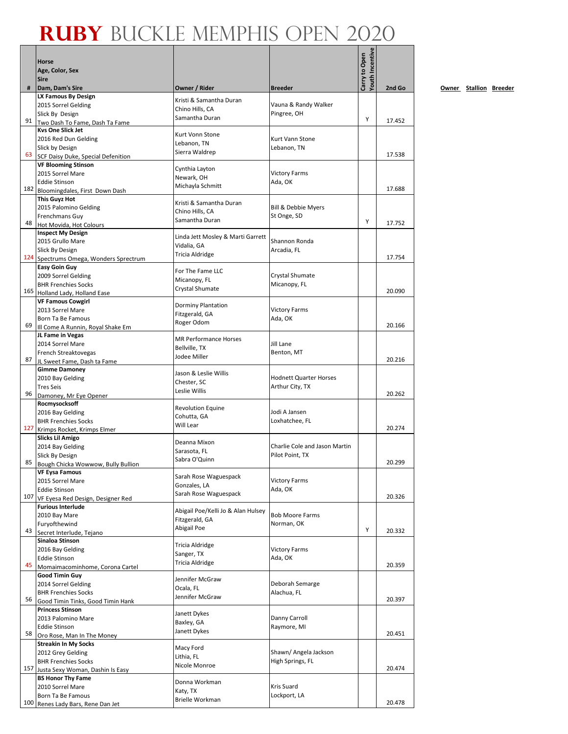|     |                                                             |                                       |                                               | Youth Incentive |        |
|-----|-------------------------------------------------------------|---------------------------------------|-----------------------------------------------|-----------------|--------|
|     | <b>Horse</b>                                                |                                       |                                               |                 |        |
|     | Age, Color, Sex                                             |                                       |                                               | Carry to Open   |        |
| #   | <b>Sire</b><br>Dam, Dam's Sire                              | Owner / Rider                         | <b>Breeder</b>                                |                 | 2nd Go |
|     | LX Famous By Design                                         |                                       |                                               |                 |        |
|     | 2015 Sorrel Gelding                                         | Kristi & Samantha Duran               | Vauna & Randy Walker                          |                 |        |
|     | Slick By Design                                             | Chino Hills, CA<br>Samantha Duran     | Pingree, OH                                   |                 |        |
| 91  | Two Dash To Fame, Dash Ta Fame                              |                                       |                                               | Y               | 17.452 |
|     | <b>Kys One Slick Jet</b>                                    | Kurt Vonn Stone                       |                                               |                 |        |
|     | 2016 Red Dun Gelding<br>Slick by Design                     | Lebanon, TN                           | Kurt Vann Stone<br>Lebanon, TN                |                 |        |
| 63  | SCF Daisy Duke, Special Defenition                          | Sierra Waldrep                        |                                               |                 | 17.538 |
|     | <b>VF Blooming Stinson</b>                                  |                                       |                                               |                 |        |
|     | 2015 Sorrel Mare                                            | Cynthia Layton                        | <b>Victory Farms</b>                          |                 |        |
|     | <b>Eddie Stinson</b>                                        | Newark, OH<br>Michayla Schmitt        | Ada, OK                                       |                 |        |
|     | 182 Bloomingdales, First Down Dash                          |                                       |                                               |                 | 17.688 |
|     | <b>This Guyz Hot</b>                                        | Kristi & Samantha Duran               |                                               |                 |        |
|     | 2015 Palomino Gelding<br>Frenchmans Guy                     | Chino Hills, CA                       | <b>Bill &amp; Debbie Myers</b><br>St Onge, SD |                 |        |
| 48  | Hot Movida, Hot Colours                                     | Samantha Duran                        |                                               | Y               | 17.752 |
|     | <b>Inspect My Design</b>                                    | Linda Jett Mosley & Marti Garrett     |                                               |                 |        |
|     | 2015 Grullo Mare                                            | Vidalia, GA                           | Shannon Ronda                                 |                 |        |
|     | Slick By Design                                             | <b>Tricia Aldridge</b>                | Arcadia, FL                                   |                 |        |
| 124 | Spectrums Omega, Wonders Sprectrum                          |                                       |                                               |                 | 17.754 |
|     | <b>Easy Goin Guy</b><br>2009 Sorrel Gelding                 | For The Fame LLC                      | Crystal Shumate                               |                 |        |
|     | <b>BHR Frenchies Socks</b>                                  | Micanopy, FL                          | Micanopy, FL                                  |                 |        |
|     | 165 Holland Lady, Holland Ease                              | Crystal Shumate                       |                                               |                 | 20.090 |
|     | <b>VF Famous Cowgirl</b>                                    | <b>Dorminy Plantation</b>             |                                               |                 |        |
|     | 2013 Sorrel Mare                                            | Fitzgerald, GA                        | <b>Victory Farms</b>                          |                 |        |
|     | Born Ta Be Famous                                           | Roger Odom                            | Ada, OK                                       |                 |        |
| 69  | Ill Come A Runnin, Royal Shake Em                           |                                       |                                               |                 | 20.166 |
|     | JL Fame in Vegas<br>2014 Sorrel Mare                        | <b>MR Performance Horses</b>          | Jill Lane                                     |                 |        |
|     | French Streaktovegas                                        | Bellville, TX                         | Benton, MT                                    |                 |        |
| 87  | JL Sweet Fame, Dash ta Fame                                 | Jodee Miller                          |                                               |                 | 20.216 |
|     | <b>Gimme Damoney</b>                                        | Jason & Leslie Willis                 |                                               |                 |        |
|     | 2010 Bay Gelding                                            | Chester, SC                           | <b>Hodnett Quarter Horses</b>                 |                 |        |
| 96  | <b>Tres Seis</b>                                            | Leslie Willis                         | Arthur City, TX                               |                 | 20.262 |
|     | Damoney, Mr Eye Opener<br>Rocmysocksoff                     |                                       |                                               |                 |        |
|     | 2016 Bay Gelding                                            | <b>Revolution Equine</b>              | Jodi A Jansen                                 |                 |        |
|     | <b>BHR Frenchies Socks</b>                                  | Cohutta, GA                           | Loxhatchee, FL                                |                 |        |
| 127 | Krimps Rocket, Krimps Elmer                                 | Will Lear                             |                                               |                 | 20.274 |
|     | <b>Slicks Lil Amigo</b>                                     | Deanna Mixon                          |                                               |                 |        |
|     | 2014 Bay Gelding                                            | Sarasota, FL                          | Charlie Cole and Jason Martin                 |                 |        |
| 85  | Slick By Design                                             | Sabra O'Quinn                         | Pilot Point, TX                               |                 | 20.299 |
|     | Bough Chicka Wowwow, Bully Bullion<br><b>VF Eysa Famous</b> |                                       |                                               |                 |        |
|     | 2015 Sorrel Mare                                            | Sarah Rose Waguespack                 | <b>Victory Farms</b>                          |                 |        |
|     | <b>Eddie Stinson</b>                                        | Gonzales, LA<br>Sarah Rose Waguespack | Ada, OK                                       |                 |        |
| 107 | VF Eyesa Red Design, Designer Red                           |                                       |                                               |                 | 20.326 |
|     | <b>Furious Interlude</b>                                    | Abigail Poe/Kelli Jo & Alan Hulsey    |                                               |                 |        |
|     | 2010 Bay Mare                                               | Fitzgerald, GA                        | <b>Bob Moore Farms</b>                        |                 |        |
| 43  | Furyofthewind<br>Secret Interlude, Tejano                   | Abigail Poe                           | Norman, OK                                    | Y               | 20.332 |
|     | Sinaloa Stinson                                             |                                       |                                               |                 |        |
|     | 2016 Bay Gelding                                            | Tricia Aldridge                       | <b>Victory Farms</b>                          |                 |        |
|     | <b>Eddie Stinson</b>                                        | Sanger, TX<br><b>Tricia Aldridge</b>  | Ada, OK                                       |                 |        |
| 45  | Momaimacominhome, Corona Cartel                             |                                       |                                               |                 | 20.359 |
|     | <b>Good Timin Guy</b>                                       | Jennifer McGraw                       |                                               |                 |        |
|     | 2014 Sorrel Gelding<br><b>BHR Frenchies Socks</b>           | Ocala, FL                             | Deborah Semarge<br>Alachua, FL                |                 |        |
| 56  | Good Timin Tinks, Good Timin Hank                           | Jennifer McGraw                       |                                               |                 | 20.397 |
|     | <b>Princess Stinson</b>                                     |                                       |                                               |                 |        |
|     | 2013 Palomino Mare                                          | Janett Dykes<br>Baxley, GA            | Danny Carroll                                 |                 |        |
|     | <b>Eddie Stinson</b>                                        | Janett Dykes                          | Raymore, MI                                   |                 |        |
| 58  | Oro Rose, Man In The Money                                  |                                       |                                               |                 | 20.451 |
|     | <b>Streakin In My Socks</b>                                 | Macy Ford                             | Shawn/ Angela Jackson                         |                 |        |
|     | 2012 Grey Gelding<br><b>BHR Frenchies Socks</b>             | Lithia, FL                            | High Springs, FL                              |                 |        |
| 157 | Justa Sexy Woman, Dashin Is Easy                            | Nicole Monroe                         |                                               |                 | 20.474 |
|     | <b>BS Honor Thy Fame</b>                                    |                                       |                                               |                 |        |
|     | 2010 Sorrel Mare                                            | Donna Workman<br>Katy, TX             | Kris Suard                                    |                 |        |
|     | Born Ta Be Famous                                           | <b>Brielle Workman</b>                | Lockport, LA                                  |                 |        |
|     | 100 Renes Lady Bars, Rene Dan Jet                           |                                       |                                               |                 | 20.478 |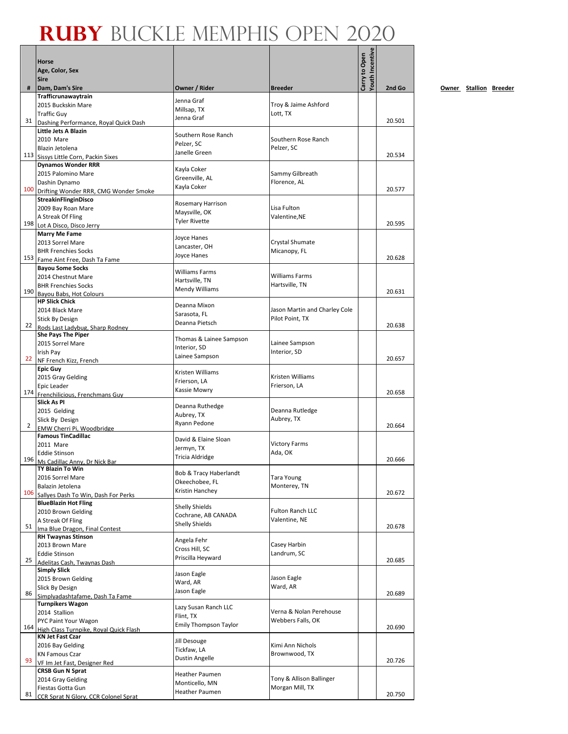|     | <b>Horse</b>                                                           |                                              |                                                  | Youth Incentive<br>Carry to Open |        |
|-----|------------------------------------------------------------------------|----------------------------------------------|--------------------------------------------------|----------------------------------|--------|
|     | Age, Color, Sex<br><b>Sire</b>                                         |                                              |                                                  |                                  |        |
| #   | Dam, Dam's Sire                                                        | Owner / Rider                                | <b>Breeder</b>                                   |                                  | 2nd Go |
|     | Trafficrunawaytrain<br>2015 Buckskin Mare                              | Jenna Graf                                   | Troy & Jaime Ashford                             |                                  |        |
|     | <b>Traffic Guy</b>                                                     | Millsap, TX                                  | Lott, TX                                         |                                  |        |
| 31  | Dashing Performance, Royal Quick Dash                                  | Jenna Graf                                   |                                                  |                                  | 20.501 |
|     | Little Jets A Blazin                                                   | Southern Rose Ranch                          |                                                  |                                  |        |
|     | 2010 Mare<br>Blazin Jetolena                                           | Pelzer, SC                                   | Southern Rose Ranch                              |                                  |        |
|     | 113 Sissys Little Corn, Packin Sixes                                   | Janelle Green                                | Pelzer, SC                                       |                                  | 20.534 |
|     | <b>Dynamos Wonder RRR</b>                                              | Kayla Coker                                  |                                                  |                                  |        |
|     | 2015 Palomino Mare                                                     | Greenville, AL                               | Sammy Gilbreath                                  |                                  |        |
|     | Dashin Dynamo<br>100 Drifting Wonder RRR, CMG Wonder Smoke             | Kayla Coker                                  | Florence, AL                                     |                                  | 20.577 |
|     | StreakinFlinginDisco                                                   |                                              |                                                  |                                  |        |
|     | 2009 Bay Roan Mare                                                     | Rosemary Harrison<br>Maysville, OK           | Lisa Fulton                                      |                                  |        |
|     | A Streak Of Fling                                                      | <b>Tyler Rivette</b>                         | Valentine, NE                                    |                                  |        |
| 198 | Lot A Disco, Disco Jerry                                               |                                              |                                                  |                                  | 20.595 |
|     | <b>Marry Me Fame</b><br>2013 Sorrel Mare                               | Joyce Hanes                                  | Crystal Shumate                                  |                                  |        |
|     | <b>BHR Frenchies Socks</b>                                             | Lancaster, OH                                | Micanopy, FL                                     |                                  |        |
|     | 153 Fame Aint Free, Dash Ta Fame                                       | Joyce Hanes                                  |                                                  |                                  | 20.628 |
|     | <b>Bayou Some Socks</b><br>2014 Chestnut Mare                          | <b>Williams Farms</b>                        | <b>Williams Farms</b>                            |                                  |        |
|     | <b>BHR Frenchies Socks</b>                                             | Hartsville, TN                               | Hartsville, TN                                   |                                  |        |
| 190 | Bayou Babs, Hot Colours                                                | <b>Mendy Williams</b>                        |                                                  |                                  | 20.631 |
|     | <b>HP Slick Chick</b>                                                  | Deanna Mixon                                 |                                                  |                                  |        |
|     | 2014 Black Mare                                                        | Sarasota, FL                                 | Jason Martin and Charley Cole<br>Pilot Point, TX |                                  |        |
| 22  | <b>Stick By Design</b><br>Rods Last Ladvbug. Sharp Rodnev              | Deanna Pietsch                               |                                                  |                                  | 20.638 |
|     | <b>She Pays The Piper</b>                                              | Thomas & Lainee Sampson                      |                                                  |                                  |        |
|     | 2015 Sorrel Mare                                                       | Interior, SD                                 | Lainee Sampson                                   |                                  |        |
| 22  | Irish Pay<br>NF French Kizz, French                                    | Lainee Sampson                               | Interior, SD                                     |                                  | 20.657 |
|     | <b>Epic Guy</b>                                                        | Kristen Williams                             |                                                  |                                  |        |
|     | 2015 Gray Gelding                                                      | Frierson, LA                                 | Kristen Williams                                 |                                  |        |
| 174 | Epic Leader                                                            | Kassie Mowry                                 | Frierson, LA                                     |                                  | 20.658 |
|     | Frenchilicious, Frenchmans Guy<br><b>Slick As PI</b>                   |                                              |                                                  |                                  |        |
|     | 2015 Gelding                                                           | Deanna Ruthedge<br>Aubrey, TX                | Deanna Rutledge                                  |                                  |        |
| 2   | Slick By Design                                                        | Ryann Pedone                                 | Aubrey, TX                                       |                                  | 20.664 |
|     | EMW Cherri Pi. Woodbridge<br><b>Famous TinCadillac</b>                 |                                              |                                                  |                                  |        |
|     | 2011 Mare                                                              | David & Elaine Sloan<br>Jermyn, TX           | <b>Victory Farms</b>                             |                                  |        |
|     | <b>Eddie Stinson</b>                                                   | <b>Tricia Aldridge</b>                       | Ada, OK                                          |                                  | 20.666 |
|     | 196 Ms Cadillac Anny, Dr Nick Bar<br>TY Blazin To Win                  |                                              |                                                  |                                  |        |
|     | 2016 Sorrel Mare                                                       | Bob & Tracy Haberlandt                       | <b>Tara Young</b>                                |                                  |        |
|     | Balazin Jetolena                                                       | Okeechobee, FL<br>Kristin Hanchey            | Monterey, TN                                     |                                  |        |
|     | 106 Sallyes Dash To Win, Dash For Perks<br><b>BlueBlazin Hot Fling</b> |                                              |                                                  |                                  | 20.672 |
|     | 2010 Brown Gelding                                                     | <b>Shelly Shields</b>                        | <b>Fulton Ranch LLC</b>                          |                                  |        |
|     | A Streak Of Fling                                                      | Cochrane, AB CANADA<br><b>Shelly Shields</b> | Valentine, NE                                    |                                  |        |
| 51  | Ima Blue Dragon, Final Contest                                         |                                              |                                                  |                                  | 20.678 |
|     | <b>RH Twaynas Stinson</b><br>2013 Brown Mare                           | Angela Fehr                                  | Casey Harbin                                     |                                  |        |
|     | <b>Eddie Stinson</b>                                                   | Cross Hill, SC                               | Landrum, SC                                      |                                  |        |
| 25  | Adelitas Cash, Twaynas Dash                                            | Priscilla Heyward                            |                                                  |                                  | 20.685 |
|     | <b>Simply Slick</b>                                                    | Jason Eagle                                  | Jason Eagle                                      |                                  |        |
|     | 2015 Brown Gelding<br>Slick By Design                                  | Ward, AR                                     | Ward, AR                                         |                                  |        |
| 86  | Simplyadashtafame, Dash Ta Fame                                        | Jason Eagle                                  |                                                  |                                  | 20.689 |
|     | <b>Turnpikers Wagon</b>                                                | Lazy Susan Ranch LLC                         |                                                  |                                  |        |
|     | 2014 Stallion<br>PYC Paint Your Wagon                                  | Flint, TX                                    | Verna & Nolan Perehouse<br>Webbers Falls, OK     |                                  |        |
| 164 | High Class Turnpike, Roval Quick Flash                                 | <b>Emily Thompson Taylor</b>                 |                                                  |                                  | 20.690 |
|     | <b>KN Jet Fast Czar</b>                                                | Jill Desouge                                 |                                                  |                                  |        |
|     | 2016 Bay Gelding<br><b>KN Famous Czar</b>                              | Tickfaw, LA                                  | Kimi Ann Nichols                                 |                                  |        |
| 93  | VF Im Jet Fast, Designer Red                                           | Dustin Angelle                               | Brownwood, TX                                    |                                  | 20.726 |
|     | <b>CRSB Gun N Sprat</b>                                                | Heather Paumen                               |                                                  |                                  |        |
|     | 2014 Gray Gelding                                                      | Monticello, MN                               | Tony & Allison Ballinger                         |                                  |        |
| 81  | Fiestas Gotta Gun<br>CCR Sprat N Glory, CCR Colonel Sprat              | Heather Paumen                               | Morgan Mill, TX                                  |                                  | 20.750 |
|     |                                                                        |                                              |                                                  |                                  |        |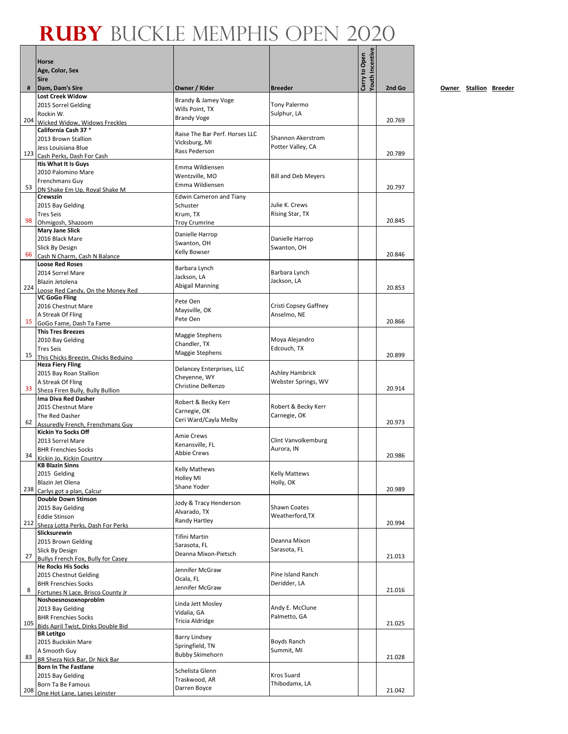|     | Horse                                              |                                            |                            | <b>Touth Incentive</b><br>Carry to Open |        |
|-----|----------------------------------------------------|--------------------------------------------|----------------------------|-----------------------------------------|--------|
|     | Age, Color, Sex<br><b>Sire</b>                     |                                            |                            |                                         |        |
| #   | Dam, Dam's Sire                                    | Owner / Rider                              | <b>Breeder</b>             |                                         | 2nd Go |
|     | <b>Lost Creek Widow</b><br>2015 Sorrel Gelding     | Brandy & Jamey Voge                        | Tony Palermo               |                                         |        |
|     | Rockin W.                                          | Wills Point. TX                            | Sulphur, LA                |                                         |        |
| 204 | Wicked Widow. Widows Freckles                      | <b>Brandy Voge</b>                         |                            |                                         | 20.769 |
|     | California Cash 37 *<br>2013 Brown Stallion        | Raise The Bar Perf. Horses LLC             | Shannon Akerstrom          |                                         |        |
|     | Jess Louisiana Blue                                | Vicksburg, MI                              | Potter Valley, CA          |                                         |        |
|     | 123 Cash Perks, Dash For Cash                      | Rass Pederson                              |                            |                                         | 20.789 |
|     | Itis What It Is Guys<br>2010 Palomino Mare         | Emma Wildiensen                            |                            |                                         |        |
|     | Frenchmans Guy                                     | Wentzville, MO<br>Emma Wildiensen          | <b>Bill and Deb Meyers</b> |                                         |        |
| 53  | DN Shake Em Up, Royal Shake M<br><b>Crewszin</b>   |                                            |                            |                                         | 20.797 |
|     | 2015 Bay Gelding                                   | <b>Edwin Cameron and Tiany</b><br>Schuster | Julie K. Crews             |                                         |        |
|     | <b>Tres Seis</b>                                   | Krum, TX                                   | Rising Star, TX            |                                         |        |
| 98  | Ohmigosh, Shazoom                                  | <b>Troy Crumrine</b>                       |                            |                                         | 20.845 |
|     | <b>Mary Jane Slick</b><br>2016 Black Mare          | Danielle Harrop                            | Danielle Harrop            |                                         |        |
|     | Slick By Design                                    | Swanton, OH<br>Kelly Bowser                | Swanton, OH                |                                         |        |
| 66  | Cash N Charm, Cash N Balance                       |                                            |                            |                                         | 20.846 |
|     | <b>Loose Red Roses</b><br>2014 Sorrel Mare         | Barbara Lynch                              | Barbara Lynch              |                                         |        |
|     | Blazin Jetolena                                    | Jackson, LA                                | Jackson, LA                |                                         |        |
|     | 224 Loose Red Candy, On the Money Red              | Abigail Manning                            |                            |                                         | 20.853 |
|     | <b>VC GoGo Fling</b><br>2016 Chestnut Mare         | Pete Oen                                   | Cristi Copsey Gaffney      |                                         |        |
|     | A Streak Of Fling                                  | Maysville, OK                              | Anselmo, NE                |                                         |        |
| 15  | GoGo Fame, Dash Ta Fame                            | Pete Oen                                   |                            |                                         | 20.866 |
|     | <b>This Tres Breezes</b><br>2010 Bay Gelding       | Maggie Stephens                            | Moya Alejandro             |                                         |        |
|     | <b>Tres Seis</b>                                   | Chandler, TX                               | Edcouch, TX                |                                         |        |
|     | 15 This Chicks Breezin, Chicks Beduino             | Maggie Stephens                            |                            |                                         | 20.899 |
|     | <b>Heza Fiery Fling</b><br>2015 Bay Roan Stallion  | Delancey Enterprises, LLC                  | Ashley Hambrick            |                                         |        |
|     | A Streak Of Fling                                  | Cheyenne, WY                               | Webster Springs, WV        |                                         |        |
| 33  | Sheza Firen Bully, Bully Bullion                   | <b>Christine DeRenzo</b>                   |                            |                                         | 20.914 |
|     | Ima Diva Red Dasher<br>2015 Chestnut Mare          | Robert & Becky Kerr                        | Robert & Becky Kerr        |                                         |        |
|     | The Red Dasher                                     | Carnegie, OK                               | Carnegie, OK               |                                         |        |
| 62  | Assuredly French. Frenchmans Guy                   | Ceri Ward/Cayla Melby                      |                            |                                         | 20.973 |
|     | Kickin Yo Socks Off<br>2013 Sorrel Mare            | <b>Amie Crews</b>                          | Clint Vanvolkemburg        |                                         |        |
|     | <b>BHR Frenchies Socks</b>                         | Kenansville, FL                            | Aurora, IN                 |                                         |        |
| 34  | Kickin Jo, Kickin Country                          | <b>Abbie Crews</b>                         |                            |                                         | 20.986 |
|     | KB Blazin Sinns<br>2015 Gelding                    | <b>Kelly Mathews</b>                       | <b>Kelly Mattews</b>       |                                         |        |
|     | Blazin Jet Olena                                   | <b>Holley MI</b>                           | Holly, OK                  |                                         |        |
| 238 | Carlys got a plan, Calcur                          | Shane Yoder                                |                            |                                         | 20.989 |
|     | <b>Double Down Stinson</b><br>2015 Bay Gelding     | Jody & Tracy Henderson                     | Shawn Coates               |                                         |        |
|     | <b>Eddie Stinson</b>                               | Alvarado, TX                               | Weatherford, TX            |                                         |        |
|     | 212 Sheza Lotta Perks, Dash For Perks              | Randy Hartley                              |                            |                                         | 20.994 |
|     | Slicksurewin<br>2015 Brown Gelding                 | Tifini Martin                              | Deanna Mixon               |                                         |        |
|     | Slick By Design                                    | Sarasota, FL                               | Sarasota, FL               |                                         |        |
| 27  | <b>Bullys French Fox, Bully for Casey</b>          | Deanna Mixon-Pietsch                       |                            |                                         | 21.013 |
|     | <b>He Rocks His Socks</b><br>2015 Chestnut Gelding | Jennifer McGraw                            | Pine Island Ranch          |                                         |        |
|     | <b>BHR Frenchies Socks</b>                         | Ocala, FL                                  | Deridder, LA               |                                         |        |
| 8   | Fortunes N Lace, Brisco County Jr                  | Jennifer McGraw                            |                            |                                         | 21.016 |
|     | Noshoesnosoxnoproblm                               | Linda Jett Mosley                          | Andy E. McClune            |                                         |        |
|     | 2013 Bay Gelding<br><b>BHR Frenchies Socks</b>     | Vidalia, GA                                | Palmetto, GA               |                                         |        |
| 105 | Bids April Twist, Dinks Double Bid                 | Tricia Aldridge                            |                            |                                         | 21.025 |
|     | <b>BR Letitgo</b><br>2015 Buckskin Mare            | <b>Barry Lindsey</b>                       | Boyds Ranch                |                                         |        |
|     | A Smooth Guy                                       | Springfield, TN                            | Summit, MI                 |                                         |        |
| 83  | BR Sheza Nick Bar, Dr Nick Bar                     | <b>Bubby Skimehorn</b>                     |                            |                                         | 21.028 |
|     | <b>Born In The Fastlane</b>                        | Schelista Glenn                            | Kros Suard                 |                                         |        |
|     | 2015 Bay Gelding<br>Born Ta Be Famous              | Traskwood, AR                              | Thibodamx, LA              |                                         |        |
|     | 208 One Hot Lane, Lanes Leinster                   | Darren Boyce                               |                            |                                         | 21.042 |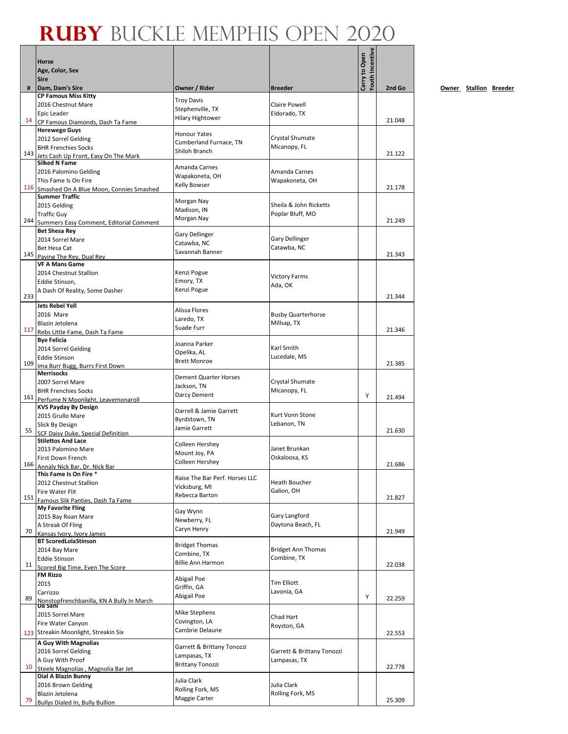|     | Horse                                                                  |                                             |                                          | Youth Incentive<br>Carry to Open |        |
|-----|------------------------------------------------------------------------|---------------------------------------------|------------------------------------------|----------------------------------|--------|
|     | Age, Color, Sex<br><b>Sire</b>                                         |                                             |                                          |                                  |        |
| #   | Dam, Dam's Sire                                                        | Owner / Rider                               | <b>Breeder</b>                           |                                  | 2nd Go |
|     | <b>CP Famous Miss Kitty</b>                                            | <b>Troy Davis</b>                           |                                          |                                  |        |
|     | 2016 Chestnut Mare                                                     | Stephenville, TX                            | <b>Claire Powell</b>                     |                                  |        |
| 14  | Epic Leader<br>CP Famous Diamonds, Dash Ta Fame                        | <b>Hilary Hightower</b>                     | Eldorado, TX                             |                                  | 21.048 |
|     | <b>Herewego Guys</b>                                                   | <b>Honour Yates</b>                         |                                          |                                  |        |
|     | 2012 Sorrel Gelding                                                    | Cumberland Furnace, TN                      | Crystal Shumate                          |                                  |        |
| 143 | <b>BHR Frenchies Socks</b>                                             | Shiloh Branch                               | Micanopy, FL                             |                                  | 21.122 |
|     | Jets Cash Up Front, Easy On The Mark<br><b>Silked N Fame</b>           |                                             |                                          |                                  |        |
|     | 2016 Palomino Gelding                                                  | Amanda Carnes<br>Wapakoneta, OH             | Amanda Carnes                            |                                  |        |
|     | This Fame Is On Fire                                                   | Kelly Bowser                                | Wapakoneta, OH                           |                                  |        |
| 116 | Smashed On A Blue Moon, Connies Smashed<br><b>Summer Traffic</b>       |                                             |                                          |                                  | 21.178 |
|     | 2015 Gelding                                                           | Morgan Nay                                  | Sheila & John Ricketts                   |                                  |        |
|     | <b>Traffic Guy</b>                                                     | Madison, IN                                 | Poplar Bluff, MO                         |                                  |        |
| 244 | Summers Easy Comment, Editorial Comment                                | Morgan Nay                                  |                                          |                                  | 21.249 |
|     | <b>Bet Shesa Rev</b><br>2014 Sorrel Mare                               | <b>Gary Dellinger</b>                       | <b>Gary Dellinger</b>                    |                                  |        |
|     | Bet Hesa Cat                                                           | Catawba, NC                                 | Catawba, NC                              |                                  |        |
| 145 | Paving The Rey, Dual Rey                                               | Savannah Banner                             |                                          |                                  | 21.343 |
|     | <b>VF A Mans Game</b>                                                  |                                             |                                          |                                  |        |
|     | 2014 Chestnut Stallion<br>Eddie Stinson,                               | Kenzi Pogue<br>Emory, TX                    | <b>Victory Farms</b>                     |                                  |        |
|     | A Dash Of Reality, Some Dasher                                         | Kenzi Pogue                                 | Ada, OK                                  |                                  |        |
| 233 |                                                                        |                                             |                                          |                                  | 21.344 |
|     | <b>Jets Rebel Yell</b>                                                 | Alissa Flores                               |                                          |                                  |        |
|     | 2016 Mare<br>Blazin Jetolena                                           | Laredo, TX                                  | <b>Busby Quarterhorse</b><br>Millsap, TX |                                  |        |
| 117 | Rebs Little Fame, Dash Ta Fame                                         | Suade Furr                                  |                                          |                                  | 21.346 |
|     | <b>Bye Felicia</b>                                                     | Joanna Parker                               |                                          |                                  |        |
|     | 2014 Sorrel Gelding                                                    | Opelika, AL                                 | Karl Smith                               |                                  |        |
| 109 | <b>Eddie Stinson</b><br>Ima Burr Bugg, Burrs First Down                | <b>Brett Monroe</b>                         | Lucedale, MS                             |                                  | 21.385 |
|     | <b>Merrisocks</b>                                                      |                                             |                                          |                                  |        |
|     | 2007 Sorrel Mare                                                       | <b>Dement Quarter Horses</b><br>Jackson, TN | Crystal Shumate                          |                                  |        |
| 161 | <b>BHR Frenchies Socks</b>                                             | Darcy Dement                                | Micanopy, FL                             | Y                                | 21.494 |
|     | Perfume N Moonlight. Leavemonaroll<br><b>KVS Payday By Design</b>      |                                             |                                          |                                  |        |
|     | 2015 Grullo Mare                                                       | Darrell & Jamie Garrett<br>Byrdstown, TN    | Kurt Vonn Stone                          |                                  |        |
|     | Slick By Design                                                        | Jamie Garrett                               | Lebanon, TN                              |                                  |        |
| 55  | <b>SCF Daisy Duke, Special Definition</b><br><b>Stilettos And Lace</b> |                                             |                                          |                                  | 21.630 |
|     | 2013 Palomino Mare                                                     | Colleen Hershey                             | Janet Brunkan                            |                                  |        |
|     | First Down French                                                      | Mount Joy, PA<br>Colleen Hershey            | Oskaloosa, KS                            |                                  |        |
| 166 | Annaly Nick Bar, Dr. Nick Bar                                          |                                             |                                          |                                  | 21.686 |
|     | This Fame Is On Fire *<br>2012 Chestnut Stallion                       | Raise The Bar Perf. Horses LLC              | <b>Heath Boucher</b>                     |                                  |        |
|     | Fire Water Flit                                                        | Vicksburg, MI                               | Galion, OH                               |                                  |        |
| 151 | Famous Slik Panties, Dash Ta Fame                                      | Rebecca Barton                              |                                          |                                  | 21.827 |
|     | <b>My Favorite Fling</b>                                               | Gay Wynn                                    | Gary Langford                            |                                  |        |
|     | 2015 Bay Roan Mare<br>A Streak Of Fling                                | Newberry, FL                                | Daytona Beach, FL                        |                                  |        |
| 70  | Kansas Ivory, Ivory James                                              | Caryn Henry                                 |                                          |                                  | 21.949 |
|     | <b>BT ScoredLolaStinson</b>                                            | <b>Bridget Thomas</b>                       |                                          |                                  |        |
|     | 2014 Bay Mare                                                          | Combine, TX                                 | <b>Bridget Ann Thomas</b><br>Combine, TX |                                  |        |
| 11  | <b>Eddie Stinson</b><br>Scored Big Time, Even The Score                | <b>Billie Ann Harmon</b>                    |                                          |                                  | 22.038 |
|     | FM Rizzo                                                               | Abigail Poe                                 |                                          |                                  |        |
|     | 2015                                                                   | Griffin, GA                                 | <b>Tim Elliott</b>                       |                                  |        |
| 89  | Carrizzo<br>Nonstopfrenchbanilla, KN A Bully In March                  | Abigail Poe                                 | Lavonia, GA                              | Y                                | 22.259 |
|     | Da Sani                                                                |                                             |                                          |                                  |        |
|     | 2015 Sorrel Mare                                                       | Mike Stephens<br>Covington, LA              | Chad Hart                                |                                  |        |
|     | Fire Water Canyon<br>123 Streakin Moonlight, Streakin Six              | Cambrie Delaune                             | Royston, GA                              |                                  |        |
|     | A Guy With Magnolias                                                   |                                             |                                          |                                  | 22.553 |
|     | 2016 Sorrel Gelding                                                    | Garrett & Brittany Tonozzi                  | Garrett & Brittany Tonozzi               |                                  |        |
|     | A Guy With Proof                                                       | Lampasas, TX<br><b>Brittany Tonozzi</b>     | Lampasas, TX                             |                                  |        |
| 10  | Steele Magnolias, Magnolia Bar Jet                                     |                                             |                                          |                                  | 22.778 |
|     | Dial A Blazin Bunny<br>2016 Brown Gelding                              | Julia Clark                                 | Julia Clark                              |                                  |        |
|     | Blazin Jetolena                                                        | Rolling Fork, MS                            | Rolling Fork, MS                         |                                  |        |
| 79  | Bullys Dialed In, Bully Bullion                                        | Maggie Carter                               |                                          |                                  | 25.309 |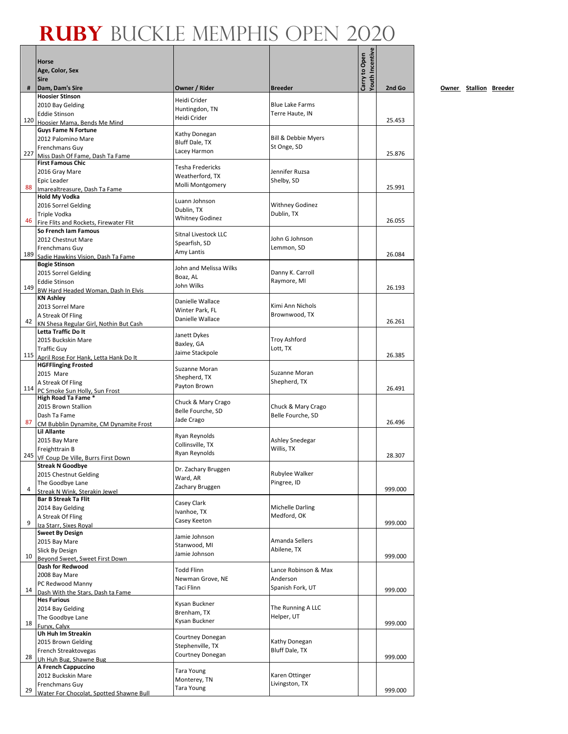$\mathbf{r}$ 

|     | Horse<br>Age, Color, Sex                                    |                                         |                                 | <b>Youth Incentive</b><br>Carry to Open |         |
|-----|-------------------------------------------------------------|-----------------------------------------|---------------------------------|-----------------------------------------|---------|
|     | <b>Sire</b>                                                 |                                         |                                 |                                         |         |
| #   | Dam, Dam's Sire                                             | Owner / Rider                           | <b>Breeder</b>                  |                                         | 2nd Go  |
|     | <b>Hoosier Stinson</b>                                      | Heidi Crider                            | <b>Blue Lake Farms</b>          |                                         |         |
|     | 2010 Bay Gelding<br><b>Eddie Stinson</b>                    | Huntingdon, TN                          | Terre Haute, IN                 |                                         |         |
| 120 | Hoosier Mama, Bends Me Mind                                 | Heidi Crider                            |                                 |                                         | 25.453  |
|     | <b>Guys Fame N Fortune</b>                                  |                                         |                                 |                                         |         |
|     | 2012 Palomino Mare                                          | Kathy Donegan<br>Bluff Dale, TX         | Bill & Debbie Myers             |                                         |         |
|     | Frenchmans Guy                                              | Lacey Harmon                            | St Onge, SD                     |                                         |         |
| 227 | Miss Dash Of Fame, Dash Ta Fame                             |                                         |                                 |                                         | 25.876  |
|     | <b>First Famous Chic</b><br>2016 Gray Mare                  | <b>Tesha Fredericks</b>                 | Jennifer Ruzsa                  |                                         |         |
|     | Epic Leader                                                 | Weatherford, TX                         | Shelby, SD                      |                                         |         |
| 88  | Imarealtreasure, Dash Ta Fame                               | Molli Montgomery                        |                                 |                                         | 25.991  |
|     | <b>Hold My Vodka</b>                                        |                                         |                                 |                                         |         |
|     | 2016 Sorrel Gelding                                         | Luann Johnson<br>Dublin, TX             | <b>Withney Godinez</b>          |                                         |         |
|     | Triple Vodka                                                | <b>Whitney Godinez</b>                  | Dublin, TX                      |                                         |         |
| 46  | Fire Flits and Rockets, Firewater Flit                      |                                         |                                 |                                         | 26.055  |
|     | So French Iam Famous                                        | <b>Sitnal Livestock LLC</b>             | John G Johnson                  |                                         |         |
|     | 2012 Chestnut Mare                                          | Spearfish, SD                           | Lemmon, SD                      |                                         |         |
| 189 | Frenchmans Guy<br>Sadie Hawkins Vision, Dash Ta Fame        | Amy Lantis                              |                                 |                                         | 26.084  |
|     | <b>Bogie Stinson</b>                                        | John and Melissa Wilks                  |                                 |                                         |         |
|     | 2015 Sorrel Gelding                                         | Boaz, AL                                | Danny K. Carroll                |                                         |         |
|     | <b>Eddie Stinson</b>                                        | John Wilks                              | Raymore, MI                     |                                         |         |
|     | 149 BW Hard Headed Woman, Dash In Elvis                     |                                         |                                 |                                         | 26.193  |
|     | <b>KN Ashley</b>                                            | Danielle Wallace                        | Kimi Ann Nichols                |                                         |         |
|     | 2013 Sorrel Mare                                            | Winter Park. FL                         | Brownwood, TX                   |                                         |         |
| 42  | A Streak Of Fling<br>KN Shesa Regular Girl, Nothin But Cash | Danielle Wallace                        |                                 |                                         | 26.261  |
|     | Letta Traffic Do It                                         |                                         |                                 |                                         |         |
|     | 2015 Buckskin Mare                                          | Janett Dykes<br>Baxley, GA              | <b>Troy Ashford</b>             |                                         |         |
|     | <b>Traffic Guy</b>                                          | Jaime Stackpole                         | Lott, TX                        |                                         |         |
|     | 115 April Rose For Hank, Letta Hank Do It                   |                                         |                                 |                                         | 26.385  |
|     | <b>HGFFlinging Frosted</b>                                  | Suzanne Moran                           |                                 |                                         |         |
|     | 2015 Mare                                                   | Shepherd, TX                            | Suzanne Moran<br>Shepherd, TX   |                                         |         |
|     | A Streak Of Fling<br>114 PC Smoke Sun Holly, Sun Frost      | Payton Brown                            |                                 |                                         | 26.491  |
|     | High Road Ta Fame *                                         |                                         |                                 |                                         |         |
|     | 2015 Brown Stallion                                         | Chuck & Mary Crago<br>Belle Fourche, SD | Chuck & Mary Crago              |                                         |         |
|     | Dash Ta Fame                                                | Jade Crago                              | Belle Fourche, SD               |                                         |         |
| 87  | CM Bubblin Dynamite, CM Dynamite Frost                      |                                         |                                 |                                         | 26.496  |
|     | <b>Lil Allante</b>                                          | Ryan Reynolds                           |                                 |                                         |         |
|     | 2015 Bay Mare<br>Freighttrain B                             | Collinsville, TX                        | Ashley Snedegar<br>Willis, TX   |                                         |         |
| 245 | VF Coup De Ville, Burrs First Down                          | Ryan Reynolds                           |                                 |                                         | 28.307  |
|     | Streak N Goodbye                                            |                                         |                                 |                                         |         |
|     | 2015 Chestnut Gelding                                       | Dr. Zachary Bruggen                     | Rubylee Walker                  |                                         |         |
|     | The Goodbye Lane                                            | Ward, AR<br>Zachary Bruggen             | Pingree, ID                     |                                         |         |
| 4   | Streak N Wink, Sterakin Jewel                               |                                         |                                 |                                         | 999.000 |
|     | <b>Bar B Streak Ta Flit</b>                                 | Casey Clark                             |                                 |                                         |         |
|     | 2014 Bay Gelding                                            | Ivanhoe, TX                             | Michelle Darling<br>Medford, OK |                                         |         |
| 9   | A Streak Of Fling<br>Iza Starr, Sixes Royal                 | Casey Keeton                            |                                 |                                         | 999.000 |
|     | <b>Sweet By Design</b>                                      |                                         |                                 |                                         |         |
|     | 2015 Bay Mare                                               | Jamie Johnson<br>Stanwood, MI           | Amanda Sellers                  |                                         |         |
|     | Slick By Design                                             | Jamie Johnson                           | Abilene, TX                     |                                         |         |
| 10  | Beyond Sweet, Sweet First Down                              |                                         |                                 |                                         | 999.000 |
|     | Dash for Redwood                                            | <b>Todd Flinn</b>                       | Lance Robinson & Max            |                                         |         |
|     | 2008 Bay Mare                                               | Newman Grove, NE                        | Anderson                        |                                         |         |
| 14  | PC Redwood Manny<br>Dash With the Stars, Dash ta Fame       | Taci Flinn                              | Spanish Fork, UT                |                                         | 999.000 |
|     | <b>Hes Furious</b>                                          |                                         |                                 |                                         |         |
|     | 2014 Bay Gelding                                            | Kysan Buckner                           | The Running A LLC               |                                         |         |
|     | The Goodbye Lane                                            | Brenham, TX<br>Kysan Buckner            | Helper, UT                      |                                         |         |
| 18  | Furyx, Calyx                                                |                                         |                                 |                                         | 999.000 |
|     | Uh Huh Im Streakin                                          | Courtney Donegan                        |                                 |                                         |         |
|     | 2015 Brown Gelding                                          | Stephenville, TX                        | Kathy Donegan<br>Bluff Dale, TX |                                         |         |
| 28  | French Streaktovegas<br>Uh Huh Bug, Shawne Bug              | Courtney Donegan                        |                                 |                                         | 999.000 |
|     | A French Cappuccino                                         |                                         |                                 |                                         |         |
|     | 2012 Buckskin Mare                                          | <b>Tara Young</b>                       | Karen Ottinger                  |                                         |         |
|     | Frenchmans Guy                                              | Monterey, TN                            | Livingston, TX                  |                                         |         |
| 29  | Water For Chocolat, Spotted Shawne Bull                     | <b>Tara Young</b>                       |                                 |                                         | 999.000 |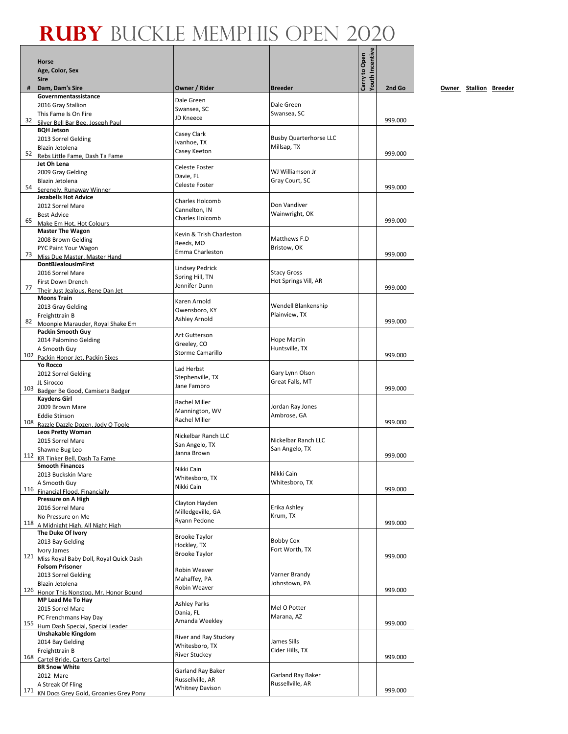|     | Horse<br>Age, Color, Sex                                      |                                           |                                       | <b>/outh Incentive</b><br>Carry to Open |         |
|-----|---------------------------------------------------------------|-------------------------------------------|---------------------------------------|-----------------------------------------|---------|
| #   | <b>Sire</b><br>Dam, Dam's Sire                                | Owner / Rider                             | <b>Breeder</b>                        |                                         | 2nd Go  |
|     | Governmentassistance                                          | Dale Green                                |                                       |                                         |         |
|     | 2016 Gray Stallion                                            | Swansea, SC                               | Dale Green                            |                                         |         |
| 32  | This Fame Is On Fire                                          | JD Kneece                                 | Swansea, SC                           |                                         | 999.000 |
|     | Silver Bell Bar Bee. Joseph Paul<br><b>BQH Jetson</b>         |                                           |                                       |                                         |         |
|     | 2013 Sorrel Gelding                                           | Casey Clark                               | <b>Busby Quarterhorse LLC</b>         |                                         |         |
|     | Blazin Jetolena                                               | Ivanhoe, TX<br>Casey Keeton               | Millsap, TX                           |                                         |         |
| 52  | Rebs Little Fame, Dash Ta Fame<br>Jet Oh Lena                 |                                           |                                       |                                         | 999.000 |
|     | 2009 Gray Gelding                                             | <b>Celeste Foster</b>                     | WJ Williamson Jr                      |                                         |         |
|     | Blazin Jetolena                                               | Davie. FL                                 | Gray Court, SC                        |                                         |         |
| 54  | Serenely, Runaway Winner                                      | Celeste Foster                            |                                       |                                         | 999.000 |
|     | <b>Jezabells Hot Advice</b>                                   | Charles Holcomb                           | Don Vandiver                          |                                         |         |
|     | 2012 Sorrel Mare<br><b>Best Advice</b>                        | Cannelton, IN                             | Wainwright, OK                        |                                         |         |
| 65  | Make Em Hot, Hot Colours                                      | <b>Charles Holcomb</b>                    |                                       |                                         | 999.000 |
|     | <b>Master The Wagon</b>                                       | Kevin & Trish Charleston                  |                                       |                                         |         |
|     | 2008 Brown Gelding                                            | Reeds. MO                                 | Matthews F.D                          |                                         |         |
| 73  | PYC Paint Your Wagon<br>Miss Due Master, Master Hand          | Emma Charleston                           | Bristow, OK                           |                                         | 999.000 |
|     | <b>DontBJealousImFirst</b>                                    |                                           |                                       |                                         |         |
|     | 2016 Sorrel Mare                                              | <b>Lindsey Pedrick</b><br>Spring Hill, TN | <b>Stacy Gross</b>                    |                                         |         |
| 77  | First Down Drench                                             | Jennifer Dunn                             | Hot Springs Vill, AR                  |                                         | 999.000 |
|     | Their Just Jealous, Rene Dan Jet<br><b>Moons Train</b>        |                                           |                                       |                                         |         |
|     | 2013 Gray Gelding                                             | Karen Arnold                              | Wendell Blankenship                   |                                         |         |
|     | Freighttrain B                                                | Owensboro, KY                             | Plainview, TX                         |                                         |         |
| 82  | Moonpie Marauder, Royal Shake Em                              | Ashley Arnold                             |                                       |                                         | 999.000 |
|     | Packin Smooth Guy                                             | Art Gutterson                             | Hope Martin                           |                                         |         |
|     | 2014 Palomino Gelding<br>A Smooth Guy                         | Greeley, CO                               | Huntsville, TX                        |                                         |         |
|     | 102 Packin Honor Jet, Packin Sixes                            | <b>Storme Camarillo</b>                   |                                       |                                         | 999.000 |
|     | Yo Rocco                                                      | Lad Herbst                                |                                       |                                         |         |
|     | 2012 Sorrel Gelding                                           | Stephenville, TX                          | Gary Lynn Olson<br>Great Falls, MT    |                                         |         |
|     | JL Sirocco<br>103 Badger Be Good, Camiseta Badger             | Jane Fambro                               |                                       |                                         | 999.000 |
|     | <b>Kaydens Girl</b>                                           | Rachel Miller                             |                                       |                                         |         |
|     | 2009 Brown Mare                                               | Mannington, WV                            | Jordan Ray Jones                      |                                         |         |
| 108 | Eddie Stinson                                                 | Rachel Miller                             | Ambrose, GA                           |                                         | 999,000 |
|     | Razzle Dazzle Dozen, Jody O Toole<br><b>Leos Pretty Woman</b> |                                           |                                       |                                         |         |
|     | 2015 Sorrel Mare                                              | Nickelbar Ranch LLC<br>San Angelo, TX     | Nickelbar Ranch LLC                   |                                         |         |
|     | Shawne Bug Leo                                                | Janna Brown                               | San Angelo, TX                        |                                         | 999.000 |
| 112 | KR Tinker Bell, Dash Ta Fame                                  |                                           |                                       |                                         |         |
|     | Smooth Finances<br>2013 Buckskin Mare                         | Nikki Cain                                | Nikki Cain                            |                                         |         |
|     | A Smooth Guy                                                  | Whitesboro, TX<br>Nikki Cain              | Whitesboro, TX                        |                                         |         |
| 116 | Financial Flood, Financially                                  |                                           |                                       |                                         | 999.000 |
|     | Pressure on A High<br>2016 Sorrel Mare                        | Clayton Hayden                            | Erika Ashley                          |                                         |         |
|     | No Pressure on Me                                             | Milledgeville, GA                         | Krum, TX                              |                                         |         |
| 118 | A Midnight High, All Night High                               | Ryann Pedone                              |                                       |                                         | 999.000 |
|     | The Duke Of Ivory                                             | <b>Brooke Taylor</b>                      |                                       |                                         |         |
|     | 2013 Bay Gelding                                              | Hockley, TX                               | <b>Bobby Cox</b><br>Fort Worth, TX    |                                         |         |
| 121 | Ivory James<br>Miss Royal Baby Doll, Royal Quick Dash         | <b>Brooke Taylor</b>                      |                                       |                                         | 999.000 |
|     | <b>Folsom Prisoner</b>                                        | Robin Weaver                              |                                       |                                         |         |
|     | 2013 Sorrel Gelding                                           | Mahaffey, PA                              | Varner Brandy                         |                                         |         |
| 126 | Blazin Jetolena                                               | Robin Weaver                              | Johnstown, PA                         |                                         | 999.000 |
|     | Honor This Nonstop, Mr. Honor Bound<br>MP Lead Me To Hay      |                                           |                                       |                                         |         |
|     | 2015 Sorrel Mare                                              | <b>Ashley Parks</b><br>Dania, FL          | Mel O Potter                          |                                         |         |
|     | PC Frenchmans Hay Day                                         | Amanda Weekley                            | Marana, AZ                            |                                         |         |
| 155 | Hum Dash Special, Special Leader                              |                                           |                                       |                                         | 999.000 |
|     | Unshakable Kingdom<br>2014 Bay Gelding                        | River and Ray Stuckey                     | James Sills                           |                                         |         |
|     | Freighttrain B                                                | Whitesboro, TX                            | Cider Hills, TX                       |                                         |         |
| 168 | Cartel Bride, Carters Cartel                                  | <b>River Stuckey</b>                      |                                       |                                         | 999.000 |
|     | <b>BR Snow White</b>                                          | Garland Ray Baker                         |                                       |                                         |         |
|     | 2012 Mare<br>A Streak Of Fling                                | Russellville, AR                          | Garland Ray Baker<br>Russellville, AR |                                         |         |
|     | 171 KN Docs Grey Gold, Groanies Grey Pony                     | <b>Whitney Davison</b>                    |                                       |                                         | 999.000 |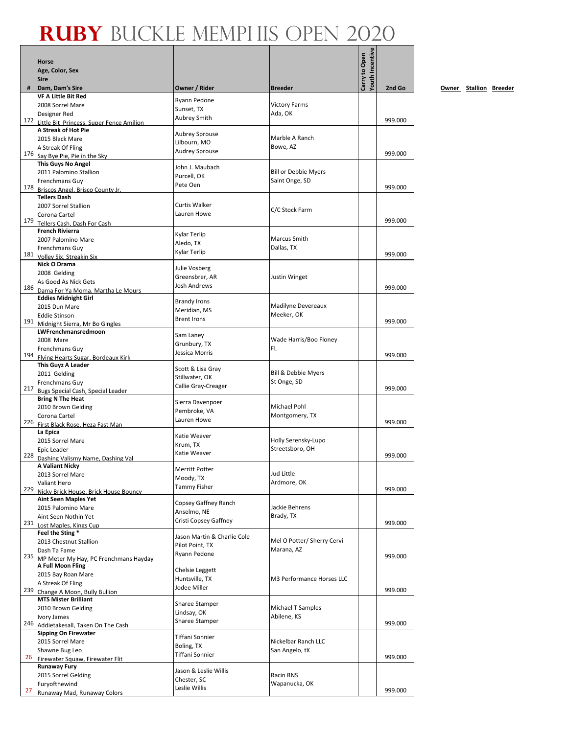|     |                                                                      |                                     |                                          | Youth Incentive |         |
|-----|----------------------------------------------------------------------|-------------------------------------|------------------------------------------|-----------------|---------|
|     | <b>Horse</b><br>Age, Color, Sex                                      |                                     |                                          |                 |         |
|     | <b>Sire</b>                                                          |                                     |                                          | Carry to Open   |         |
| #   | Dam, Dam's Sire                                                      | Owner / Rider                       | <b>Breeder</b>                           |                 | 2nd Go  |
|     | <b>VF A Little Bit Red</b>                                           | Ryann Pedone                        |                                          |                 |         |
|     | 2008 Sorrel Mare<br>Designer Red                                     | Sunset, TX                          | <b>Victory Farms</b><br>Ada, OK          |                 |         |
|     | 172 Little Bit Princess. Super Fence Amilion                         | <b>Aubrey Smith</b>                 |                                          |                 | 999.000 |
|     | A Streak of Hot Pie                                                  | <b>Aubrey Sprouse</b>               |                                          |                 |         |
|     | 2015 Black Mare                                                      | Lilbourn, MO                        | Marble A Ranch                           |                 |         |
|     | A Streak Of Fling                                                    | <b>Audrey Sprouse</b>               | Bowe, AZ                                 |                 | 999.000 |
|     | 176 Say Bye Pie, Pie in the Sky<br><b>This Guys No Angel</b>         |                                     |                                          |                 |         |
|     | 2011 Palomino Stallion                                               | John J. Maubach                     | <b>Bill or Debbie Myers</b>              |                 |         |
|     | Frenchmans Guy                                                       | Purcell, OK<br>Pete Oen             | Saint Onge, SD                           |                 |         |
|     | 178 Briscos Angel, Brisco County Jr.                                 |                                     |                                          |                 | 999.000 |
|     | <b>Tellers Dash</b><br>2007 Sorrel Stallion                          | Curtis Walker                       |                                          |                 |         |
|     | Corona Cartel                                                        | Lauren Howe                         | C/C Stock Farm                           |                 |         |
|     | 179 Tellers Cash, Dash For Cash                                      |                                     |                                          |                 | 999.000 |
|     | <b>French Rivierra</b>                                               | Kylar Terlip                        |                                          |                 |         |
|     | 2007 Palomino Mare                                                   | Aledo, TX                           | Marcus Smith                             |                 |         |
|     | Frenchmans Guy<br>181 Volley Six, Streakin Six                       | Kylar Terlip                        | Dallas, TX                               |                 | 999.000 |
|     | Nick O Drama                                                         |                                     |                                          |                 |         |
|     | 2008 Gelding                                                         | Julie Vosberg                       |                                          |                 |         |
|     | As Good As Nick Gets                                                 | Greensbrer, AR<br>Josh Andrews      | Justin Winget                            |                 |         |
|     | 186 Dama For Ya Moma, Martha Le Mours                                |                                     |                                          |                 | 999.000 |
|     | <b>Eddies Midnight Girl</b><br>2015 Dun Mare                         | <b>Brandy Irons</b>                 | Madilyne Devereaux                       |                 |         |
|     | <b>Eddie Stinson</b>                                                 | Meridian, MS                        | Meeker, OK                               |                 |         |
| 191 | Midnight Sierra, Mr Bo Gingles                                       | <b>Brent Irons</b>                  |                                          |                 | 999.000 |
|     | LWFrenchmansredmoon                                                  | Sam Laney                           |                                          |                 |         |
|     | 2008 Mare                                                            | Grunbury, TX                        | Wade Harris/Boo Floney<br>FL.            |                 |         |
|     | Frenchmans Guy<br>194 Flying Hearts Sugar, Bordeaux Kirk             | Jessica Morris                      |                                          |                 | 999.000 |
|     | This Guyz A Leader                                                   |                                     |                                          |                 |         |
|     | 2011 Gelding                                                         | Scott & Lisa Gray<br>Stillwater, OK | <b>Bill &amp; Debbie Myers</b>           |                 |         |
|     | Frenchmans Guy                                                       | Callie Gray-Creager                 | St Onge, SD                              |                 |         |
|     | 217 Bugs Special Cash, Special Leader                                |                                     |                                          |                 | 999.000 |
|     | <b>Bring N The Heat</b><br>2010 Brown Gelding                        | Sierra Davenpoer                    | Michael Pohl                             |                 |         |
|     | Corona Cartel                                                        | Pembroke, VA                        | Montgomery, TX                           |                 |         |
|     | 226 First Black Rose. Heza Fast Man                                  | Lauren Howe                         |                                          |                 | 999.000 |
|     | La Epica                                                             | Katie Weaver                        |                                          |                 |         |
|     | 2015 Sorrel Mare                                                     | Krum, TX                            | Holly Serensky-Lupo<br>Streetsboro, OH   |                 |         |
| 228 | Epic Leader<br>Dashing Valismy Name, Dashing Val                     | Katie Weaver                        |                                          |                 | 999.000 |
|     | A Valiant Nicky                                                      |                                     |                                          |                 |         |
|     | 2013 Sorrel Mare                                                     | Merritt Potter<br>Moody, TX         | Jud Little                               |                 |         |
|     | Valiant Hero                                                         | Tammy Fisher                        | Ardmore, OK                              |                 | 999.000 |
| 229 | Nicky Brick House, Brick House Bouncy<br><b>Aint Seen Maples Yet</b> |                                     |                                          |                 |         |
|     | 2015 Palomino Mare                                                   | Copsey Gaffney Ranch                | Jackie Behrens                           |                 |         |
|     | Aint Seen Nothin Yet                                                 | Anselmo, NE                         | Brady, TX                                |                 |         |
| 231 | Lost Maples, Kings Cup                                               | Cristi Copsey Gaffney               |                                          |                 | 999.000 |
|     | Feel the Sting *                                                     | Jason Martin & Charlie Cole         |                                          |                 |         |
|     | 2013 Chestnut Stallion<br>Dash Ta Fame                               | Pilot Point, TX                     | Mel O Potter/ Sherry Cervi<br>Marana, AZ |                 |         |
| 235 | MP Meter My Hay, PC Frenchmans Hayday                                | Ryann Pedone                        |                                          |                 | 999.000 |
|     | A Full Moon Fling                                                    | Chelsie Leggett                     |                                          |                 |         |
|     | 2015 Bay Roan Mare                                                   | Huntsville, TX                      | M3 Performance Horses LLC                |                 |         |
| 239 | A Streak Of Fling                                                    | Jodee Miller                        |                                          |                 | 999.000 |
|     | Change A Moon, Bully Bullion<br><b>MTS Mister Brilliant</b>          |                                     |                                          |                 |         |
|     | 2010 Brown Gelding                                                   | Sharee Stamper                      | Michael T Samples                        |                 |         |
|     | Ivory James                                                          | Lindsay, OK<br>Sharee Stamper       | Abilene, KS                              |                 |         |
| 246 | Addietakesall, Taken On The Cash                                     |                                     |                                          |                 | 999.000 |
|     | <b>Sipping On Firewater</b>                                          | Tiffani Sonnier                     | Nickelbar Ranch LLC                      |                 |         |
|     | 2015 Sorrel Mare<br>Shawne Bug Leo                                   | Boling, TX                          | San Angelo, tX                           |                 |         |
| 26  | Firewater Squaw, Firewater Flit                                      | Tiffani Sonnier                     |                                          |                 | 999.000 |
|     | <b>Runaway Fury</b>                                                  | Jason & Leslie Willis               |                                          |                 |         |
|     | 2015 Sorrel Gelding                                                  | Chester, SC                         | Racin RNS                                |                 |         |
| 27  | Furyofthewind                                                        | Leslie Willis                       | Wapanucka, OK                            |                 | 999.000 |
|     | Runaway Mad, Runaway Colors                                          |                                     |                                          |                 |         |